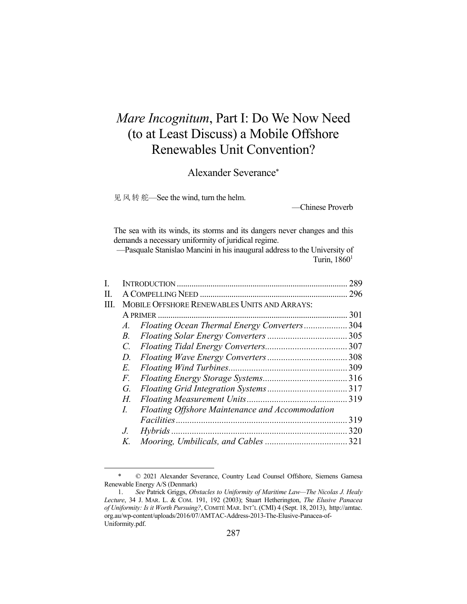# *Mare Incognitum*, Part I: Do We Now Need (to at Least Discuss) a Mobile Offshore Renewables Unit Convention?

Alexander Severance\*

见 风 转 舵—See the wind, turn the helm.

1

—Chinese Proverb

The sea with its winds, its storms and its dangers never changes and this demands a necessary uniformity of juridical regime.

—Pasquale Stanislao Mancini in his inaugural address to the University of Turin,  $1860<sup>1</sup>$ 

| L    |                                              |                                                 | 289 |  |  |  |  |
|------|----------------------------------------------|-------------------------------------------------|-----|--|--|--|--|
| П.   |                                              |                                                 |     |  |  |  |  |
| III. | MOBILE OFFSHORE RENEWABLES UNITS AND ARRAYS: |                                                 |     |  |  |  |  |
|      |                                              | A PRIMER                                        |     |  |  |  |  |
|      | A.                                           | Floating Ocean Thermal Energy Converters304     |     |  |  |  |  |
|      | <i>B</i> .                                   |                                                 |     |  |  |  |  |
|      | $C_{\cdot}$                                  |                                                 |     |  |  |  |  |
|      | D.                                           |                                                 |     |  |  |  |  |
|      | E.                                           |                                                 |     |  |  |  |  |
|      | F.                                           |                                                 |     |  |  |  |  |
|      | G.                                           |                                                 |     |  |  |  |  |
|      | Н.                                           |                                                 |     |  |  |  |  |
|      | I.                                           | Floating Offshore Maintenance and Accommodation |     |  |  |  |  |
|      |                                              |                                                 | 319 |  |  |  |  |
|      | $J_{\cdot}$                                  |                                                 |     |  |  |  |  |
|      | Κ.                                           |                                                 |     |  |  |  |  |
|      |                                              |                                                 |     |  |  |  |  |

 <sup>\* © 2021</sup> Alexander Severance, Country Lead Counsel Offshore, Siemens Gamesa Renewable Energy A/S (Denmark)

 <sup>1.</sup> *See* Patrick Griggs, *Obstacles to Uniformity of Maritime Law—The Nicolas J. Healy Lecture*, 34 J. MAR. L. & COM. 191, 192 (2003); Stuart Hetherington, *The Elusive Panacea of Uniformity: Is it Worth Pursuing?*, COMITÉ MAR. INT'L (CMI) 4 (Sept. 18, 2013), http://amtac. org.au/wp-content/uploads/2016/07/AMTAC-Address-2013-The-Elusive-Panacea-of-Uniformity.pdf.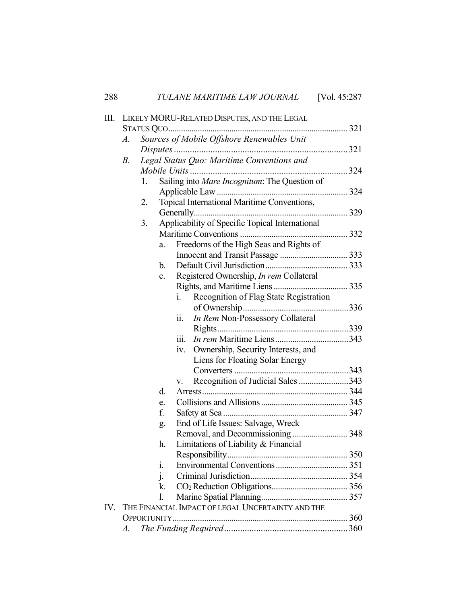| 288 |                                                     |    |                |                   | TULANE MARITIME LAW JOURNAL                       | [Vol. 45:287] |  |  |
|-----|-----------------------------------------------------|----|----------------|-------------------|---------------------------------------------------|---------------|--|--|
| Ш.  | LIKELY MORU-RELATED DISPUTES, AND THE LEGAL         |    |                |                   |                                                   |               |  |  |
|     |                                                     |    |                |                   |                                                   |               |  |  |
|     | Sources of Mobile Offshore Renewables Unit<br>A.    |    |                |                   |                                                   |               |  |  |
|     |                                                     |    |                |                   |                                                   |               |  |  |
|     | В.                                                  |    |                |                   | Legal Status Quo: Maritime Conventions and        |               |  |  |
|     |                                                     |    |                |                   |                                                   |               |  |  |
|     | Sailing into Mare Incognitum: The Question of<br>1. |    |                |                   |                                                   |               |  |  |
|     |                                                     |    |                |                   |                                                   |               |  |  |
|     | Topical International Maritime Conventions,<br>2.   |    |                |                   |                                                   |               |  |  |
|     |                                                     |    |                |                   |                                                   |               |  |  |
|     |                                                     | 3. |                |                   | Applicability of Specific Topical International   |               |  |  |
|     |                                                     |    |                |                   |                                                   |               |  |  |
|     |                                                     |    | a.             |                   | Freedoms of the High Seas and Rights of           |               |  |  |
|     |                                                     |    |                |                   |                                                   |               |  |  |
|     |                                                     |    | b.             |                   |                                                   |               |  |  |
|     |                                                     |    | c.             |                   | Registered Ownership, <i>In rem</i> Collateral    |               |  |  |
|     |                                                     |    |                |                   |                                                   |               |  |  |
|     |                                                     |    |                | i.                | Recognition of Flag State Registration            |               |  |  |
|     |                                                     |    |                |                   |                                                   |               |  |  |
|     |                                                     |    |                | $\overline{11}$ . | In Rem Non-Possessory Collateral                  |               |  |  |
|     |                                                     |    |                |                   |                                                   |               |  |  |
|     |                                                     |    |                | 111.              |                                                   |               |  |  |
|     |                                                     |    |                | iv.               | Ownership, Security Interests, and                |               |  |  |
|     |                                                     |    |                |                   | Liens for Floating Solar Energy                   |               |  |  |
|     |                                                     |    |                |                   |                                                   |               |  |  |
|     |                                                     |    |                | V.                | Recognition of Judicial Sales 343                 |               |  |  |
|     |                                                     |    | d.             |                   |                                                   |               |  |  |
|     |                                                     |    | e.             |                   |                                                   |               |  |  |
|     |                                                     |    | f.             |                   |                                                   |               |  |  |
|     |                                                     |    | g.             |                   | End of Life Issues: Salvage, Wreck                |               |  |  |
|     |                                                     |    |                |                   | Removal, and Decommissioning  348                 |               |  |  |
|     |                                                     |    | h.             |                   | Limitations of Liability & Financial              |               |  |  |
|     |                                                     |    |                |                   |                                                   |               |  |  |
|     |                                                     |    | i.             |                   |                                                   |               |  |  |
|     |                                                     |    | $\mathbf{i}$ . |                   |                                                   |               |  |  |
|     |                                                     |    | k.             |                   |                                                   |               |  |  |
|     |                                                     |    | 1.             |                   |                                                   |               |  |  |
| IV. |                                                     |    |                |                   | THE FINANCIAL IMPACT OF LEGAL UNCERTAINTY AND THE |               |  |  |
|     |                                                     |    |                |                   |                                                   |               |  |  |
|     | $\mathcal{A}.$                                      |    |                |                   |                                                   |               |  |  |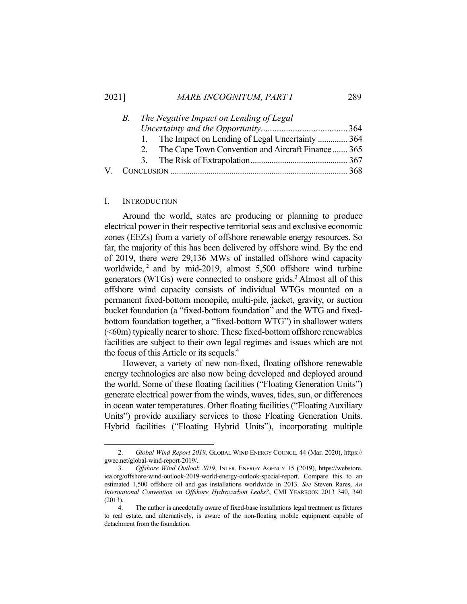#### 2021] *MARE INCOGNITUM, PART I* 289

| В. | The Negative Impact on Lending of Legal               |  |
|----|-------------------------------------------------------|--|
|    |                                                       |  |
|    | 1. The Impact on Lending of Legal Uncertainty  364    |  |
|    | 2. The Cape Town Convention and Aircraft Finance  365 |  |
|    |                                                       |  |
|    |                                                       |  |

## I. INTRODUCTION

 Around the world, states are producing or planning to produce electrical power in their respective territorial seas and exclusive economic zones (EEZs) from a variety of offshore renewable energy resources. So far, the majority of this has been delivered by offshore wind. By the end of 2019, there were 29,136 MWs of installed offshore wind capacity worldwide,  $2$  and by mid-2019, almost 5,500 offshore wind turbine generators (WTGs) were connected to onshore grids.<sup>3</sup> Almost all of this offshore wind capacity consists of individual WTGs mounted on a permanent fixed-bottom monopile, multi-pile, jacket, gravity, or suction bucket foundation (a "fixed-bottom foundation" and the WTG and fixedbottom foundation together, a "fixed-bottom WTG") in shallower waters  $( $60m$ ) typically nearer to shore. These fixed-bottom offshore renewables$ facilities are subject to their own legal regimes and issues which are not the focus of this Article or its sequels.4

 However, a variety of new non-fixed, floating offshore renewable energy technologies are also now being developed and deployed around the world. Some of these floating facilities ("Floating Generation Units") generate electrical power from the winds, waves, tides, sun, or differences in ocean water temperatures. Other floating facilities ("Floating Auxiliary Units") provide auxiliary services to those Floating Generation Units. Hybrid facilities ("Floating Hybrid Units"), incorporating multiple

 <sup>2.</sup> *Global Wind Report 2019*, GLOBAL WIND ENERGY COUNCIL 44 (Mar. 2020), https:// gwec.net/global-wind-report-2019/.

 <sup>3.</sup> *Offshore Wind Outlook 2019*, INTER. ENERGY AGENCY 15 (2019), https://webstore. iea.org/offshore-wind-outlook-2019-world-energy-outlook-special-report. Compare this to an estimated 1,500 offshore oil and gas installations worldwide in 2013. *See* Steven Rares, *An International Convention on Offshore Hydrocarbon Leaks?*, CMI YEARBOOK 2013 340, 340 (2013).

 <sup>4.</sup> The author is anecdotally aware of fixed-base installations legal treatment as fixtures to real estate, and alternatively, is aware of the non-floating mobile equipment capable of detachment from the foundation.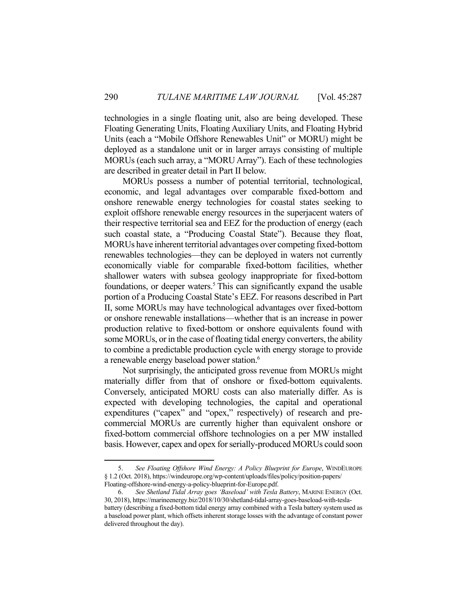technologies in a single floating unit, also are being developed. These Floating Generating Units, Floating Auxiliary Units, and Floating Hybrid Units (each a "Mobile Offshore Renewables Unit" or MORU) might be deployed as a standalone unit or in larger arrays consisting of multiple MORUs (each such array, a "MORU Array"). Each of these technologies are described in greater detail in Part II below.

 MORUs possess a number of potential territorial, technological, economic, and legal advantages over comparable fixed-bottom and onshore renewable energy technologies for coastal states seeking to exploit offshore renewable energy resources in the superjacent waters of their respective territorial sea and EEZ for the production of energy (each such coastal state, a "Producing Coastal State"). Because they float, MORUs have inherent territorial advantages over competing fixed-bottom renewables technologies—they can be deployed in waters not currently economically viable for comparable fixed-bottom facilities, whether shallower waters with subsea geology inappropriate for fixed-bottom foundations, or deeper waters.<sup>5</sup> This can significantly expand the usable portion of a Producing Coastal State's EEZ. For reasons described in Part II, some MORUs may have technological advantages over fixed-bottom or onshore renewable installations—whether that is an increase in power production relative to fixed-bottom or onshore equivalents found with some MORUs, or in the case of floating tidal energy converters, the ability to combine a predictable production cycle with energy storage to provide a renewable energy baseload power station.<sup>6</sup>

 Not surprisingly, the anticipated gross revenue from MORUs might materially differ from that of onshore or fixed-bottom equivalents. Conversely, anticipated MORU costs can also materially differ. As is expected with developing technologies, the capital and operational expenditures ("capex" and "opex," respectively) of research and precommercial MORUs are currently higher than equivalent onshore or fixed-bottom commercial offshore technologies on a per MW installed basis. However, capex and opex for serially-produced MORUs could soon

 <sup>5.</sup> *See Floating Offshore Wind Energy: A Policy Blueprint for Europe*, WINDEUROPE § 1.2 (Oct. 2018), https://windeurope.org/wp-content/uploads/files/policy/position-papers/ Floating-offshore-wind-energy-a-policy-blueprint-for-Europe.pdf.

 <sup>6.</sup> *See Shetland Tidal Array goes 'Baseload' with Tesla Battery*, MARINE ENERGY (Oct. 30, 2018), https://marineenergy.biz/2018/10/30/shetland-tidal-array-goes-baseload-with-teslabattery (describing a fixed-bottom tidal energy array combined with a Tesla battery system used as a baseload power plant, which offsets inherent storage losses with the advantage of constant power delivered throughout the day).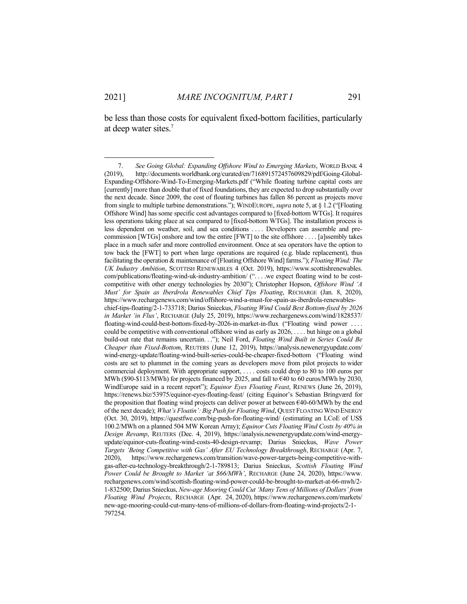<u>.</u>

be less than those costs for equivalent fixed-bottom facilities, particularly at deep water sites.<sup>7</sup>

 <sup>7.</sup> *See Going Global: Expanding Offshore Wind to Emerging Markets*, WORLD BANK 4 (2019), http://documents.worldbank.org/curated/en/716891572457609829/pdf/Going-Global-Expanding-Offshore-Wind-To-Emerging-Markets.pdf ("While floating turbine capital costs are [currently] more than double that of fixed foundations, they are expected to drop substantially over the next decade. Since 2009, the cost of floating turbines has fallen 86 percent as projects move from single to multiple turbine demonstrations."); WINDEUROPE, *supra* note 5, at § 1.2 ("[Floating Offshore Wind] has some specific cost advantages compared to [fixed-bottom WTGs]. It requires less operations taking place at sea compared to [fixed-bottom WTGs]. The installation process is less dependent on weather, soil, and sea conditions . . . . Developers can assemble and precommission [WTGs] onshore and tow the entire [FWT] to the site offshore . . . . [a]ssembly takes place in a much safer and more controlled environment. Once at sea operators have the option to tow back the [FWT] to port when large operations are required (e.g. blade replacement), thus facilitating the operation & maintenance of [Floating Offshore Wind] farms."); *Floating Wind: The UK Industry Ambition*, SCOTTISH RENEWABLES 4 (Oct. 2019), https://www.scottishrenewables. com/publications/floating-wind-uk-industry-ambition/ (". . . .we expect floating wind to be costcompetitive with other energy technologies by 2030"); Christopher Hopson, *Offshore Wind 'A Must' for Spain as Iberdrola Renewables Chief Tips Floating*, RECHARGE (Jan. 8, 2020), https://www.rechargenews.com/wind/offshore-wind-a-must-for-spain-as-iberdrola-renewableschief-tips-floating/2-1-733718; Darius Snieckus, *Floating Wind Could Best Bottom-fixed by 2026 in Market 'in Flux'*, RECHARGE (July 25, 2019), https://www.rechargenews.com/wind/1828537/ floating-wind-could-best-bottom-fixed-by-2026-in-market-in-flux ("Floating wind power . . . . could be competitive with conventional offshore wind as early as 2026, . . . . but hinge on a global build-out rate that remains uncertain. . ."); Neil Ford, *Floating Wind Built in Series Could Be Cheaper than Fixed-Bottom*, REUTERS (June 12, 2019), https://analysis.newenergyupdate.com/ wind-energy-update/floating-wind-built-series-could-be-cheaper-fixed-bottom ("Floating wind costs are set to plummet in the coming years as developers move from pilot projects to wider commercial deployment. With appropriate support, . . . . costs could drop to 80 to 100 euros per MWh (\$90-\$113/MWh) for projects financed by 2025, and fall to €40 to 60 euros/MWh by 2030, WindEurope said in a recent report"); *Equinor Eyes Floating Feast*, RENEWS (June 26, 2019), https://renews.biz/53975/equinor-eyes-floating-feast/ (citing Equinor's Sebastian Bringværd for the proposition that floating wind projects can deliver power at between  $\epsilon$ 40-60/MWh by the end of the next decade); *What's Floatin': Big Push for Floating Wind*, QUEST FLOATING WIND ENERGY (Oct. 30, 2019), https://questfwe.com/big-push-for-floating-wind/ (estimating an LCoE of US\$ 100.2/MWh on a planned 504 MW Korean Array); *Equinor Cuts Floating Wind Costs by 40% in Design Revamp*, REUTERS (Dec. 4, 2019), https://analysis.newenergyupdate.com/wind-energyupdate/equinor-cuts-floating-wind-costs-40-design-revamp; Darius Snieckus, *Wave Power Targets 'Being Competitive with Gas' After EU Technology Breakthrough*, RECHARGE (Apr. 7, 2020), https://www.rechargenews.com/transition/wave-power-targets-being-competitive-withgas-after-eu-technology-breakthrough/2-1-789813; Darius Snieckus, *Scottish Floating Wind Power Could be Brought to Market 'at \$66/MWh'*, RECHARGE (June 24, 2020), https://www. rechargenews.com/wind/scottish-floating-wind-power-could-be-brought-to-market-at-66-mwh/2- 1-832500; Darius Snieckus, *New-age Mooring Could Cut 'Many Tens of Millions of Dollars' from Floating Wind Projects*, RECHARGE (Apr. 24, 2020), https://www.rechargenews.com/markets/ new-age-mooring-could-cut-many-tens-of-millions-of-dollars-from-floating-wind-projects/2-1- 797254.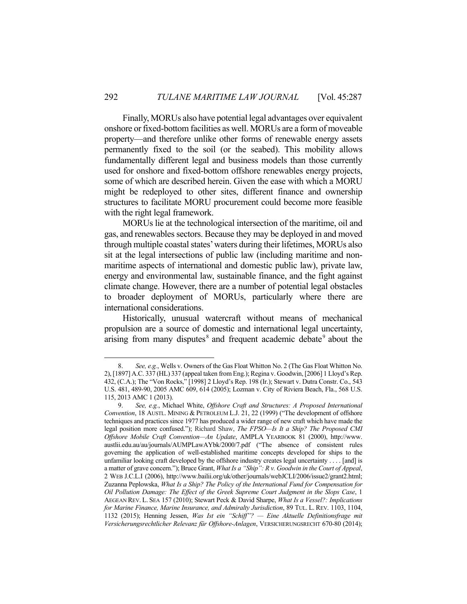Finally, MORUs also have potential legal advantages over equivalent onshore or fixed-bottom facilities as well. MORUs are a form of moveable property—and therefore unlike other forms of renewable energy assets permanently fixed to the soil (or the seabed). This mobility allows fundamentally different legal and business models than those currently used for onshore and fixed-bottom offshore renewables energy projects, some of which are described herein. Given the ease with which a MORU might be redeployed to other sites, different finance and ownership structures to facilitate MORU procurement could become more feasible with the right legal framework.

 MORUs lie at the technological intersection of the maritime, oil and gas, and renewables sectors. Because they may be deployed in and moved through multiple coastal states' waters during their lifetimes, MORUs also sit at the legal intersections of public law (including maritime and nonmaritime aspects of international and domestic public law), private law, energy and environmental law, sustainable finance, and the fight against climate change. However, there are a number of potential legal obstacles to broader deployment of MORUs, particularly where there are international considerations.

 Historically, unusual watercraft without means of mechanical propulsion are a source of domestic and international legal uncertainty, arising from many disputes<sup>8</sup> and frequent academic debate<sup>9</sup> about the

 <sup>8.</sup> *See, e.g.*, Wells v. Owners of the Gas Float Whitton No. 2 (The Gas Float Whitton No. 2), [1897] A.C. 337 (HL) 337 (appeal taken from Eng.); Regina v. Goodwin, [2006] 1 Lloyd's Rep. 432, (C.A.); The "Von Rocks," [1998] 2 Lloyd's Rep. 198 (Ir.); Stewart v. Dutra Constr. Co., 543 U.S. 481, 489-90, 2005 AMC 609, 614 (2005); Lozman v. City of Riviera Beach, Fla., 568 U.S. 115, 2013 AMC 1 (2013).

 <sup>9.</sup> *See, e.g.*, Michael White, *Offshore Craft and Structures: A Proposed International Convention*, 18 AUSTL. MINING & PETROLEUM L.J. 21, 22 (1999) ("The development of offshore techniques and practices since 1977 has produced a wider range of new craft which have made the legal position more confused."); Richard Shaw, *The FPSO—Is It a Ship? The Proposed CMI Offshore Mobile Craft Convention—An Update*, AMPLA YEARBOOK 81 (2000), http://www. austlii.edu.au/au/journals/AUMPLawAYbk/2000/7.pdf ("The absence of consistent rules governing the application of well-established maritime concepts developed for ships to the unfamiliar looking craft developed by the offshore industry creates legal uncertainty . . . . [and] is a matter of grave concern."); Bruce Grant, *What Is a "Ship": R v. Goodwin in the Court of Appeal*, 2 WEB J.C.L.I (2006), http://www.bailii.org/uk/other/journals/webJCLI/2006/issue2/grant2.html; Zuzanna Peplowska, *What Is a Ship? The Policy of the International Fund for Compensation for Oil Pollution Damage: The Effect of the Greek Supreme Court Judgment in the Slops Case*, 1 AEGEAN REV. L. SEA 157 (2010); Stewart Peck & David Sharpe, *What Is a Vessel?: Implications for Marine Finance, Marine Insurance, and Admiralty Jurisdiction*, 89 TUL. L. REV. 1103, 1104, 1132 (2015); Henning Jessen, *Was Ist ein "Schiff"? — Eine Aktuelle Definitionsfrage mit Versicherungsrechtlicher Relevanz für Offshore-Anlagen*, VERSICHERUNGSRECHT 670-80 (2014);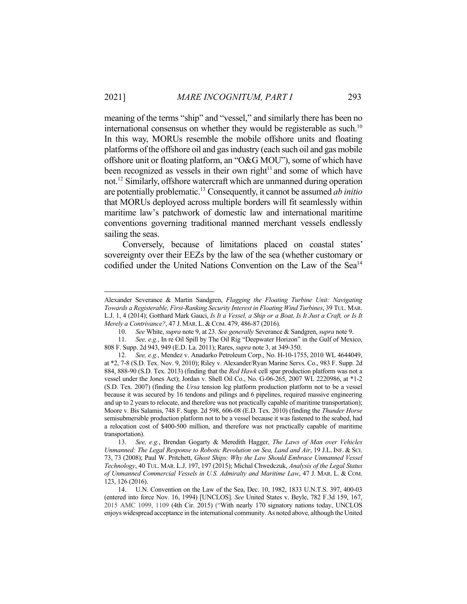meaning of the terms "ship" and "vessel," and similarly there has been no international consensus on whether they would be registerable as such. $10$ In this way, MORUs resemble the mobile offshore units and floating platforms of the offshore oil and gas industry (each such oil and gas mobile offshore unit or floating platform, an "O&G MOU"), some of which have been recognized as vessels in their own right<sup>11</sup> and some of which have not.12 Similarly, offshore watercraft which are unmanned during operation are potentially problematic.13 Consequently, it cannot be assumed *ab initio* that MORUs deployed across multiple borders will fit seamlessly within maritime law's patchwork of domestic law and international maritime conventions governing traditional manned merchant vessels endlessly sailing the seas.

 Conversely, because of limitations placed on coastal states' sovereignty over their EEZs by the law of the sea (whether customary or codified under the United Nations Convention on the Law of the Sea<sup>14</sup>

Alexander Severance & Martin Sandgren, *Flagging the Floating Turbine Unit: Navigating Towards a Registerable, First-Ranking Security Interest in Floating Wind Turbines*, 39 TUL. MAR. L.J. 1, 4 (2014); Gotthard Mark Gauci, *Is It a Vessel, a Ship or a Boat, Is It Just a Craft, or Is It Merely a Contrivance?*, 47 J. MAR. L. & COM. 479, 486-87 (2016).

 <sup>10.</sup> *See* White, *supra* note 9, at 23. *See generally* Severance & Sandgren, *supra* note 9.

 <sup>11.</sup> *See, e.g.*, In re Oil Spill by The Oil Rig "Deepwater Horizon" in the Gulf of Mexico, 808 F. Supp. 2d 943, 949 (E.D. La. 2011); Rares, *supra* note 3, at 349-350.

 <sup>12.</sup> *See, e.g.*, Mendez v. Anadarko Petroleum Corp., No. H-10-1755, 2010 WL 4644049, at \*2, 7-8 (S.D. Tex. Nov. 9, 2010); Riley v. Alexander/Ryan Marine Servs. Co., 983 F. Supp. 2d 884, 888-90 (S.D. Tex. 2013) (finding that the *Red Hawk* cell spar production platform was not a vessel under the Jones Act); Jordan v. Shell Oil Co., No. G-06-265, 2007 WL 2220986, at \*1-2 (S.D. Tex. 2007) (finding the *Ursa* tension leg platform production platform not to be a vessel because it was secured by 16 tendons and pilings and 6 pipelines, required massive engineering and up to 2 years to relocate, and therefore was not practically capable of maritime transportation); Moore v. Bis Salamis, 748 F. Supp. 2d 598, 606-08 (E.D. Tex. 2010) (finding the *Thunder Horse*  semisubmersible production platform not to be a vessel because it was fastened to the seabed, had a relocation cost of \$400-500 million, and therefore was not practically capable of maritime transportation).

 <sup>13.</sup> *See, e.g.*, Brendan Gogarty & Meredith Hagger, *The Laws of Man over Vehicles Unmanned: The Legal Response to Robotic Revolution on Sea, Land and Air*, 19 J.L. INF. & SCI. 73, 73 (2008); Paul W. Pritchett, *Ghost Ships: Why the Law Should Embrace Unmanned Vessel Technology*, 40 TUL. MAR. L.J. 197, 197 (2015); Michal Chwedczuk, *Analysis of the Legal Status of Unmanned Commercial Vessels in U.S. Admiralty and Maritime Law*, 47 J. MAR. L. & COM. 123, 126 (2016).

 <sup>14.</sup> U.N. Convention on the Law of the Sea, Dec. 10, 1982, 1833 U.N.T.S. 397, 400-03 (entered into force Nov. 16, 1994) [UNCLOS]. *See* United States v. Beyle, 782 F.3d 159, 167, 2015 AMC 1099, 1109 (4th Cir. 2015) ("With nearly 170 signatory nations today, UNCLOS enjoys widespread acceptance in the international community. As noted above, although the United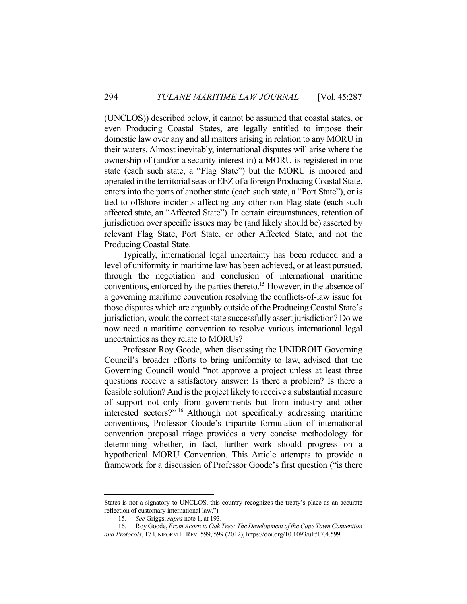(UNCLOS)) described below, it cannot be assumed that coastal states, or even Producing Coastal States, are legally entitled to impose their domestic law over any and all matters arising in relation to any MORU in their waters. Almost inevitably, international disputes will arise where the ownership of (and/or a security interest in) a MORU is registered in one state (each such state, a "Flag State") but the MORU is moored and operated in the territorial seas or EEZ of a foreign Producing Coastal State, enters into the ports of another state (each such state, a "Port State"), or is tied to offshore incidents affecting any other non-Flag state (each such affected state, an "Affected State"). In certain circumstances, retention of jurisdiction over specific issues may be (and likely should be) asserted by relevant Flag State, Port State, or other Affected State, and not the Producing Coastal State.

 Typically, international legal uncertainty has been reduced and a level of uniformity in maritime law has been achieved, or at least pursued, through the negotiation and conclusion of international maritime conventions, enforced by the parties thereto.<sup>15</sup> However, in the absence of a governing maritime convention resolving the conflicts-of-law issue for those disputes which are arguably outside of the Producing Coastal State's jurisdiction, would the correct state successfully assert jurisdiction? Do we now need a maritime convention to resolve various international legal uncertainties as they relate to MORUs?

 Professor Roy Goode, when discussing the UNIDROIT Governing Council's broader efforts to bring uniformity to law, advised that the Governing Council would "not approve a project unless at least three questions receive a satisfactory answer: Is there a problem? Is there a feasible solution? And is the project likely to receive a substantial measure of support not only from governments but from industry and other interested sectors?" 16 Although not specifically addressing maritime conventions, Professor Goode's tripartite formulation of international convention proposal triage provides a very concise methodology for determining whether, in fact, further work should progress on a hypothetical MORU Convention. This Article attempts to provide a framework for a discussion of Professor Goode's first question ("is there

States is not a signatory to UNCLOS, this country recognizes the treaty's place as an accurate reflection of customary international law.").

 <sup>15.</sup> *See* Griggs, *supra* note 1, at 193.

 <sup>16.</sup> Roy Goode, *From Acorn to Oak Tree: The Development of the Cape Town Convention and Protocols*, 17 UNIFORM L.REV. 599, 599 (2012), https://doi.org/10.1093/ulr/17.4.599.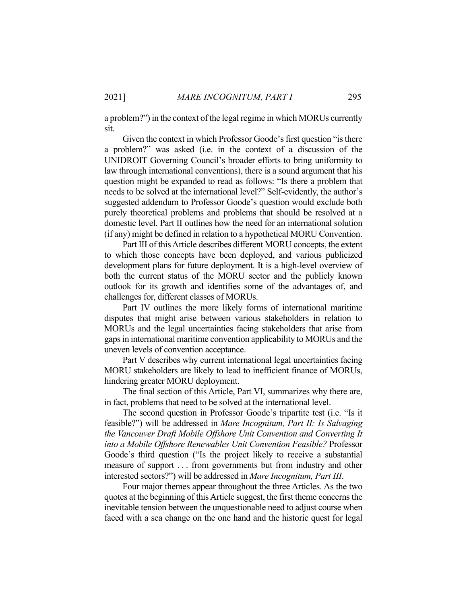a problem?") in the context of the legal regime in which MORUs currently sit.

 Given the context in which Professor Goode's first question "is there a problem?" was asked (i.e. in the context of a discussion of the UNIDROIT Governing Council's broader efforts to bring uniformity to law through international conventions), there is a sound argument that his question might be expanded to read as follows: "Is there a problem that needs to be solved at the international level?" Self-evidently, the author's suggested addendum to Professor Goode's question would exclude both purely theoretical problems and problems that should be resolved at a domestic level. Part II outlines how the need for an international solution (if any) might be defined in relation to a hypothetical MORU Convention.

 Part III of this Article describes different MORU concepts, the extent to which those concepts have been deployed, and various publicized development plans for future deployment. It is a high-level overview of both the current status of the MORU sector and the publicly known outlook for its growth and identifies some of the advantages of, and challenges for, different classes of MORUs.

 Part IV outlines the more likely forms of international maritime disputes that might arise between various stakeholders in relation to MORUs and the legal uncertainties facing stakeholders that arise from gaps in international maritime convention applicability to MORUs and the uneven levels of convention acceptance.

 Part V describes why current international legal uncertainties facing MORU stakeholders are likely to lead to inefficient finance of MORUs, hindering greater MORU deployment.

 The final section of this Article, Part VI, summarizes why there are, in fact, problems that need to be solved at the international level.

 The second question in Professor Goode's tripartite test (i.e. "Is it feasible?") will be addressed in *Mare Incognitum, Part II: Is Salvaging the Vancouver Draft Mobile Offshore Unit Convention and Converting It into a Mobile Offshore Renewables Unit Convention Feasible?* Professor Goode's third question ("Is the project likely to receive a substantial measure of support . . . from governments but from industry and other interested sectors?") will be addressed in *Mare Incognitum, Part III*.

 Four major themes appear throughout the three Articles. As the two quotes at the beginning of this Article suggest, the first theme concerns the inevitable tension between the unquestionable need to adjust course when faced with a sea change on the one hand and the historic quest for legal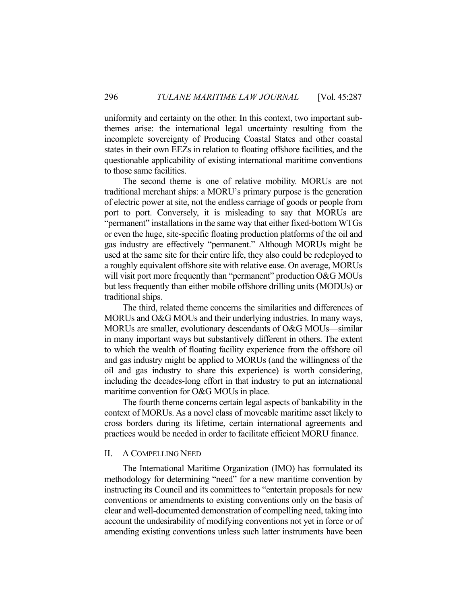uniformity and certainty on the other. In this context, two important subthemes arise: the international legal uncertainty resulting from the incomplete sovereignty of Producing Coastal States and other coastal states in their own EEZs in relation to floating offshore facilities, and the questionable applicability of existing international maritime conventions to those same facilities.

 The second theme is one of relative mobility. MORUs are not traditional merchant ships: a MORU's primary purpose is the generation of electric power at site, not the endless carriage of goods or people from port to port. Conversely, it is misleading to say that MORUs are "permanent" installations in the same way that either fixed-bottom WTGs or even the huge, site-specific floating production platforms of the oil and gas industry are effectively "permanent." Although MORUs might be used at the same site for their entire life, they also could be redeployed to a roughly equivalent offshore site with relative ease. On average, MORUs will visit port more frequently than "permanent" production O&G MOUs but less frequently than either mobile offshore drilling units (MODUs) or traditional ships.

 The third, related theme concerns the similarities and differences of MORUs and O&G MOUs and their underlying industries. In many ways, MORUs are smaller, evolutionary descendants of O&G MOUs—similar in many important ways but substantively different in others. The extent to which the wealth of floating facility experience from the offshore oil and gas industry might be applied to MORUs (and the willingness of the oil and gas industry to share this experience) is worth considering, including the decades-long effort in that industry to put an international maritime convention for O&G MOUs in place.

 The fourth theme concerns certain legal aspects of bankability in the context of MORUs. As a novel class of moveable maritime asset likely to cross borders during its lifetime, certain international agreements and practices would be needed in order to facilitate efficient MORU finance.

### II. A COMPELLING NEED

 The International Maritime Organization (IMO) has formulated its methodology for determining "need" for a new maritime convention by instructing its Council and its committees to "entertain proposals for new conventions or amendments to existing conventions only on the basis of clear and well-documented demonstration of compelling need, taking into account the undesirability of modifying conventions not yet in force or of amending existing conventions unless such latter instruments have been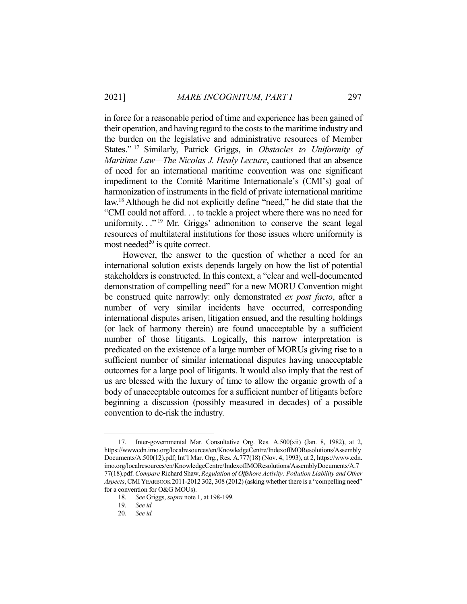in force for a reasonable period of time and experience has been gained of their operation, and having regard to the costs to the maritime industry and the burden on the legislative and administrative resources of Member States." 17 Similarly, Patrick Griggs, in *Obstacles to Uniformity of Maritime Law—The Nicolas J. Healy Lecture*, cautioned that an absence of need for an international maritime convention was one significant impediment to the Comité Maritime Internationale's (CMI's) goal of harmonization of instruments in the field of private international maritime law.18 Although he did not explicitly define "need," he did state that the "CMI could not afford. . . to tackle a project where there was no need for uniformity.  $\cdot$ <sup>19</sup> Mr. Griggs' admonition to conserve the scant legal resources of multilateral institutions for those issues where uniformity is most needed $^{20}$  is quite correct.

 However, the answer to the question of whether a need for an international solution exists depends largely on how the list of potential stakeholders is constructed. In this context, a "clear and well-documented demonstration of compelling need" for a new MORU Convention might be construed quite narrowly: only demonstrated *ex post facto*, after a number of very similar incidents have occurred, corresponding international disputes arisen, litigation ensued, and the resulting holdings (or lack of harmony therein) are found unacceptable by a sufficient number of those litigants. Logically, this narrow interpretation is predicated on the existence of a large number of MORUs giving rise to a sufficient number of similar international disputes having unacceptable outcomes for a large pool of litigants. It would also imply that the rest of us are blessed with the luxury of time to allow the organic growth of a body of unacceptable outcomes for a sufficient number of litigants before beginning a discussion (possibly measured in decades) of a possible convention to de-risk the industry.

 <sup>17.</sup> Inter-governmental Mar. Consultative Org. Res. A.500(xii) (Jan. 8, 1982), at 2, https://wwwcdn.imo.org/localresources/en/KnowledgeCentre/IndexofIMOResolutions/Assembly Documents/A.500(12).pdf; Int'l Mar. Org., Res. A.777(18) (Nov. 4, 1993), at 2, https://www.cdn. imo.org/localresources/en/KnowledgeCentre/IndexofIMOResolutions/AssemblyDocuments/A.7 77(18).pdf. *Compare* Richard Shaw, *Regulation of Offshore Activity: Pollution Liability and Other Aspects*, CMIYEARBOOK 2011-2012 302, 308 (2012) (asking whether there is a "compelling need" for a convention for O&G MOUs).

 <sup>18.</sup> *See* Griggs, *supra* note 1, at 198-199.

 <sup>19.</sup> *See id.* 

 <sup>20.</sup> *See id.*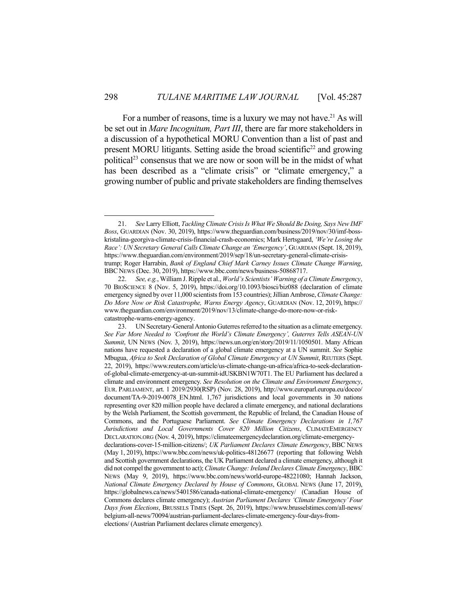For a number of reasons, time is a luxury we may not have.<sup>21</sup> As will be set out in *Mare Incognitum, Part III*, there are far more stakeholders in a discussion of a hypothetical MORU Convention than a list of past and present MORU litigants. Setting aside the broad scientific<sup>22</sup> and growing political<sup>23</sup> consensus that we are now or soon will be in the midst of what has been described as a "climate crisis" or "climate emergency," a growing number of public and private stakeholders are finding themselves

 <sup>21.</sup> *See* Larry Elliott, *Tackling Climate Crisis Is What We Should Be Doing, Says New IMF Boss*, GUARDIAN (Nov. 30, 2019), https://www.theguardian.com/business/2019/nov/30/imf-bosskristalina-georgiva-climate-crisis-financial-crash-economics; Mark Hertsgaard, *'We're Losing the Race': UN Secretary General Calls Climate Change an 'Emergency'*, GUARDIAN (Sept. 18, 2019), https://www.theguardian.com/environment/2019/sep/18/un-secretary-general-climate-crisistrump; Roger Harrabin, *Bank of England Chief Mark Carney Issues Climate Change Warning*, BBC NEWS (Dec. 30, 2019), https://www.bbc.com/news/business-50868717.

 <sup>22.</sup> *See, e.g.*, William J. Ripple et al., *World's Scientists' Warning of a Climate Emergency*, 70 BIOSCIENCE 8 (Nov. 5, 2019), https://doi.org/10.1093/biosci/biz088 (declaration of climate emergency signed by over 11,000 scientists from 153 countries); Jillian Ambrose, *Climate Change: Do More Now or Risk Catastrophe, Warns Energy Agency*, GUARDIAN (Nov. 12, 2019), https:// www.theguardian.com/environment/2019/nov/13/climate-change-do-more-now-or-riskcatastrophe-warns-energy-agency.

 <sup>23.</sup> UN Secretary-General Antonio Guterres referred to the situation as a climate emergency. *See Far More Needed to 'Confront the World's Climate Emergency', Guterres Tells ASEAN-UN Summit*, UN NEWS (Nov. 3, 2019), https://news.un.org/en/story/2019/11/1050501. Many African nations have requested a declaration of a global climate emergency at a UN summit. *See* Sophie Mbugua, *Africa to Seek Declaration of Global Climate Emergency at UN Summit*, REUTERS (Sept. 22, 2019), https://www.reuters.com/article/us-climate-change-un-africa/africa-to-seek-declarationof-global-climate-emergency-at-un-summit-idUSKBN1W70T1. The EU Parliament has declared a climate and environment emergency. *See Resolution on the Climate and Environment Emergency*, EUR. PARLIAMENT, art. 1 2019/2930(RSP) (Nov. 28, 2019), http://www.europarl.europa.eu/doceo/ document/TA-9-2019-0078\_EN.html. 1,767 jurisdictions and local governments in 30 nations representing over 820 million people have declared a climate emergency, and national declarations by the Welsh Parliament, the Scottish government, the Republic of Ireland, the Canadian House of Commons, and the Portuguese Parliament. *See Climate Emergency Declarations in 1,767 Jurisdictions and Local Governments Cover 820 Million Citizens*, CLIMATEEMERGENCY DECLARATION.ORG (Nov. 4, 2019), https://climateemergencydeclaration.org/climate-emergencydeclarations-cover-15-million-citizens/; *UK Parliament Declares Climate Emergency*, BBC NEWS (May 1, 2019), https://www.bbc.com/news/uk-politics-48126677 (reporting that following Welsh and Scottish government declarations, the UK Parliament declared a climate emergency, although it did not compel the government to act); *Climate Change: Ireland Declares Climate Emergency*, BBC NEWS (May 9, 2019), https://www.bbc.com/news/world-europe-48221080; Hannah Jackson, *National Climate Emergency Declared by House of Commons*, GLOBAL NEWS (June 17, 2019), https://globalnews.ca/news/5401586/canada-national-climate-emergency/ (Canadian House of Commons declares climate emergency); *Austrian Parliament Declares 'Climate Emergency' Four Days from Elections*, BRUSSELS TIMES (Sept. 26, 2019), https://www.brusselstimes.com/all-news/ belgium-all-news/70094/austrian-parliament-declares-climate-emergency-four-days-fromelections/ (Austrian Parliament declares climate emergency).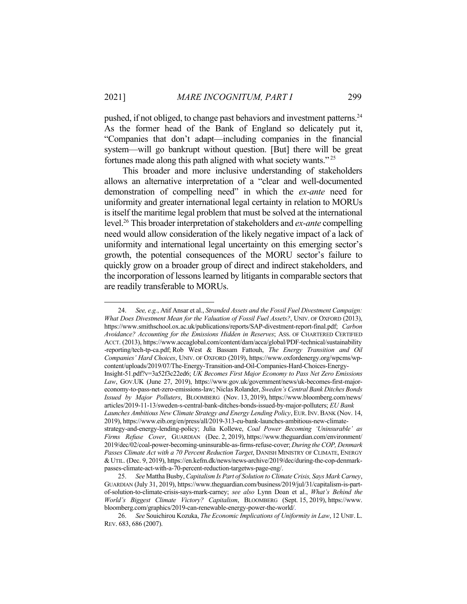<u>.</u>

pushed, if not obliged, to change past behaviors and investment patterns.<sup>24</sup> As the former head of the Bank of England so delicately put it, "Companies that don't adapt—including companies in the financial system—will go bankrupt without question. [But] there will be great fortunes made along this path aligned with what society wants." <sup>25</sup>

 This broader and more inclusive understanding of stakeholders allows an alternative interpretation of a "clear and well-documented demonstration of compelling need" in which the *ex-ante* need for uniformity and greater international legal certainty in relation to MORUs is itself the maritime legal problem that must be solved at the international level.26 This broader interpretation of stakeholders and *ex-ante* compelling need would allow consideration of the likely negative impact of a lack of uniformity and international legal uncertainty on this emerging sector's growth, the potential consequences of the MORU sector's failure to quickly grow on a broader group of direct and indirect stakeholders, and the incorporation of lessons learned by litigants in comparable sectors that are readily transferable to MORUs.

 <sup>24.</sup> *See, e.g.*, Atif Ansar et al., *Stranded Assets and the Fossil Fuel Divestment Campaign: What Does Divestment Mean for the Valuation of Fossil Fuel Assets?*, UNIV. OF OXFORD (2013), https://www.smithschool.ox.ac.uk/publications/reports/SAP-divestment-report-final.pdf; *Carbon Avoidance? Accounting for the Emissions Hidden in Reserves*; ASS. OF CHARTERED CERTIFIED ACCT. (2013), https://www.accaglobal.com/content/dam/acca/global/PDF-technical/sustainability -reporting/tech-tp-ca.pdf; Rob West & Bassam Fattouh, *The Energy Transition and Oil Companies' Hard Choices*, UNIV. OF OXFORD (2019), https://www.oxfordenergy.org/wpcms/wpcontent/uploads/2019/07/The-Energy-Transition-and-Oil-Companies-Hard-Choices-Energy-Insight-51.pdf?v=3a52f3c22ed6; *UK Becomes First Major Economy to Pass Net Zero Emissions Law*, GOV.UK (June 27, 2019), https://www.gov.uk/government/news/uk-becomes-first-majoreconomy-to-pass-net-zero-emissions-law; Niclas Rolander, *Sweden's Central Bank Ditches Bonds Issued by Major Polluters*, BLOOMBERG (Nov. 13, 2019), https://www.bloomberg.com/news/ articles/2019-11-13/sweden-s-central-bank-ditches-bonds-issued-by-major-polluters; *EU Bank* 

*Launches Ambitious New Climate Strategy and Energy Lending Policy*, EUR.INV.BANK (Nov. 14, 2019), https://www.eib.org/en/press/all/2019-313-eu-bank-launches-ambitious-new-climate-

strategy-and-energy-lending-policy; Julia Kollewe, *Coal Power Becoming 'Uninsurable' as Firms Refuse Cover*, GUARDIAN (Dec. 2, 2019), https://www.theguardian.com/environment/ 2019/dec/02/coal-power-becoming-uninsurable-as-firms-refuse-cover; *During the COP, Denmark Passes Climate Act with a 70 Percent Reduction Target*, DANISH MINISTRY OF CLIMATE, ENERGY &UTIL. (Dec. 9, 2019), https://en.kefm.dk/news/news-archive/2019/dec/during-the-cop-denmarkpasses-climate-act-with-a-70-percent-reduction-targetws-page-eng/.

 <sup>25.</sup> *See* Mattha Busby, *Capitalism Is Part of Solution to Climate Crisis, Says Mark Carney*, GUARDIAN (July 31, 2019), https://www.theguardian.com/business/2019/jul/31/capitalism-is-partof-solution-to-climate-crisis-says-mark-carney; *see also* Lynn Doan et al., *What's Behind the World's Biggest Climate Victory? Capitalism*, BLOOMBERG (Sept. 15, 2019), https://www. bloomberg.com/graphics/2019-can-renewable-energy-power-the-world/.

 <sup>26.</sup> *See* Souichirou Kozuka, *The Economic Implications of Uniformity in Law*, 12 UNIF. L. REV. 683, 686 (2007).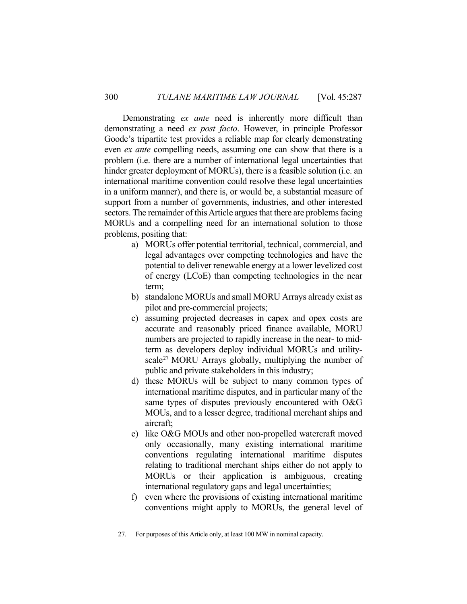Demonstrating *ex ante* need is inherently more difficult than demonstrating a need *ex post facto*. However, in principle Professor Goode's tripartite test provides a reliable map for clearly demonstrating even *ex ante* compelling needs, assuming one can show that there is a problem (i.e. there are a number of international legal uncertainties that hinder greater deployment of MORUs), there is a feasible solution (i.e. an international maritime convention could resolve these legal uncertainties in a uniform manner), and there is, or would be, a substantial measure of support from a number of governments, industries, and other interested sectors. The remainder of this Article argues that there are problems facing MORUs and a compelling need for an international solution to those problems, positing that:

- a) MORUs offer potential territorial, technical, commercial, and legal advantages over competing technologies and have the potential to deliver renewable energy at a lower levelized cost of energy (LCoE) than competing technologies in the near term;
- b) standalone MORUs and small MORU Arrays already exist as pilot and pre-commercial projects;
- c) assuming projected decreases in capex and opex costs are accurate and reasonably priced finance available, MORU numbers are projected to rapidly increase in the near- to midterm as developers deploy individual MORUs and utilityscale<sup>27</sup> MORU Arrays globally, multiplying the number of public and private stakeholders in this industry;
- d) these MORUs will be subject to many common types of international maritime disputes, and in particular many of the same types of disputes previously encountered with O&G MOUs, and to a lesser degree, traditional merchant ships and aircraft;
- e) like O&G MOUs and other non-propelled watercraft moved only occasionally, many existing international maritime conventions regulating international maritime disputes relating to traditional merchant ships either do not apply to MORUs or their application is ambiguous, creating international regulatory gaps and legal uncertainties;
- f) even where the provisions of existing international maritime conventions might apply to MORUs, the general level of

 <sup>27.</sup> For purposes of this Article only, at least 100 MW in nominal capacity.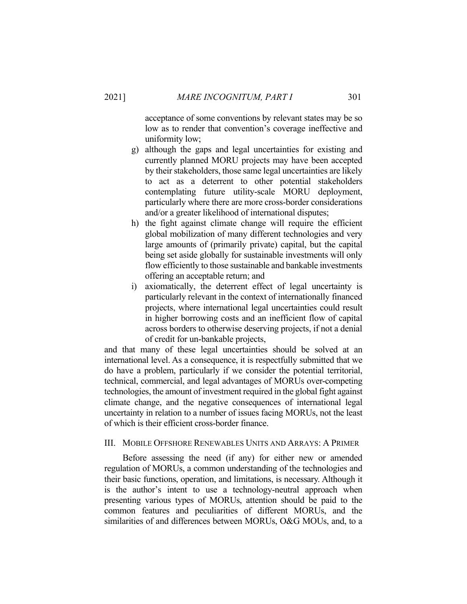acceptance of some conventions by relevant states may be so low as to render that convention's coverage ineffective and uniformity low;

- g) although the gaps and legal uncertainties for existing and currently planned MORU projects may have been accepted by their stakeholders, those same legal uncertainties are likely to act as a deterrent to other potential stakeholders contemplating future utility-scale MORU deployment, particularly where there are more cross-border considerations and/or a greater likelihood of international disputes;
- h) the fight against climate change will require the efficient global mobilization of many different technologies and very large amounts of (primarily private) capital, but the capital being set aside globally for sustainable investments will only flow efficiently to those sustainable and bankable investments offering an acceptable return; and
- i) axiomatically, the deterrent effect of legal uncertainty is particularly relevant in the context of internationally financed projects, where international legal uncertainties could result in higher borrowing costs and an inefficient flow of capital across borders to otherwise deserving projects, if not a denial of credit for un-bankable projects,

and that many of these legal uncertainties should be solved at an international level. As a consequence, it is respectfully submitted that we do have a problem, particularly if we consider the potential territorial, technical, commercial, and legal advantages of MORUs over-competing technologies, the amount of investment required in the global fight against climate change, and the negative consequences of international legal uncertainty in relation to a number of issues facing MORUs, not the least of which is their efficient cross-border finance.

## III. MOBILE OFFSHORE RENEWABLES UNITS AND ARRAYS: A PRIMER

 Before assessing the need (if any) for either new or amended regulation of MORUs, a common understanding of the technologies and their basic functions, operation, and limitations, is necessary. Although it is the author's intent to use a technology-neutral approach when presenting various types of MORUs, attention should be paid to the common features and peculiarities of different MORUs, and the similarities of and differences between MORUs, O&G MOUs, and, to a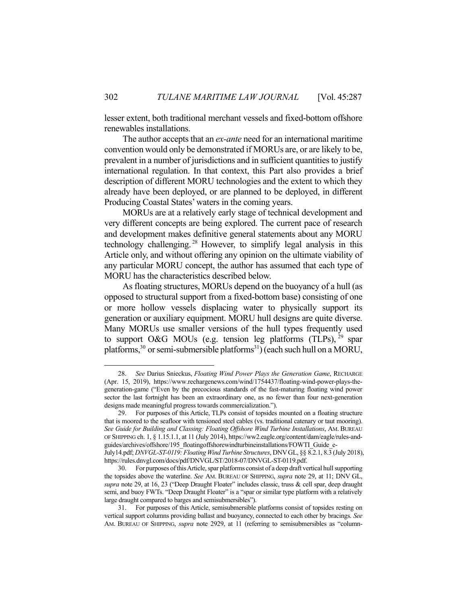lesser extent, both traditional merchant vessels and fixed-bottom offshore renewables installations.

 The author accepts that an *ex-ante* need for an international maritime convention would only be demonstrated if MORUs are, or are likely to be, prevalent in a number of jurisdictions and in sufficient quantities to justify international regulation. In that context, this Part also provides a brief description of different MORU technologies and the extent to which they already have been deployed, or are planned to be deployed, in different Producing Coastal States' waters in the coming years.

 MORUs are at a relatively early stage of technical development and very different concepts are being explored. The current pace of research and development makes definitive general statements about any MORU technology challenging. 28 However, to simplify legal analysis in this Article only, and without offering any opinion on the ultimate viability of any particular MORU concept, the author has assumed that each type of MORU has the characteristics described below.

 As floating structures, MORUs depend on the buoyancy of a hull (as opposed to structural support from a fixed-bottom base) consisting of one or more hollow vessels displacing water to physically support its generation or auxiliary equipment. MORU hull designs are quite diverse. Many MORUs use smaller versions of the hull types frequently used to support O&G MOUs (e.g. tension leg platforms  $(TLPs)$ , <sup>29</sup> spar platforms,<sup>30</sup> or semi-submersible platforms<sup>31</sup>) (each such hull on a MORU,

 <sup>28.</sup> *See* Darius Snieckus, *Floating Wind Power Plays the Generation Game*, RECHARGE (Apr. 15, 2019), https://www.rechargenews.com/wind/1754437/floating-wind-power-plays-thegeneration-game ("Even by the precocious standards of the fast-maturing floating wind power sector the last fortnight has been an extraordinary one, as no fewer than four next-generation designs made meaningful progress towards commercialization.").

 <sup>29.</sup> For purposes of this Article, TLPs consist of topsides mounted on a floating structure that is moored to the seafloor with tensioned steel cables (vs. traditional catenary or taut mooring). *See Guide for Building and Classing: Floating Offshore Wind Turbine Installations*, AM. BUREAU OF SHIPPING ch. 1, § 1.15.1.1, at 11 (July 2014), https://ww2.eagle.org/content/dam/eagle/rules-andguides/archives/offshore/195\_floatingoffshorewindturbineinstallations/FOWTI\_Guide\_e-

July14.pdf; *DNVGL-ST-0119: Floating Wind Turbine Structures*, DNVGL, §§ 8.2.1, 8.3 (July 2018), https://rules.dnvgl.com/docs/pdf/DNVGL/ST/2018-07/DNVGL-ST-0119.pdf.

 <sup>30.</sup> For purposes of this Article, spar platforms consist of a deep draft vertical hull supporting the topsides above the waterline. *See* AM. BUREAU OF SHIPPING, *supra* note 29, at 11; DNV GL, *supra* note 29, at 16, 23 ("Deep Draught Floater" includes classic, truss & cell spar, deep draught semi, and buoy FWTs. "Deep Draught Floater" is a "spar or similar type platform with a relatively large draught compared to barges and semisubmersibles").

 <sup>31.</sup> For purposes of this Article, semisubmersible platforms consist of topsides resting on vertical support columns providing ballast and buoyancy, connected to each other by bracings. *See* AM. BUREAU OF SHIPPING, *supra* note 2929, at 11 (referring to semisubmersibles as "column-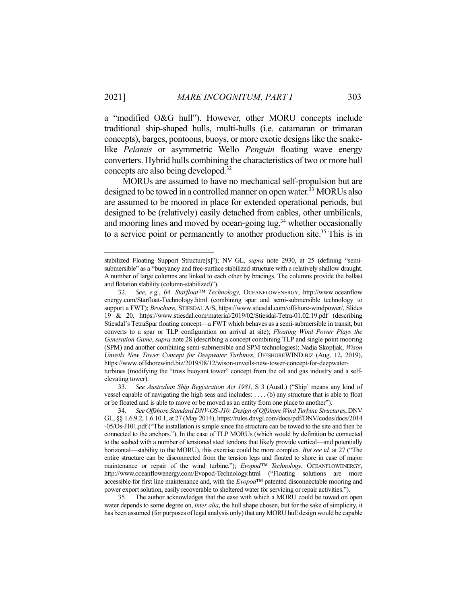a "modified O&G hull"). However, other MORU concepts include traditional ship-shaped hulls, multi-hulls (i.e. catamaran or trimaran concepts), barges, pontoons, buoys, or more exotic designs like the snakelike *Pelamis* or asymmetric Wello *Penguin* floating wave energy converters. Hybrid hulls combining the characteristics of two or more hull concepts are also being developed.32

 MORUs are assumed to have no mechanical self-propulsion but are designed to be towed in a controlled manner on open water.<sup>33</sup> MORUs also are assumed to be moored in place for extended operational periods, but designed to be (relatively) easily detached from cables, other umbilicals, and mooring lines and moved by ocean-going tug, $34$  whether occasionally to a service point or permanently to another production site.<sup>35</sup> This is in

1

 33. *See Australian Ship Registration Act 1981*, S 3 (Austl.) ("Ship' means any kind of vessel capable of navigating the high seas and includes: . . . . (b) any structure that is able to float or be floated and is able to move or be moved as an entity from one place to another").

 35. The author acknowledges that the ease with which a MORU could be towed on open water depends to some degree on, *inter alia*, the hull shape chosen, but for the sake of simplicity, it has been assumed (for purposes of legal analysis only) that any MORU hull design would be capable

stabilized Floating Support Structure[s]"); NV GL, *supra* note 2930, at 25 (defining "semisubmersible" as a "buoyancy and free-surface stabilized structure with a relatively shallow draught. A number of large columns are linked to each other by bracings. The columns provide the ballast and flotation stability (column-stabilized)").

 <sup>32.</sup> *See, e.g.*, *04. Starfloat™ Technology,* OCEANFLOWENERGY, http://www.oceanflow energy.com/Starfloat-Technology.html (combining spar and semi-submersible technology to support a FWT); *Brochure*, STIESDAL A/S, https://www.stiesdal.com/offshore-windpower/, Slides 19 & 20, https://www.stiesdal.com/material/2019/02/Stiesdal-Tetra-01.02.19.pdf (describing Stiesdal's TetraSpar floating concept—a FWT which behaves as a semi-submersible in transit, but converts to a spar or TLP configuration on arrival at site); *Floating Wind Power Plays the Generation Game*, *supra* note 28 (describing a concept combining TLP and single point mooring (SPM) and another combining semi-submersible and SPM technologies); Nadja Skopljak, *Wison Unveils New Tower Concept for Deepwater Turbines*, OFFSHOREWIND.BIZ (Aug. 12, 2019), https://www.offshorewind.biz/2019/08/12/wison-unveils-new-tower-concept-for-deepwaterturbines (modifying the "truss buoyant tower" concept from the oil and gas industry and a selfelevating tower).

 <sup>34.</sup> *See Offshore Standard DNV-OS-J10: Design of Offshore Wind Turbine Structures*, DNV GL, §§ 1.6.9.2, 1.6.10.1, at 27 (May 2014), https://rules.dnvgl.com/docs/pdf/DNV/codes/docs/2014 -05/Os-J101.pdf ("The installation is simple since the structure can be towed to the site and then be connected to the anchors."). In the case of TLP MORUs (which would by definition be connected to the seabed with a number of tensioned steel tendons that likely provide vertical—and potentially horizontal—stability to the MORU), this exercise could be more complex. *But see id.* at 27 ("The entire structure can be disconnected from the tension legs and floated to shore in case of major maintenance or repair of the wind turbine."); *Evopod™ Technology*, OCEANFLOWENERGY, http://www.oceanflowenergy.com/Evopod-Technology.html ("Floating solutions are more accessible for first line maintenance and, with the *Evopod*™ patented disconnectable mooring and power export solution, easily recoverable to sheltered water for servicing or repair activities.").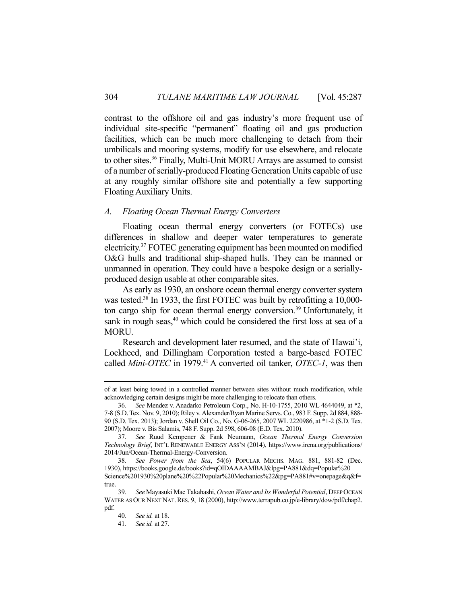contrast to the offshore oil and gas industry's more frequent use of individual site-specific "permanent" floating oil and gas production facilities, which can be much more challenging to detach from their umbilicals and mooring systems, modify for use elsewhere, and relocate to other sites.36 Finally, Multi-Unit MORU Arrays are assumed to consist of a number of serially-produced Floating Generation Units capable of use at any roughly similar offshore site and potentially a few supporting Floating Auxiliary Units.

## *A. Floating Ocean Thermal Energy Converters*

 Floating ocean thermal energy converters (or FOTECs) use differences in shallow and deeper water temperatures to generate electricity.37 FOTEC generating equipment has been mounted on modified O&G hulls and traditional ship-shaped hulls. They can be manned or unmanned in operation. They could have a bespoke design or a seriallyproduced design usable at other comparable sites.

 As early as 1930, an onshore ocean thermal energy converter system was tested.<sup>38</sup> In 1933, the first FOTEC was built by retrofitting a 10,000ton cargo ship for ocean thermal energy conversion.<sup>39</sup> Unfortunately, it sank in rough seas, $40$  which could be considered the first loss at sea of a MORU.

 Research and development later resumed, and the state of Hawai'i, Lockheed, and Dillingham Corporation tested a barge-based FOTEC called *Mini-OTEC* in 1979.<sup>41</sup> A converted oil tanker, *OTEC-1*, was then

of at least being towed in a controlled manner between sites without much modification, while acknowledging certain designs might be more challenging to relocate than others.

 <sup>36.</sup> *See* Mendez v. Anadarko Petroleum Corp., No. H-10-1755, 2010 WL 4644049, at \*2, 7-8 (S.D. Tex. Nov. 9, 2010); Riley v. Alexander/Ryan Marine Servs. Co., 983 F. Supp. 2d 884, 888- 90 (S.D. Tex. 2013); Jordan v. Shell Oil Co., No. G-06-265, 2007 WL 2220986, at \*1-2 (S.D. Tex. 2007); Moore v. Bis Salamis, 748 F. Supp. 2d 598, 606-08 (E.D. Tex. 2010).

 <sup>37.</sup> *See* Ruud Kempener & Fank Neumann, *Ocean Thermal Energy Conversion Technology Brief*, INT'L RENEWABLE ENERGY ASS'N (2014), https://www.irena.org/publications/ 2014/Jun/Ocean-Thermal-Energy-Conversion.

 <sup>38.</sup> *See Power from the Sea*, 54(6) POPULAR MECHS. MAG. 881, 881-82 (Dec. 1930), https://books.google.de/books?id=qOIDAAAAMBAJ&lpg=PA881&dq=Popular%20 Science%201930%20plane%20%22Popular%20Mechanics%22&pg=PA881#v=onepage&q&f= true.

 <sup>39.</sup> *See* Mayasuki Mac Takahashi, *Ocean Water and Its Wonderful Potential*, DEEP OCEAN WATER AS OUR NEXT NAT. RES. 9, 18 (2000), http://www.terrapub.co.jp/e-library/dow/pdf/chap2. pdf.

 <sup>40.</sup> *See id.* at 18.

 <sup>41.</sup> *See id.* at 27.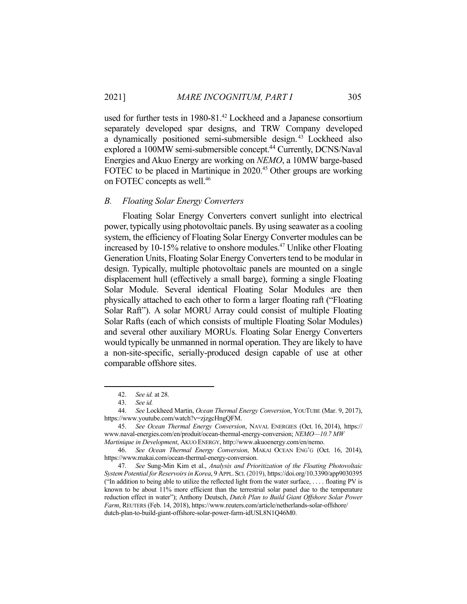used for further tests in 1980-81.42 Lockheed and a Japanese consortium separately developed spar designs, and TRW Company developed a dynamically positioned semi-submersible design. 43 Lockheed also explored a 100MW semi-submersible concept.<sup>44</sup> Currently, DCNS/Naval Energies and Akuo Energy are working on *NEMO*, a 10MW barge-based FOTEC to be placed in Martinique in 2020.<sup>45</sup> Other groups are working on FOTEC concepts as well.<sup>46</sup>

## *B. Floating Solar Energy Converters*

 Floating Solar Energy Converters convert sunlight into electrical power, typically using photovoltaic panels. By using seawater as a cooling system, the efficiency of Floating Solar Energy Converter modules can be increased by 10-15% relative to onshore modules.47 Unlike other Floating Generation Units, Floating Solar Energy Converters tend to be modular in design. Typically, multiple photovoltaic panels are mounted on a single displacement hull (effectively a small barge), forming a single Floating Solar Module. Several identical Floating Solar Modules are then physically attached to each other to form a larger floating raft ("Floating Solar Raft"). A solar MORU Array could consist of multiple Floating Solar Rafts (each of which consists of multiple Floating Solar Modules) and several other auxiliary MORUs. Floating Solar Energy Converters would typically be unmanned in normal operation. They are likely to have a non-site-specific, serially-produced design capable of use at other comparable offshore sites.

 <sup>42.</sup> *See id.* at 28.

 <sup>43.</sup> *See id.*

 <sup>44.</sup> *See* Lockheed Martin, *Ocean Thermal Energy Conversion*, YOUTUBE (Mar. 9, 2017), https://www.youtube.com/watch?v=zjzgcHngQFM.

 <sup>45.</sup> *See Ocean Thermal Energy Conversion*, NAVAL ENERGIES (Oct. 16, 2014), https:// www.naval-energies.com/en/produit/ocean-thermal-energy-conversion; *NEMO—10.7 MW Martinique in Development*, AKUO ENERGY, http://www.akuoenergy.com/en/nemo.

 <sup>46.</sup> *See Ocean Thermal Energy Conversion*, MAKAI OCEAN ENG'G (Oct. 16, 2014), https://www.makai.com/ocean-thermal-energy-conversion.

 <sup>47.</sup> *See* Sung-Min Kim et al., *Analysis and Prioritization of the Floating Photovoltaic System Potential for Reservoirs in Korea*, 9 APPL.SCI. (2019), https://doi.org/10.3390/app9030395 ("In addition to being able to utilize the reflected light from the water surface, . . . . floating PV is known to be about 11% more efficient than the terrestrial solar panel due to the temperature reduction effect in water"); Anthony Deutsch, *Dutch Plan to Build Giant Offshore Solar Power Farm*, REUTERS (Feb. 14, 2018), https://www.reuters.com/article/netherlands-solar-offshore/ dutch-plan-to-build-giant-offshore-solar-power-farm-idUSL8N1Q46M0.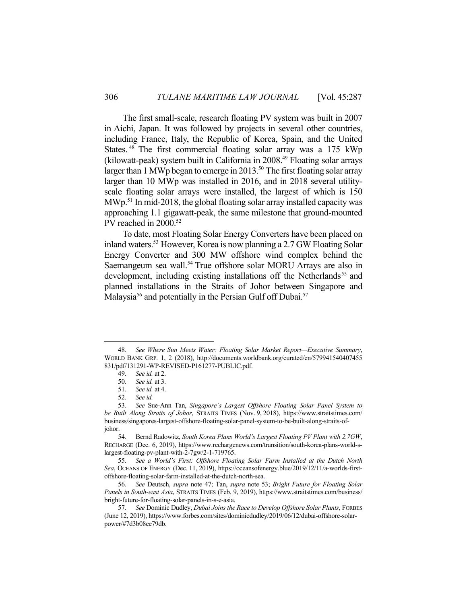The first small-scale, research floating PV system was built in 2007 in Aichi, Japan. It was followed by projects in several other countries, including France, Italy, the Republic of Korea, Spain, and the United States. 48 The first commercial floating solar array was a 175 kWp (kilowatt-peak) system built in California in 2008.49 Floating solar arrays larger than 1 MWp began to emerge in 2013.<sup>50</sup> The first floating solar array larger than 10 MWp was installed in 2016, and in 2018 several utilityscale floating solar arrays were installed, the largest of which is 150  $MWp<sup>51</sup>$  In mid-2018, the global floating solar array installed capacity was approaching 1.1 gigawatt-peak, the same milestone that ground-mounted PV reached in 2000.<sup>52</sup>

 To date, most Floating Solar Energy Converters have been placed on inland waters.53 However, Korea is now planning a 2.7 GW Floating Solar Energy Converter and 300 MW offshore wind complex behind the Saemangeum sea wall.<sup>54</sup> True offshore solar MORU Arrays are also in development, including existing installations off the Netherlands<sup>55</sup> and planned installations in the Straits of Johor between Singapore and Malaysia<sup>56</sup> and potentially in the Persian Gulf off Dubai.<sup>57</sup>

<u>.</u>

 55. *See a World's First: Offshore Floating Solar Farm Installed at the Dutch North Sea*, OCEANS OF ENERGY (Dec. 11, 2019), https://oceansofenergy.blue/2019/12/11/a-worlds-firstoffshore-floating-solar-farm-installed-at-the-dutch-north-sea.

 56. *See* Deutsch, *supra* note 47; Tan, *supra* note 53; *Bright Future for Floating Solar Panels in South-east Asia*, STRAITS TIMES (Feb. 9, 2019), https://www.straitstimes.com/business/ bright-future-for-floating-solar-panels-in-s-e-asia.

 <sup>48.</sup> *See Where Sun Meets Water: Floating Solar Market Report—Executive Summary*, WORLD BANK GRP. 1, 2 (2018), http://documents.worldbank.org/curated/en/579941540407455 831/pdf/131291-WP-REVISED-P161277-PUBLIC.pdf.

 <sup>49.</sup> *See id.* at 2.

 <sup>50.</sup> *See id.* at 3.

 <sup>51.</sup> *See id.* at 4.

 <sup>52.</sup> *See id.*

 <sup>53.</sup> *See* Sue-Ann Tan, *Singapore's Largest Offshore Floating Solar Panel System to be Built Along Straits of Johor*, STRAITS TIMES (Nov. 9, 2018), https://www.straitstimes.com/ business/singapores-largest-offshore-floating-solar-panel-system-to-be-built-along-straits-ofjohor.

 <sup>54.</sup> Bernd Radowitz, *South Korea Plans World's Largest Floating PV Plant with 2.7GW*, RECHARGE (Dec. 6, 2019), https://www.rechargenews.com/transition/south-korea-plans-world-slargest-floating-pv-plant-with-2-7gw/2-1-719765.

 <sup>57.</sup> *See* Dominic Dudley, *Dubai Joins the Race to Develop Offshore Solar Plants*, FORBES (June 12, 2019), https://www.forbes.com/sites/dominicdudley/2019/06/12/dubai-offshore-solarpower/#7d3b08ee79db.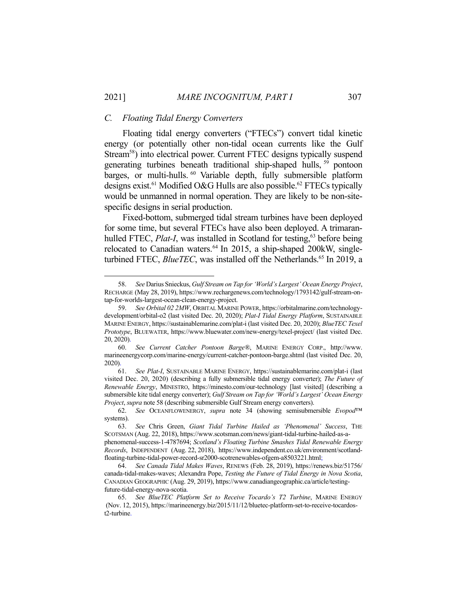### *C. Floating Tidal Energy Converters*

<u>.</u>

 Floating tidal energy converters ("FTECs") convert tidal kinetic energy (or potentially other non-tidal ocean currents like the Gulf Stream<sup>58</sup>) into electrical power. Current FTEC designs typically suspend generating turbines beneath traditional ship-shaped hulls, <sup>59</sup> pontoon barges, or multi-hulls.<sup>60</sup> Variable depth, fully submersible platform designs exist.<sup>61</sup> Modified O&G Hulls are also possible.<sup>62</sup> FTECs typically would be unmanned in normal operation. They are likely to be non-sitespecific designs in serial production.

 Fixed-bottom, submerged tidal stream turbines have been deployed for some time, but several FTECs have also been deployed. A trimaranhulled FTEC, *Plat-I*, was installed in Scotland for testing,<sup>63</sup> before being relocated to Canadian waters.<sup>64</sup> In 2015, a ship-shaped 200kW, singleturbined FTEC, *BlueTEC*, was installed off the Netherlands.<sup>65</sup> In 2019, a

 <sup>58.</sup> *See* Darius Snieckus, *Gulf Stream on Tap for 'World's Largest' Ocean Energy Project*, RECHARGE (May 28, 2019), https://www.rechargenews.com/technology/1793142/gulf-stream-ontap-for-worlds-largest-ocean-clean-energy-project.

 <sup>59.</sup> *See Orbital 02 2MW*, ORBITAL MARINE POWER, https://orbitalmarine.com/technologydevelopment/orbital-o2 (last visited Dec. 20, 2020); *Plat-I Tidal Energy Platform*, SUSTAINABLE MARINE ENERGY, https://sustainablemarine.com/plat-i (last visited Dec. 20, 2020); *BlueTEC Texel Prototype*, BLUEWATER, https://www.bluewater.com/new-energy/texel-project/ (last visited Dec. 20, 2020).

 <sup>60.</sup> *See Current Catcher Pontoon Barge®*, MARINE ENERGY CORP., http://www. marineenergycorp.com/marine-energy/current-catcher-pontoon-barge.shtml (last visited Dec. 20, 2020).

 <sup>61.</sup> *See Plat-I*, SUSTAINABLE MARINE ENERGY, https://sustainablemarine.com/plat-i (last visited Dec. 20, 2020) (describing a fully submersible tidal energy converter); *The Future of Renewable Energy*, MINESTRO, https://minesto.com/our-technology [last visited] (describing a submersible kite tidal energy converter); *Gulf Stream on Tap for 'World's Largest' Ocean Energy Project*, *supra* note 58 (describing submersible Gulf Stream energy converters).

 <sup>62.</sup> *See* OCEANFLOWENERGY, *supra* note 34 (showing semisubmersible *Evopod*™ systems).

 <sup>63.</sup> *See* Chris Green, *Giant Tidal Turbine Hailed as 'Phenomenal' Success*, THE SCOTSMAN (Aug. 22, 2018), https://www.scotsman.com/news/giant-tidal-turbine-hailed-as-aphenomenal-success-1-4787694; *Scotland's Floating Turbine Smashes Tidal Renewable Energy Records*, INDEPENDENT (Aug. 22, 2018), https://www.independent.co.uk/environment/scotlandfloating-turbine-tidal-power-record-sr2000-scotrenewables-ofgem-a8503221.html;

 <sup>64.</sup> *See Canada Tidal Makes Waves*, RENEWS (Feb. 28, 2019), https://renews.biz/51756/ canada-tidal-makes-waves; Alexandra Pope, *Testing the Future of Tidal Energy in Nova Scotia*, CANADIAN GEOGRAPHIC (Aug. 29, 2019), https://www.canadiangeographic.ca/article/testingfuture-tidal-energy-nova-scotia.

 <sup>65.</sup> *See BlueTEC Platform Set to Receive Tocardo's T2 Turbine*, MARINE ENERGY (Nov. 12, 2015), https://marineenergy.biz/2015/11/12/bluetec-platform-set-to-receive-tocardost2-turbine.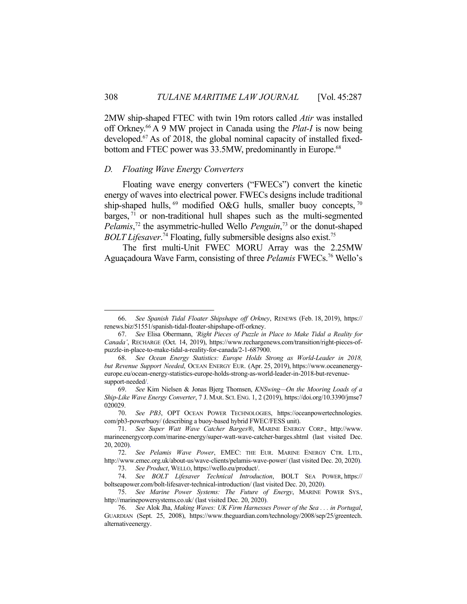2MW ship-shaped FTEC with twin 19m rotors called *Atir* was installed off Orkney.66 A 9 MW project in Canada using the *Plat-I* is now being developed.67 As of 2018, the global nominal capacity of installed fixedbottom and FTEC power was 33.5MW, predominantly in Europe.<sup>68</sup>

#### *D. Floating Wave Energy Converters*

1

 Floating wave energy converters ("FWECs") convert the kinetic energy of waves into electrical power. FWECs designs include traditional ship-shaped hulls,  $^{69}$  modified O&G hulls, smaller buoy concepts,  $^{70}$ barges,  $71$  or non-traditional hull shapes such as the multi-segmented *Pelamis*, 72 the asymmetric-hulled Wello *Penguin*, 73 or the donut-shaped *BOLT Lifesaver*. 74 Floating, fully submersible designs also exist.75

 The first multi-Unit FWEC MORU Array was the 2.25MW Aguaçadoura Wave Farm, consisting of three *Pelamis* FWECs.76 Wello's

 <sup>66.</sup> *See Spanish Tidal Floater Shipshape off Orkney*, RENEWS (Feb. 18, 2019), https:// renews.biz/51551/spanish-tidal-floater-shipshape-off-orkney.

 <sup>67.</sup> *See* Elisa Obermann, *'Right Pieces of Puzzle in Place to Make Tidal a Reality for Canada'*, RECHARGE (Oct. 14, 2019), https://www.rechargenews.com/transition/right-pieces-ofpuzzle-in-place-to-make-tidal-a-reality-for-canada/2-1-687900.

 <sup>68.</sup> *See Ocean Energy Statistics: Europe Holds Strong as World-Leader in 2018, but Revenue Support Needed*, OCEAN ENERGY EUR. (Apr. 25, 2019), https://www.oceanenergyeurope.eu/ocean-energy-statistics-europe-holds-strong-as-world-leader-in-2018-but-revenuesupport-needed/.

 <sup>69.</sup> *See* Kim Nielsen & Jonas Bjerg Thomsen, *KNSwing—On the Mooring Loads of a Ship-Like Wave Energy Converter*, 7 J. MAR. SCI. ENG. 1, 2 (2019), https://doi.org/10.3390/jmse7 020029.

 <sup>70.</sup> *See PB3*, OPT OCEAN POWER TECHNOLOGIES, https://oceanpowertechnologies. com/pb3-powerbuoy/ (describing a buoy-based hybrid FWEC/FESS unit).

 <sup>71.</sup> *See Super Watt Wave Catcher Barges®*, MARINE ENERGY CORP., http://www. marineenergycorp.com/marine-energy/super-watt-wave-catcher-barges.shtml (last visited Dec. 20, 2020).

 <sup>72.</sup> *See Pelamis Wave Power*, EMEC: THE EUR. MARINE ENERGY CTR. LTD., http://www.emec.org.uk/about-us/wave-clients/pelamis-wave-power/ (last visited Dec. 20, 2020).

 <sup>73.</sup> *See Product*, WELLO, https://wello.eu/product/.

 <sup>74.</sup> *See BOLT Lifesaver Technical Introduction*, BOLT SEA POWER, https:// boltseapower.com/bolt-lifesaver-technical-introduction/ (last visited Dec. 20, 2020).

 <sup>75.</sup> *See Marine Power Systems: The Future of Energy*, MARINE POWER SYS., http://marinepowersystems.co.uk/ (last visited Dec. 20, 2020).

 <sup>76.</sup> *See* Alok Jha, *Making Waves: UK Firm Harnesses Power of the Sea . . . in Portugal*, GUARDIAN (Sept. 25, 2008), https://www.theguardian.com/technology/2008/sep/25/greentech. alternativeenergy.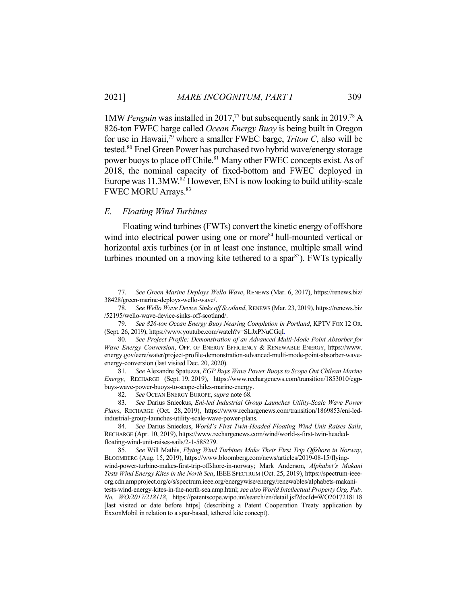1MW *Penguin* was installed in 2017,<sup>77</sup> but subsequently sank in 2019.<sup>78</sup> A 826-ton FWEC barge called *Ocean Energy Buoy* is being built in Oregon for use in Hawaii,79 where a smaller FWEC barge, *Triton C*, also will be tested.<sup>80</sup> Enel Green Power has purchased two hybrid wave/energy storage power buoys to place off Chile.<sup>81</sup> Many other FWEC concepts exist. As of 2018, the nominal capacity of fixed-bottom and FWEC deployed in Europe was 11.3MW.<sup>82</sup> However, ENI is now looking to build utility-scale FWEC MORU Arrays.<sup>83</sup>

## *E. Floating Wind Turbines*

1

 Floating wind turbines (FWTs) convert the kinetic energy of offshore wind into electrical power using one or more<sup>84</sup> hull-mounted vertical or horizontal axis turbines (or in at least one instance, multiple small wind turbines mounted on a moving kite tethered to a spar<sup>85</sup>). FWTs typically

 <sup>77.</sup> *See Green Marine Deploys Wello Wave*, RENEWS (Mar. 6, 2017), https://renews.biz/ 38428/green-marine-deploys-wello-wave/.

 <sup>78.</sup> *See Wello Wave Device Sinks off Scotland*, RENEWS (Mar. 23, 2019), https://renews.biz /52195/wello-wave-device-sinks-off-scotland/.

 <sup>79.</sup> *See 826-ton Ocean Energy Buoy Nearing Completion in Portland*, KPTV FOX 12 OR. (Sept. 26, 2019), https://www.youtube.com/watch?v=SLJxPNuCGqI.

 <sup>80.</sup> *See Project Profile: Demonstration of an Advanced Multi-Mode Point Absorber for Wave Energy Conversion*, OFF. OF ENERGY EFFICIENCY & RENEWABLE ENERGY, https://www. energy.gov/eere/water/project-profile-demonstration-advanced-multi-mode-point-absorber-waveenergy-conversion (last visited Dec. 20, 2020).

 <sup>81.</sup> *See* Alexandre Spatuzza, *EGP Buys Wave Power Buoys to Scope Out Chilean Marine Energy*, RECHARGE (Sept. 19, 2019), https://www.rechargenews.com/transition/1853010/egpbuys-wave-power-buoys-to-scope-chiles-marine-energy.

 <sup>82.</sup> *See* OCEAN ENERGY EUROPE, *supra* note 68.

 <sup>83.</sup> *See* Darius Snieckus, *Eni-led Industrial Group Launches Utility-Scale Wave Power Plans*, RECHARGE (Oct. 28, 2019), https://www.rechargenews.com/transition/1869853/eni-ledindustrial-group-launches-utility-scale-wave-power-plans.

 <sup>84.</sup> *See* Darius Snieckus, *World's First Twin-Headed Floating Wind Unit Raises Sails*, RECHARGE (Apr. 10, 2019), https://www.rechargenews.com/wind/world-s-first-twin-headedfloating-wind-unit-raises-sails/2-1-585279.

 <sup>85.</sup> *See* Will Mathis, *Flying Wind Turbines Make Their First Trip Offshore in Norway*, BLOOMBERG (Aug. 15, 2019), https://www.bloomberg.com/news/articles/2019-08-15/flying-

wind-power-turbine-makes-first-trip-offshore-in-norway; Mark Anderson, *Alphabet's Makani Tests Wind Energy Kites in the North Sea*, IEEE SPECTRUM (Oct. 25, 2019), https://spectrum-ieeeorg.cdn.ampproject.org/c/s/spectrum.ieee.org/energywise/energy/renewables/alphabets-makani-

tests-wind-energy-kites-in-the-north-sea.amp.html; *see also World Intellectual Property Org. Pub. No. WO/2017/218118*, https://patentscope.wipo.int/search/en/detail.jsf?docId=WO2017218118 [last visited or date before https] (describing a Patent Cooperation Treaty application by ExxonMobil in relation to a spar-based, tethered kite concept).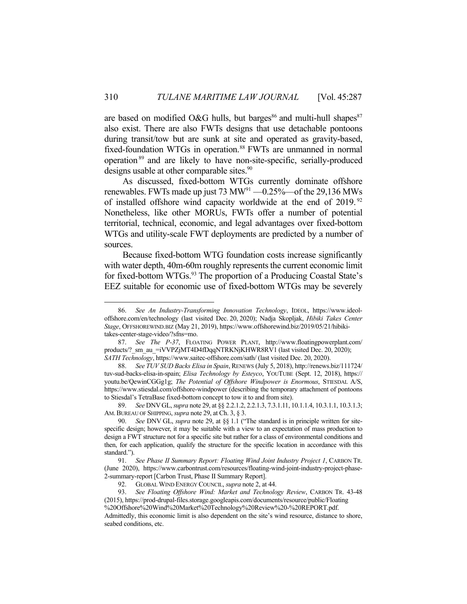are based on modified O&G hulls, but barges<sup>86</sup> and multi-hull shapes<sup>87</sup> also exist. There are also FWTs designs that use detachable pontoons during transit/tow but are sunk at site and operated as gravity-based, fixed-foundation WTGs in operation.<sup>88</sup> FWTs are unmanned in normal operation<sup>89</sup> and are likely to have non-site-specific, serially-produced designs usable at other comparable sites.<sup>90</sup>

 As discussed, fixed-bottom WTGs currently dominate offshore renewables. FWTs made up just 73  $MW<sup>91</sup> -0.25%$  of the 29,136 MWs of installed offshore wind capacity worldwide at the end of 2019.<sup>92</sup> Nonetheless, like other MORUs, FWTs offer a number of potential territorial, technical, economic, and legal advantages over fixed-bottom WTGs and utility-scale FWT deployments are predicted by a number of sources.

 Because fixed-bottom WTG foundation costs increase significantly with water depth, 40m-60m roughly represents the current economic limit for fixed-bottom WTGs.<sup>93</sup> The proportion of a Producing Coastal State's EEZ suitable for economic use of fixed-bottom WTGs may be severely

 <sup>86.</sup> *See An Industry-Transforming Innovation Technology*, IDEOL, https://www.ideoloffshore.com/en/technology (last visited Dec. 20, 2020); Nadja Skopljak, *Hibiki Takes Center Stage*, OFFSHOREWIND.BIZ (May 21, 2019), https://www.offshorewind.biz/2019/05/21/hibikitakes-center-stage-video/?sfns=mo.

 <sup>87.</sup> *See The P-37*, FLOATING POWER PLANT, http://www.floatingpowerplant.com/ products/? sm\_au\_=iVVPZjMT4D4fDqqNTRKNjKHWR8RV1 (last visited Dec. 20, 2020); *SATH Technology*, https://www.saitec-offshore.com/sath/ (last visited Dec. 20, 2020).

 <sup>88.</sup> *See TUV SUD Backs Elisa in Spain*, RENEWS (July 5, 2018), http://renews.biz/111724/ tuv-sud-backs-elisa-in-spain; *Elisa Technology by Esteyco*, YOUTUBE (Sept. 12, 2018), https:// youtu.be/QewinCGGg1g; *The Potential of Offshore Windpower is Enormous*, STIESDAL A/S, https://www.stiesdal.com/offshore-windpower (describing the temporary attachment of pontoons to Stiesdal's TetraBase fixed-bottom concept to tow it to and from site).

 <sup>89.</sup> *See* DNVGL, *supra* note 29, at §§ 2.2.1.2, 2.2.1.3, 7.3.1.11, 10.1.1.4, 10.3.1.1, 10.3.1.3; AM.BUREAU OF SHIPPING, *supra* note 29, at Ch. 3, § 3.

 <sup>90.</sup> *See* DNV GL, *supra* note 29, at §§ 1.1 ("The standard is in principle written for sitespecific design; however, it may be suitable with a view to an expectation of mass production to design a FWT structure not for a specific site but rather for a class of environmental conditions and then, for each application, qualify the structure for the specific location in accordance with this standard.").

 <sup>91.</sup> *See Phase II Summary Report: Floating Wind Joint Industry Project 1*, CARBON TR. (June 2020), https://www.carbontrust.com/resources/floating-wind-joint-industry-project-phase-2-summary-report [Carbon Trust, Phase II Summary Report].

 <sup>92.</sup> GLOBAL WIND ENERGY COUNCIL, *supra* note 2, at 44.

 <sup>93.</sup> *See Floating Offshore Wind: Market and Technology Review*, CARBON TR. 43-48 (2015), https://prod-drupal-files.storage.googleapis.com/documents/resource/public/Floating %20Offshore%20Wind%20Market%20Technology%20Review%20-%20REPORT.pdf. Admittedly, this economic limit is also dependent on the site's wind resource, distance to shore,

seabed conditions, etc.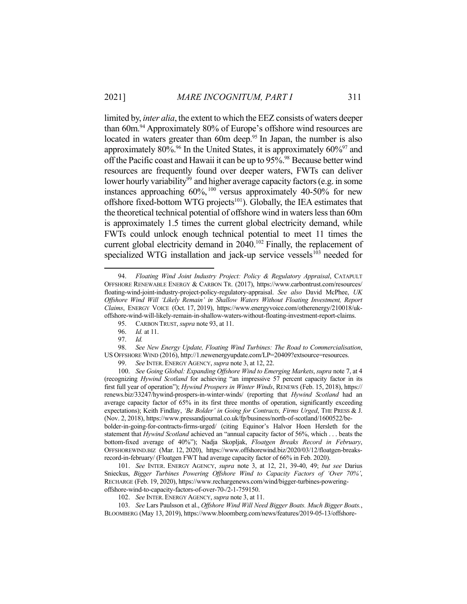limited by, *inter alia*, the extent to which the EEZ consists of waters deeper than 60m.<sup>94</sup> Approximately 80% of Europe's offshore wind resources are located in waters greater than 60m deep.<sup>95</sup> In Japan, the number is also approximately  $80\%$ .<sup>96</sup> In the United States, it is approximately  $60\%$ <sup>97</sup> and off the Pacific coast and Hawaii it can be up to 95%.<sup>98</sup> Because better wind resources are frequently found over deeper waters, FWTs can deliver lower hourly variability<sup>99</sup> and higher average capacity factors (e.g. in some instances approaching 60%, 100 versus approximately 40-50% for new offshore fixed-bottom WTG projects<sup>101</sup>). Globally, the IEA estimates that the theoretical technical potential of offshore wind in waters less than 60m is approximately 1.5 times the current global electricity demand, while FWTs could unlock enough technical potential to meet 11 times the current global electricity demand in 2040.<sup>102</sup> Finally, the replacement of specialized WTG installation and jack-up service vessels $103$  needed for

 <sup>94.</sup> *Floating Wind Joint Industry Project: Policy & Regulatory Appraisal*, CATAPULT OFFSHORE RENEWABLE ENERGY & CARBON TR. (2017), https://www.carbontrust.com/resources/ floating-wind-joint-industry-project-policy-regulatory-appraisal. *See also* David McPhee, *UK Offshore Wind Will 'Likely Remain' in Shallow Waters Without Floating Investment, Report Claims*, ENERGY VOICE (Oct. 17, 2019), https://www.energyvoice.com/otherenergy/210018/ukoffshore-wind-will-likely-remain-in-shallow-waters-without-floating-investment-report-claims.

 <sup>95.</sup> CARBON TRUST, *supra* note 93, at 11.

 <sup>96.</sup> *Id.* at 11.

 <sup>97.</sup> *Id.*

 <sup>98.</sup> *See New Energy Update, Floating Wind Turbines: The Road to Commercialisation*, US OFFSHORE WIND (2016), http://1.newenergyupdate.com/LP=20409?extsource=resources.

 <sup>99.</sup> *See* INTER. ENERGY AGENCY, *supra* note 3, at 12, 22.

 <sup>100.</sup> *See Going Global: Expanding Offshore Wind to Emerging Markets*, *supra* note 7, at 4 (recognizing *Hywind Scotland* for achieving "an impressive 57 percent capacity factor in its first full year of operation"); *Hywind Prospers in Winter Winds*, RENEWS (Feb. 15, 2018), https:// renews.biz/33247/hywind-prospers-in-winter-winds/ (reporting that *Hywind Scotland* had an average capacity factor of 65% in its first three months of operation, significantly exceeding expectations); Keith Findlay, *'Be Bolder' in Going for Contracts, Firms Urged*, THE PRESS & J. (Nov. 2, 2018), https://www.pressandjournal.co.uk/fp/business/north-of-scotland/1600522/bebolder-in-going-for-contracts-firms-urged/ (citing Equinor's Halvor Hoen Hersleth for the statement that *Hywind Scotland* achieved an "annual capacity factor of 56%, which . . . beats the bottom-fixed average of 40%"); Nadja Skopljak, *Floatgen Breaks Record in February*, OFFSHOREWIND.BIZ (Mar. 12, 2020), https://www.offshorewind.biz/2020/03/12/floatgen-breaksrecord-in-february/ (Floatgen FWT had average capacity factor of 66% in Feb. 2020).

 <sup>101.</sup> *See* INTER. ENERGY AGENCY, *supra* note 3, at 12, 21, 39-40, 49; *but see* Darius Snieckus, *Bigger Turbines Powering Offshore Wind to Capacity Factors of 'Over 70%'*, RECHARGE (Feb. 19, 2020), https://www.rechargenews.com/wind/bigger-turbines-poweringoffshore-wind-to-capacity-factors-of-over-70-/2-1-759150.

 <sup>102.</sup> *See* INTER. ENERGY AGENCY, *supra* note 3, at 11.

 <sup>103.</sup> *See* Lars Paulsson et al., *Offshore Wind Will Need Bigger Boats. Much Bigger Boats.*, BLOOMBERG (May 13, 2019), https://www.bloomberg.com/news/features/2019-05-13/offshore-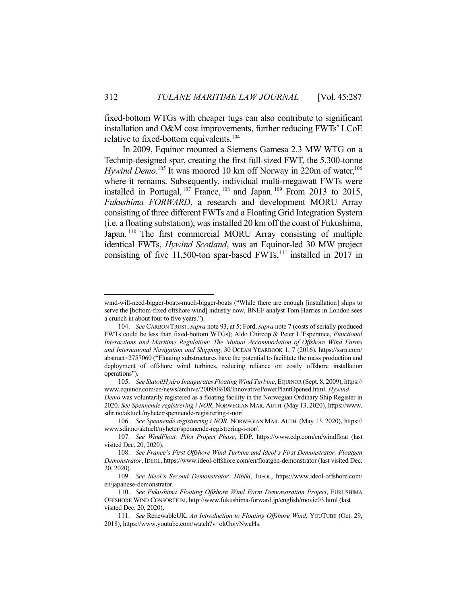fixed-bottom WTGs with cheaper tugs can also contribute to significant installation and O&M cost improvements, further reducing FWTs' LCoE relative to fixed-bottom equivalents.<sup>104</sup>

 In 2009, Equinor mounted a Siemens Gamesa 2.3 MW WTG on a Technip-designed spar, creating the first full-sized FWT, the 5,300-tonne *Hywind Demo*.<sup>105</sup> It was moored 10 km off Norway in 220m of water,<sup>106</sup> where it remains. Subsequently, individual multi-megawatt FWTs were installed in Portugal,  $107$  France,  $108$  and Japan.  $109$  From 2013 to 2015, *Fukushima FORWARD*, a research and development MORU Array consisting of three different FWTs and a Floating Grid Integration System (i.e. a floating substation), was installed 20 km off the coast of Fukushima, Japan.<sup>110</sup> The first commercial MORU Array consisting of multiple identical FWTs, *Hywind Scotland*, was an Equinor-led 30 MW project consisting of five 11,500-ton spar-based  $FWTs$ ,<sup>111</sup> installed in 2017 in

wind-will-need-bigger-boats-much-bigger-boats ("While there are enough [installation] ships to serve the [bottom-fixed offshore wind] industry now, BNEF analyst Tom Harries in London sees a crunch in about four to five years.").

 <sup>104.</sup> *See* CARBON TRUST, *supra* note 93, at 5; Ford, *supra* note 7 (costs of serially produced FWTs could be less than fixed-bottom WTGs); Aldo Chircop & Peter L'Esperance, *Functional Interactions and Maritime Regulation: The Mutual Accommodation of Offshore Wind Farms and International Navigation and Shipping*, 30 OCEAN YEARBOOK 1, 7 (2016), https://ssrn.com/ abstract=2757060 ("Floating substructures have the potential to facilitate the mass production and deployment of offshore wind turbines, reducing reliance on costly offshore installation operations").

 <sup>105.</sup> *See StatoilHydro Inaugurates Floating Wind Turbine*, EQUINOR (Sept. 8, 2009), https:// www.equinor.com/en/news/archive/2009/09/08/InnovativePowerPlantOpened.html. *Hywind* 

*Demo* was voluntarily registered as a floating facility in the Norwegian Ordinary Ship Register in 2020. *See Spennende registrering i NOR*, NORWEGIAN MAR. AUTH. (May 13, 2020), https://www. sdir.no/aktuelt/nyheter/spennende-registrering-i-nor/*.* 

 <sup>106.</sup> *See Spennende registrering i NOR*, NORWEGIAN MAR. AUTH. (May 13, 2020), https:// www.sdir.no/aktuelt/nyheter/spennende-registrering-i-nor/*.*

 <sup>107.</sup> *See WindFloat: Pilot Project Phase*, EDP, https://www.edp.com/en/windfloat (last visited Dec. 20, 2020).

 <sup>108.</sup> *See France's First Offshore Wind Turbine and Ideol's First Demonstrator: Floatgen Demonstrator*, IDEOL, https://www.ideol-offshore.com/en/floatgen-demonstrator (last visited Dec. 20, 2020).

 <sup>109.</sup> *See Ideol's Second Demonstrator: Hibiki*, IDEOL, https://www.ideol-offshore.com/ en/japanese-demonstrator.

 <sup>110.</sup> *See Fukushima Floating Offshore Wind Farm Demonstration Project*, FUKUSHIMA OFFSHORE WIND CONSORTIUM, http://www.fukushima-forward.jp/english/movie03.html (last visited Dec. 20, 2020).

 <sup>111.</sup> *See* RenewableUK, *An Introduction to Floating Offshore Wind*, YOUTUBE (Oct. 29, 2018), https://www.youtube.com/watch?v=okOojvNwaHs.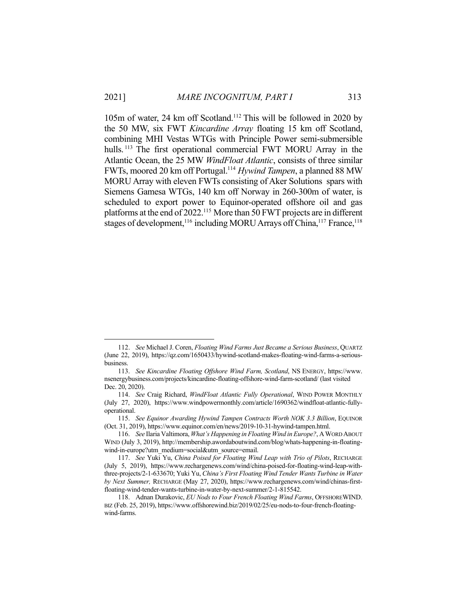105m of water, 24 km off Scotland.112 This will be followed in 2020 by the 50 MW, six FWT *Kincardine Array* floating 15 km off Scotland, combining MHI Vestas WTGs with Principle Power semi-submersible hulls.<sup>113</sup> The first operational commercial FWT MORU Array in the Atlantic Ocean, the 25 MW *WindFloat Atlantic*, consists of three similar FWTs, moored 20 km off Portugal.114 *Hywind Tampen*, a planned 88 MW MORU Array with eleven FWTs consisting of Aker Solutions spars with Siemens Gamesa WTGs, 140 km off Norway in 260-300m of water, is scheduled to export power to Equinor-operated offshore oil and gas platforms at the end of 2022.<sup>115</sup> More than 50 FWT projects are in different stages of development,<sup>116</sup> including MORU Arrays off China,<sup>117</sup> France,<sup>118</sup>

 <sup>112.</sup> *See* Michael J. Coren, *Floating Wind Farms Just Became a Serious Business*, QUARTZ (June 22, 2019), https://qz.com/1650433/hywind-scotland-makes-floating-wind-farms-a-seriousbusiness.

 <sup>113.</sup> *See Kincardine Floating Offshore Wind Farm, Scotland*, NS ENERGY, https://www. nsenergybusiness.com/projects/kincardine-floating-offshore-wind-farm-scotland/ (last visited Dec. 20, 2020).

 <sup>114.</sup> *See* Craig Richard, *WindFloat Atlantic Fully Operational*, WIND POWER MONTHLY (July 27, 2020), https://www.windpowermonthly.com/article/1690362/windfloat-atlantic-fullyoperational.

 <sup>115.</sup> *See Equinor Awarding Hywind Tampen Contracts Worth NOK 3.3 Billion*, EQUINOR (Oct. 31, 2019), https://www.equinor.com/en/news/2019-10-31-hywind-tampen.html.

 <sup>116.</sup> *See* Ilaria Valtimora, *What's Happening in Floating Wind in Europe?*, AWORD ABOUT WIND (July 3, 2019), http://membership.awordaboutwind.com/blog/whats-happening-in-floatingwind-in-europe?utm\_medium=social&utm\_source=email.

 <sup>117.</sup> *See* Yuki Yu, *China Poised for Floating Wind Leap with Trio of Pilots*, RECHARGE (July 5, 2019), https://www.rechargenews.com/wind/china-poised-for-floating-wind-leap-withthree-projects/2-1-633670; Yuki Yu, *China's First Floating Wind Tender Wants Turbine in Water by Next Summer,* RECHARGE (May 27, 2020), https://www.rechargenews.com/wind/chinas-firstfloating-wind-tender-wants-turbine-in-water-by-next-summer/2-1-815542.

 <sup>118.</sup> Adnan Durakovic, *EU Nods to Four French Floating Wind Farms*, OFFSHOREWIND. BIZ (Feb. 25, 2019), https://www.offshorewind.biz/2019/02/25/eu-nods-to-four-french-floatingwind-farms.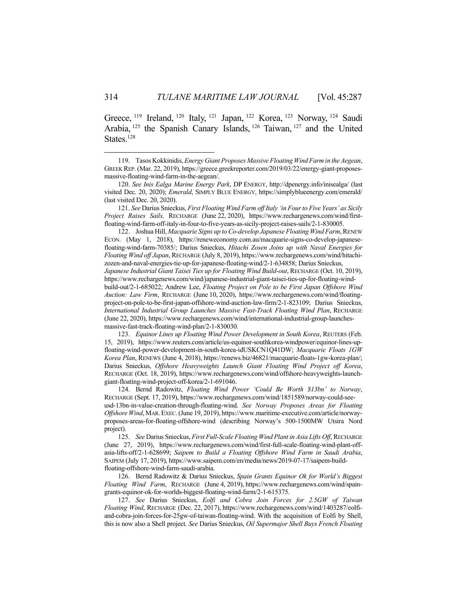Greece, <sup>119</sup> Ireland, <sup>120</sup> Italy, <sup>121</sup> Japan, <sup>122</sup> Korea, <sup>123</sup> Norway, <sup>124</sup> Saudi Arabia, 125 the Spanish Canary Islands, 126 Taiwan, 127 and the United States.<sup>128</sup>

 121. *See* Darius Snieckus, *First Floating Wind Farm off Italy 'in Four to Five Years' as Sicily Project Raises Sails,* RECHARGE (June 22, 2020), https://www.rechargenews.com/wind/firstfloating-wind-farm-off-italy-in-four-to-five-years-as-sicily-project-raises-sails/2-1-830005.

 122. Joshua Hill, *Macquarie Signs up to Co-develop Japanese Floating Wind Farm*, RENEW ECON. (May 1, 2018), https://reneweconomy.com.au/macquarie-signs-co-develop-japanesefloating-wind-farm-70385/; Darius Snieckus, *Hitachi Zosen Joins up with Naval Energies for Floating Wind off Japan*, RECHARGE (July 8, 2019), https://www.rechargenews.com/wind/hitachizozen-and-naval-energies-tie-up-for-japanese-floating-wind/2-1-634858; Darius Snieckus, *Japanese Industrial Giant Taisei Ties up for Floating Wind Build-out*, RECHARGE (Oct. 10, 2019), https://www.rechargenews.com/wind/japanese-industrial-giant-taisei-ties-up-for-floating-windbuild-out/2-1-685022; Andrew Lee, *Floating Project on Pole to be First Japan Offshore Wind Auction: Law Firm*, RECHARGE (June 10, 2020), https://www.rechargenews.com/wind/floatingproject-on-pole-to-be-first-japan-offshore-wind-auction-law-firm/2-1-823109; Darius Snieckus, *International Industrial Group Launches Massive Fast-Track Floating Wind Plan*, RECHARGE (June 22, 2020), https://www.rechargenews.com/wind/international-industrial-group-launchesmassive-fast-track-floating-wind-plan/2-1-830030.

 123. *Equinor Lines up Floating Wind Power Development in South Korea*, REUTERS (Feb. 15, 2019), https://www.reuters.com/article/us-equinor-southkorea-windpower/equinor-lines-upfloating-wind-power-development-in-south-korea-idUSKCN1Q41DW; *Macquarie Floats 1GW Korea Plan*, RENEWS (June 4, 2018), https://renews.biz/46821/macquarie-floats-1gw-korea-plan/; Darius Snieckus, *Offshore Heavyweights Launch Giant Floating Wind Project off Korea*, RECHARGE (Oct. 18, 2019), https://www.rechargenews.com/wind/offshore-heavyweights-launchgiant-floating-wind-project-off-korea/2-1-691046.

 124. Bernd Radowitz, *Floating Wind Power 'Could Be Worth \$13bn' to Norway*, RECHARGE (Sept. 17, 2019), https://www.rechargenews.com/wind/1851589/norway-could-seeusd-13bn-in-value-creation-through-floating-wind. *See Norway Proposes Areas for Floating Offshore Wind*, MAR.EXEC. (June 19, 2019), https://www.maritime-executive.com/article/norwayproposes-areas-for-floating-offshore-wind (describing Norway's 500-1500MW Utsira Nord project).

 125. *See* Darius Snieckus, *First Full-Scale Floating Wind Plant in Asia Lifts Off*, RECHARGE (June 27, 2019), https://www.rechargenews.com/wind/first-full-scale-floating-wind-plant-offasia-lifts-off/2-1-628699; *Saipem to Build a Floating Offshore Wind Farm in Saudi Arabia*, SAIPEM (July 17, 2019), https://www.saipem.com/en/media/news/2019-07-17/saipem-buildfloating-offshore-wind-farm-saudi-arabia.

 126. Bernd Radowitz & Darius Snieckus, *Spain Grants Equinor Ok for World's Biggest Floating Wind Farm*, RECHARGE (June 4, 2019), https://www.rechargenews.com/wind/spaingrants-equinor-ok-for-worlds-biggest-floating-wind-farm/2-1-615375.

 127. *See* Darius Snieckus, *Eolfi and Cobra Join Forces for 2.5GW of Taiwan Floating Wind*, RECHARGE (Dec. 22, 2017), https://www.rechargenews.com/wind/1403287/eolfiand-cobra-join-forces-for-25gw-of-taiwan-floating-wind. With the acquisition of Eolfi by Shell, this is now also a Shell project. *See* Darius Snieckus, *Oil Supermajor Shell Buys French Floating* 

 <sup>119.</sup> Tasos Kokkinidis, *Energy Giant Proposes Massive Floating Wind Farm in the Aegean*, GREEK REP. (Mar. 22, 2019), https://greece.greekreporter.com/2019/03/22/energy-giant-proposesmassive-floating-wind-farm-in-the-aegean/.

 <sup>120.</sup> *See Inis Ealga Marine Energy Park*, DP ENERGY, http://dpenergy.info/inisealga/ (last visited Dec. 20, 2020); *Emerald*, SIMPLY BLUE ENERGY, https://simplyblueenergy.com/emerald/ (last visited Dec. 20, 2020).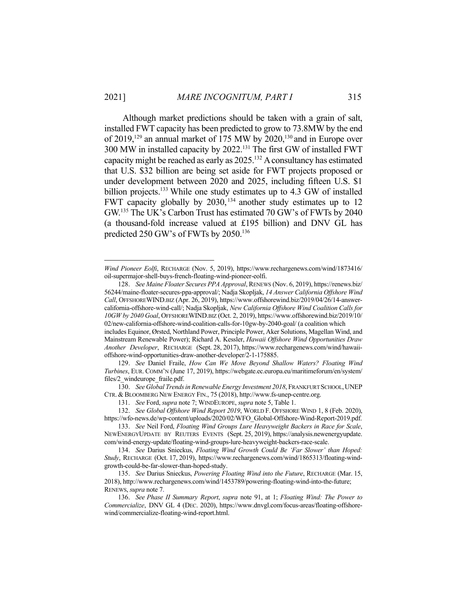Although market predictions should be taken with a grain of salt, installed FWT capacity has been predicted to grow to 73.8MW by the end of  $2019$ ,<sup>129</sup> an annual market of 175 MW by  $2020$ ,<sup>130</sup> and in Europe over 300 MW in installed capacity by 2022.131 The first GW of installed FWT capacity might be reached as early as 2025.132 A consultancy has estimated that U.S. \$32 billion are being set aside for FWT projects proposed or under development between 2020 and 2025, including fifteen U.S. \$1 billion projects.<sup>133</sup> While one study estimates up to 4.3 GW of installed FWT capacity globally by 2030, <sup>134</sup> another study estimates up to 12 GW.135 The UK's Carbon Trust has estimated 70 GW's of FWTs by 2040 (a thousand-fold increase valued at £195 billion) and DNV GL has predicted 250 GW's of FWTs by 2050.<sup>136</sup>

<u>.</u>

 130. *See Global Trends in Renewable Energy Investment 2018*, FRANKFURT SCHOOL,UNEP CTR. & BLOOMBERG NEW ENERGY FIN., 75 (2018), http://www.fs-unep-centre.org.

*Wind Pioneer Eolfi*, RECHARGE (Nov. 5, 2019), https://www.rechargenews.com/wind/1873416/ oil-supermajor-shell-buys-french-floating-wind-pioneer-eolfi.

 <sup>128.</sup> *See Maine Floater Secures PPA Approval*, RENEWS (Nov. 6, 2019), https://renews.biz/ 56244/maine-floater-secures-ppa-approval/; Nadja Skopljak, *14 Answer California Offshore Wind Call*, OFFSHOREWIND.BIZ (Apr. 26, 2019), https://www.offshorewind.biz/2019/04/26/14-answercalifornia-offshore-wind-call/; Nadja Skopljak, *New California Offshore Wind Coalition Calls for 10GW by 2040 Goal*, OFFSHOREWIND.BIZ (Oct. 2, 2019), https://www.offshorewind.biz/2019/10/ 02/new-california-offshore-wind-coalition-calls-for-10gw-by-2040-goal/ (a coalition which

includes Equinor, Ørsted, Northland Power, Principle Power, Aker Solutions, Magellan Wind, and Mainstream Renewable Power); Richard A. Kessler, *Hawaii Offshore Wind Opportunities Draw Another Developer*, RECHARGE (Sept. 28, 2017), https://www.rechargenews.com/wind/hawaiioffshore-wind-opportunities-draw-another-developer/2-1-175885.

 <sup>129.</sup> *See* Daniel Fraile, *How Can We Move Beyond Shallow Waters? Floating Wind Turbines*, EUR. COMM'N (June 17, 2019), https://webgate.ec.europa.eu/maritimeforum/en/system/ files/2 windeurope fraile.pdf.

 <sup>131.</sup> *See* Ford, *supra* note 7; WINDEUROPE, *supra* note 5, Table 1.

 <sup>132.</sup> *See Global Offshore Wind Report 2019*, WORLD F. OFFSHORE WIND 1, 8 (Feb. 2020), https://wfo-news.de/wp-content/uploads/2020/02/WFO\_Global-Offshore-Wind-Report-2019.pdf.

 <sup>133.</sup> *See* Neil Ford, *Floating Wind Groups Lure Heavyweight Backers in Race for Scale*, NEWENERGYUPDATE BY REUTERS EVENTS (Sept. 25, 2019), https://analysis.newenergyupdate. com/wind-energy-update/floating-wind-groups-lure-heavyweight-backers-race-scale.

 <sup>134.</sup> *See* Darius Snieckus, *Floating Wind Growth Could Be 'Far Slower' than Hoped: Study*, RECHARGE (Oct. 17, 2019), https://www.rechargenews.com/wind/1865313/floating-windgrowth-could-be-far-slower-than-hoped-study.

 <sup>135.</sup> *See* Darius Snieckus, *Powering Floating Wind into the Future*, RECHARGE (Mar. 15, 2018), http://www.rechargenews.com/wind/1453789/powering-floating-wind-into-the-future; RENEWS, *supra* note 7.

 <sup>136.</sup> *See Phase II Summary Report*, *supra* note 91, at 1; *Floating Wind: The Power to Commercialize*, DNV GL 4 (DEC. 2020), https://www.dnvgl.com/focus-areas/floating-offshorewind/commercialize-floating-wind-report.html.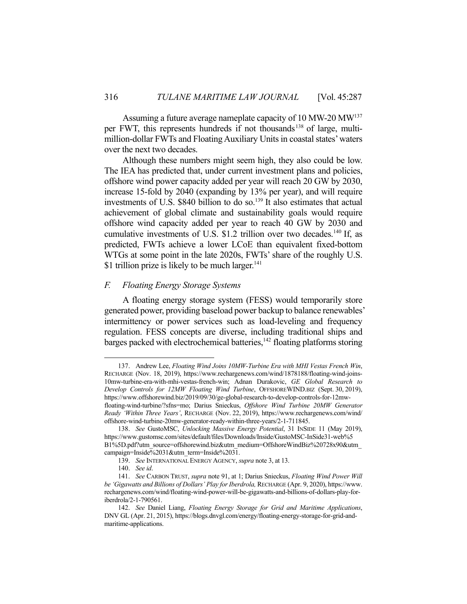Assuming a future average nameplate capacity of 10 MW-20 MW<sup>137</sup> per FWT, this represents hundreds if not thousands<sup>138</sup> of large, multimillion-dollar FWTs and Floating Auxiliary Units in coastal states' waters over the next two decades.

 Although these numbers might seem high, they also could be low. The IEA has predicted that, under current investment plans and policies, offshore wind power capacity added per year will reach 20 GW by 2030, increase 15-fold by 2040 (expanding by 13% per year), and will require investments of U.S. \$840 billion to do so.<sup>139</sup> It also estimates that actual achievement of global climate and sustainability goals would require offshore wind capacity added per year to reach 40 GW by 2030 and cumulative investments of U.S. \$1.2 trillion over two decades.<sup>140</sup> If, as predicted, FWTs achieve a lower LCoE than equivalent fixed-bottom WTGs at some point in the late 2020s, FWTs' share of the roughly U.S. \$1 trillion prize is likely to be much larger.<sup>141</sup>

## *F. Floating Energy Storage Systems*

 A floating energy storage system (FESS) would temporarily store generated power, providing baseload power backup to balance renewables' intermittency or power services such as load-leveling and frequency regulation. FESS concepts are diverse, including traditional ships and barges packed with electrochemical batteries,<sup>142</sup> floating platforms storing

 <sup>137.</sup> Andrew Lee, *Floating Wind Joins 10MW-Turbine Era with MHI Vestas French Win*, RECHARGE (Nov. 18, 2019), https://www.rechargenews.com/wind/1878188/floating-wind-joins-10mw-turbine-era-with-mhi-vestas-french-win; Adnan Durakovic, *GE Global Research to Develop Controls for 12MW Floating Wind Turbine*, OFFSHOREWIND.BIZ (Sept. 30, 2019), https://www.offshorewind.biz/2019/09/30/ge-global-research-to-develop-controls-for-12mwfloating-wind-turbine/?sfns=mo; Darius Snieckus, *Offshore Wind Turbine 20MW Generator Ready 'Within Three Years'*, RECHARGE (Nov. 22, 2019), https://www.rechargenews.com/wind/ offshore-wind-turbine-20mw-generator-ready-within-three-years/2-1-711845.

 <sup>138.</sup> *See* GustoMSC, *Unlocking Massive Energy Potential*, 31 INSIDE 11 (May 2019), https://www.gustomsc.com/sites/default/files/Downloads/Inside/GustoMSC-InSide31-web%5 B1%5D.pdf?utm\_source=offshorewind.biz&utm\_medium=OffshoreWindBiz%20728x90&utm\_ campaign=Inside%2031&utm\_term=Inside%2031.

 <sup>139.</sup> *See* INTERNATIONAL ENERGY AGENCY, *supra* note 3, at 13.

 <sup>140.</sup> *See id*.

 <sup>141.</sup> *See* CARBON TRUST, *supra* note 91, at 1; Darius Snieckus, *Floating Wind Power Will be 'Gigawatts and Billions of Dollars' Play for Iberdrola,* RECHARGE (Apr. 9, 2020), https://www. rechargenews.com/wind/floating-wind-power-will-be-gigawatts-and-billions-of-dollars-play-foriberdrola/2-1-790561.

 <sup>142.</sup> *See* Daniel Liang, *Floating Energy Storage for Grid and Maritime Applications*, DNV GL (Apr. 21, 2015), https://blogs.dnvgl.com/energy/floating-energy-storage-for-grid-andmaritime-applications.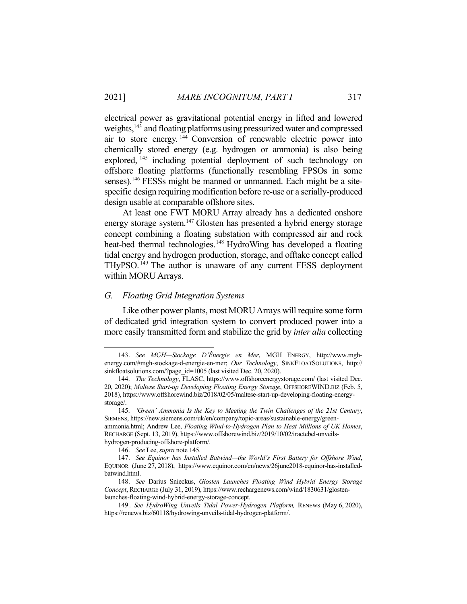electrical power as gravitational potential energy in lifted and lowered weights,<sup>143</sup> and floating platforms using pressurized water and compressed air to store energy. 144 Conversion of renewable electric power into chemically stored energy (e.g. hydrogen or ammonia) is also being explored, <sup>145</sup> including potential deployment of such technology on offshore floating platforms (functionally resembling FPSOs in some senses).<sup>146</sup> FESSs might be manned or unmanned. Each might be a sitespecific design requiring modification before re-use or a serially-produced design usable at comparable offshore sites.

 At least one FWT MORU Array already has a dedicated onshore energy storage system.<sup>147</sup> Glosten has presented a hybrid energy storage concept combining a floating substation with compressed air and rock heat-bed thermal technologies.<sup>148</sup> HydroWing has developed a floating tidal energy and hydrogen production, storage, and offtake concept called THyPSO. 149 The author is unaware of any current FESS deployment within MORU Arrays.

## *G. Floating Grid Integration Systems*

 Like other power plants, most MORU Arrays will require some form of dedicated grid integration system to convert produced power into a more easily transmitted form and stabilize the grid by *inter alia* collecting

 <sup>143.</sup> *See MGH—Stockage D'Énergie en Mer*, MGH ENERGY, http://www.mghenergy.com/#mgh-stockage-d-energie-en-mer; *Our Technology*, SINKFLOATSOLUTIONS, http:// sinkfloatsolutions.com/?page\_id=1005 (last visited Dec. 20, 2020).

 <sup>144.</sup> *The Technology*, FLASC, https://www.offshoreenergystorage.com/ (last visited Dec. 20, 2020); *Maltese Start-up Developing Floating Energy Storage*, OFFSHOREWIND.BIZ (Feb. 5, 2018), https://www.offshorewind.biz/2018/02/05/maltese-start-up-developing-floating-energystorage/.

 <sup>145.</sup> *'Green' Ammonia Is the Key to Meeting the Twin Challenges of the 21st Century*, SIEMENS, https://new.siemens.com/uk/en/company/topic-areas/sustainable-energy/greenammonia.html; Andrew Lee, *Floating Wind-to-Hydrogen Plan to Heat Millions of UK Homes*, RECHARGE (Sept. 13, 2019), https://www.offshorewind.biz/2019/10/02/tractebel-unveilshydrogen-producing-offshore-platform/.

 <sup>146.</sup> *See* Lee, *supra* note 145.

 <sup>147.</sup> *See Equinor has Installed Batwind—the World's First Battery for Offshore Wind*, EQUINOR (June 27, 2018), https://www.equinor.com/en/news/26june2018-equinor-has-installedbatwind.html.

 <sup>148.</sup> *See* Darius Snieckus, *Glosten Launches Floating Wind Hybrid Energy Storage Concept*, RECHARGE (July 31, 2019), https://www.rechargenews.com/wind/1830631/glostenlaunches-floating-wind-hybrid-energy-storage-concept.

 <sup>149.</sup> *See HydroWing Unveils Tidal Power-Hydrogen Platform,* RENEWS (May 6, 2020), https://renews.biz/60118/hydrowing-unveils-tidal-hydrogen-platform/.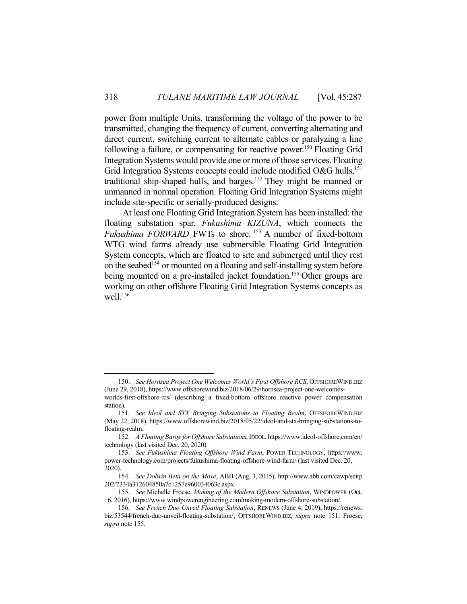power from multiple Units, transforming the voltage of the power to be transmitted, changing the frequency of current, converting alternating and direct current, switching current to alternate cables or paralyzing a line following a failure, or compensating for reactive power.<sup>150</sup> Floating Grid Integration Systems would provide one or more of those services. Floating Grid Integration Systems concepts could include modified O&G hulls,<sup>151</sup> traditional ship-shaped hulls, and barges.152 They might be manned or unmanned in normal operation. Floating Grid Integration Systems might include site-specific or serially-produced designs.

 At least one Floating Grid Integration System has been installed: the floating substation spar, *Fukushima KIZUNA*, which connects the *Fukushima FORWARD* FWTs to shore.<sup>153</sup> A number of fixed-bottom WTG wind farms already use submersible Floating Grid Integration System concepts, which are floated to site and submerged until they rest on the seabed<sup>154</sup> or mounted on a floating and self-installing system before being mounted on a pre-installed jacket foundation.<sup>155</sup> Other groups are working on other offshore Floating Grid Integration Systems concepts as well.<sup>156</sup>

1

station).

 <sup>150.</sup> *See Hornsea Project One Welcomes World's First Offshore RCS*, OFFSHOREWIND.BIZ (June 29, 2018), https://www.offshorewind.biz/2018/06/29/hornsea-project-one-welcomesworlds-first-offshore-rcs/ (describing a fixed-bottom offshore reactive power compensation

 <sup>151.</sup> *See Ideol and STX Bringing Substations to Floating Realm*, OFFSHOREWIND.BIZ (May 22, 2018), https://www.offshorewind.biz/2018/05/22/ideol-and-stx-bringing-substations-tofloating-realm.

 <sup>152.</sup> *A Floating Barge for Offshore Substations*, IDEOL, https://www.ideol-offshore.com/en/ technology (last visited Dec. 20, 2020).

 <sup>153.</sup> *See Fukushima Floating Offshore Wind Farm*, POWER TECHNOLOGY, https://www. power-technology.com/projects/fukushima-floating-offshore-wind-farm/ (last visited Dec. 20, 2020).

 <sup>154.</sup> *See Dolwin Beta on the Move*, ABB (Aug. 3, 2015), http://www.abb.com/cawp/seitp 202/7334a312604850a7c1257e960034063c.aspx.

 <sup>155.</sup> *See* Michelle Froese, *Making of the Modern Offshore Substation*, WINDPOWER (Oct. 16, 2016), https://www.windpowerengineering.com/making-modern-offshore-substation/.

 <sup>156.</sup> *See French Duo Unveil Floating Substation*, RENEWS (June 4, 2019), https://renews. biz/53544/french-duo-unveil-floating-substation/; OFFSHOREWIND.BIZ, *supra* note 151; Froese, *supra* note 155.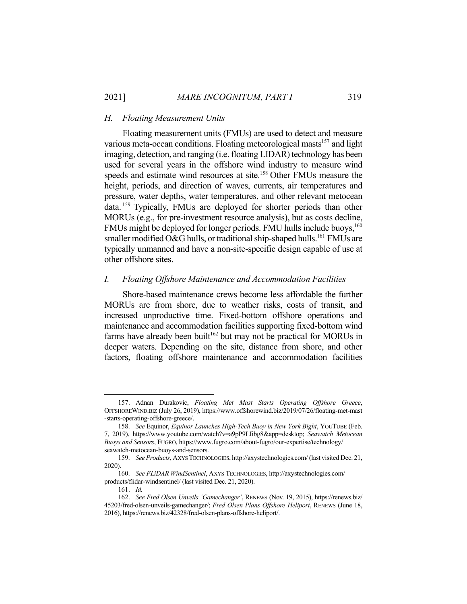### *H. Floating Measurement Units*

 Floating measurement units (FMUs) are used to detect and measure various meta-ocean conditions. Floating meteorological masts<sup>157</sup> and light imaging, detection, and ranging (i.e. floating LIDAR) technology has been used for several years in the offshore wind industry to measure wind speeds and estimate wind resources at site.<sup>158</sup> Other FMUs measure the height, periods, and direction of waves, currents, air temperatures and pressure, water depths, water temperatures, and other relevant metocean data. 159 Typically, FMUs are deployed for shorter periods than other MORUs (e.g., for pre-investment resource analysis), but as costs decline, FMUs might be deployed for longer periods. FMU hulls include buoys,<sup>160</sup> smaller modified O&G hulls, or traditional ship-shaped hulls.<sup>161</sup> FMUs are typically unmanned and have a non-site-specific design capable of use at other offshore sites.

## *I. Floating Offshore Maintenance and Accommodation Facilities*

 Shore-based maintenance crews become less affordable the further MORUs are from shore, due to weather risks, costs of transit, and increased unproductive time. Fixed-bottom offshore operations and maintenance and accommodation facilities supporting fixed-bottom wind farms have already been built<sup>162</sup> but may not be practical for MORUs in deeper waters. Depending on the site, distance from shore, and other factors, floating offshore maintenance and accommodation facilities

 <sup>157.</sup> Adnan Durakovic, *Floating Met Mast Starts Operating Offshore Greece*, OFFSHOREWIND.BIZ (July 26, 2019), https://www.offshorewind.biz/2019/07/26/floating-met-mast -starts-operating-offshore-greece/.

 <sup>158.</sup> *See* Equinor, *Equinor Launches High-Tech Buoy in New York Bight*, YOUTUBE (Feb. 7, 2019), https://www.youtube.com/watch?v=a9pP9LIibg8&app=desktop; *Seawatch Metocean Buoys and Sensors*, FUGRO, https://www.fugro.com/about-fugro/our-expertise/technology/ seawatch-metocean-buoys-and-sensors.

 <sup>159.</sup> *See Products*, AXYS TECHNOLOGIES, http://axystechnologies.com/ (last visited Dec. 21, 2020).

 <sup>160.</sup> *See FLiDAR WindSentinel*, AXYS TECHNOLOGIES, http://axystechnologies.com/ products/flidar-windsentinel/ (last visited Dec. 21, 2020).

 <sup>161.</sup> *Id.*

 <sup>162.</sup> *See Fred Olsen Unveils 'Gamechanger'*, RENEWS (Nov. 19, 2015), https://renews.biz/ 45203/fred-olsen-unveils-gamechanger/; *Fred Olsen Plans Offshore Heliport*, RENEWS (June 18, 2016), https://renews.biz/42328/fred-olsen-plans-offshore-heliport/.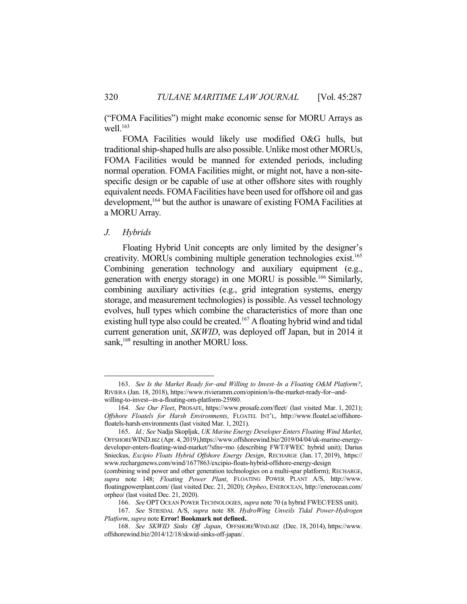("FOMA Facilities") might make economic sense for MORU Arrays as well. $163$ 

 FOMA Facilities would likely use modified O&G hulls, but traditional ship-shaped hulls are also possible. Unlike most other MORUs, FOMA Facilities would be manned for extended periods, including normal operation. FOMA Facilities might, or might not, have a non-sitespecific design or be capable of use at other offshore sites with roughly equivalent needs. FOMA Facilities have been used for offshore oil and gas development,<sup>164</sup> but the author is unaware of existing FOMA Facilities at a MORU Array.

### *J. Hybrids*

1

 Floating Hybrid Unit concepts are only limited by the designer's creativity. MORUs combining multiple generation technologies exist.<sup>165</sup> Combining generation technology and auxiliary equipment (e.g., generation with energy storage) in one MORU is possible.166 Similarly, combining auxiliary activities (e.g., grid integration systems, energy storage, and measurement technologies) is possible. As vessel technology evolves, hull types which combine the characteristics of more than one existing hull type also could be created.<sup>167</sup> A floating hybrid wind and tidal current generation unit, *SKWID*, was deployed off Japan, but in 2014 it sank,<sup>168</sup> resulting in another MORU loss.

 <sup>163.</sup> *See Is the Market Ready for–and Willing to Invest–In a Floating O&M Platform?*, RIVIERA (Jan. 18, 2018), https://www.rivieramm.com/opinion/is-the-market-ready-for--andwilling-to-invest--in-a-floating-om-platform-25980.

 <sup>164.</sup> *See Our Fleet*, PROSAFE, https://www.prosafe.com/fleet/ (last visited Mar. 1, 2021); *Offshore Floatels for Harsh Environments*, FLOATEL INT'L, http://www.floatel.se/offshorefloatels-harsh-environments (last visited Mar. 1, 2021).

 <sup>165.</sup> *Id.; See* Nadja Skopljak, *UK Marine Energy Developer Enters Floating Wind Market*, OFFSHOREWIND.BIZ (Apr. 4, 2019),https://www.offshorewind.biz/2019/04/04/uk-marine-energydeveloper-enters-floating-wind-market/?sfns=mo (describing FWT/FWEC hybrid unit); Darius Snieckus, *Excipio Floats Hybrid Offshore Energy Design*, RECHARGE (Jan. 17, 2019), https:// www.rechargenews.com/wind/1677863/excipio-floats-hybrid-offshore-energy-design

<sup>(</sup>combining wind power and other generation technologies on a multi-spar platform); RECHARGE, *supra* note 148; *Floating Power Plant*, FLOATING POWER PLANT A/S, http://www. floatingpowerplant.com/ (last visited Dec. 21, 2020); *Orpheo*, ENEROCEAN, http://enerocean.com/ orpheo/ (last visited Dec. 21, 2020).

 <sup>166.</sup> *See* OPT OCEAN POWER TECHNOLOGIES, *supra* note 70 (a hybrid FWEC/FESS unit).

 <sup>167.</sup> *See* STIESDAL A/S, *supra* note 88. *HydroWing Unveils Tidal Power-Hydrogen Platform*, *supra* note **Error! Bookmark not defined.**.

 <sup>168.</sup> *See SKWID Sinks Off Japan*, OFFSHOREWIND.BIZ (Dec. 18, 2014), https://www. offshorewind.biz/2014/12/18/skwid-sinks-off-japan/.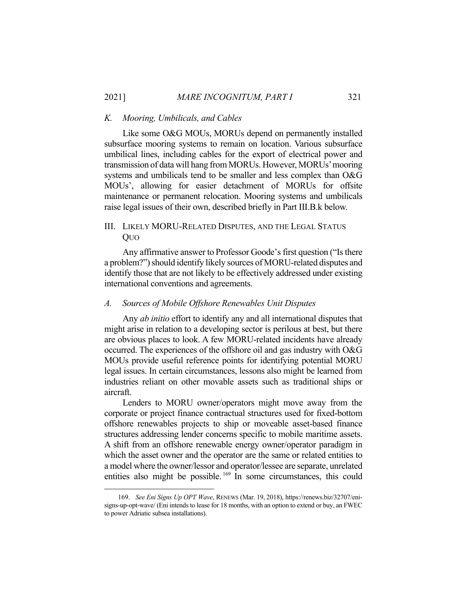### *K. Mooring, Umbilicals, and Cables*

 Like some O&G MOUs, MORUs depend on permanently installed subsurface mooring systems to remain on location. Various subsurface umbilical lines, including cables for the export of electrical power and transmission of data will hang from MORUs. However, MORUs' mooring systems and umbilicals tend to be smaller and less complex than O&G MOUs', allowing for easier detachment of MORUs for offsite maintenance or permanent relocation. Mooring systems and umbilicals raise legal issues of their own, described briefly in Part III.B.k below.

## III. LIKELY MORU-RELATED DISPUTES, AND THE LEGAL STATUS QUO

 Any affirmative answer to Professor Goode's first question ("Is there a problem?") should identify likely sources of MORU-related disputes and identify those that are not likely to be effectively addressed under existing international conventions and agreements.

## *A. Sources of Mobile Offshore Renewables Unit Disputes*

 Any *ab initio* effort to identify any and all international disputes that might arise in relation to a developing sector is perilous at best, but there are obvious places to look. A few MORU-related incidents have already occurred. The experiences of the offshore oil and gas industry with O&G MOUs provide useful reference points for identifying potential MORU legal issues. In certain circumstances, lessons also might be learned from industries reliant on other movable assets such as traditional ships or aircraft.

 Lenders to MORU owner/operators might move away from the corporate or project finance contractual structures used for fixed-bottom offshore renewables projects to ship or moveable asset-based finance structures addressing lender concerns specific to mobile maritime assets. A shift from an offshore renewable energy owner/operator paradigm in which the asset owner and the operator are the same or related entities to a model where the owner/lessor and operator/lessee are separate, unrelated entities also might be possible.<sup>169</sup> In some circumstances, this could

 <sup>169.</sup> *See Eni Signs Up OPT Wave*, RENEWS (Mar. 19, 2018), https://renews.biz/32707/enisigns-up-opt-wave/ (Eni intends to lease for 18 months, with an option to extend or buy, an FWEC to power Adriatic subsea installations).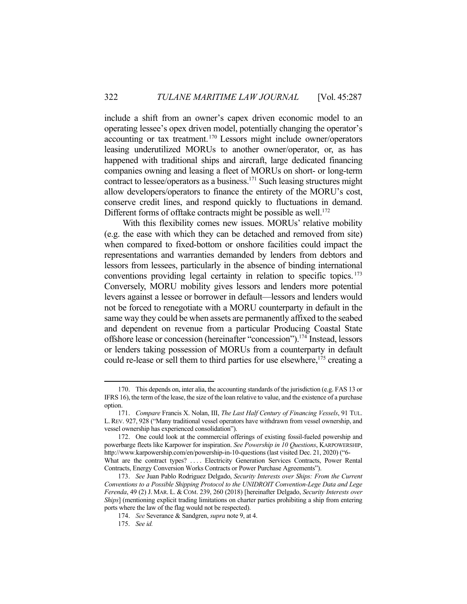include a shift from an owner's capex driven economic model to an operating lessee's opex driven model, potentially changing the operator's accounting or tax treatment.170 Lessors might include owner/operators leasing underutilized MORUs to another owner/operator, or, as has happened with traditional ships and aircraft, large dedicated financing companies owning and leasing a fleet of MORUs on short- or long-term contract to lessee/operators as a business.171 Such leasing structures might allow developers/operators to finance the entirety of the MORU's cost, conserve credit lines, and respond quickly to fluctuations in demand. Different forms of offtake contracts might be possible as well.<sup>172</sup>

 With this flexibility comes new issues. MORUs' relative mobility (e.g. the ease with which they can be detached and removed from site) when compared to fixed-bottom or onshore facilities could impact the representations and warranties demanded by lenders from debtors and lessors from lessees, particularly in the absence of binding international conventions providing legal certainty in relation to specific topics.<sup>173</sup> Conversely, MORU mobility gives lessors and lenders more potential levers against a lessee or borrower in default—lessors and lenders would not be forced to renegotiate with a MORU counterparty in default in the same way they could be when assets are permanently affixed to the seabed and dependent on revenue from a particular Producing Coastal State offshore lease or concession (hereinafter "concession").174 Instead, lessors or lenders taking possession of MORUs from a counterparty in default could re-lease or sell them to third parties for use elsewhere,<sup>175</sup> creating a

 <sup>170.</sup> This depends on, inter alia, the accounting standards of the jurisdiction (e.g. FAS 13 or IFRS 16), the term of the lease, the size of the loan relative to value, and the existence of a purchase option.

 <sup>171.</sup> *Compare* Francis X. Nolan, III, *The Last Half Century of Financing Vessels*, 91 TUL. L.REV. 927, 928 ("Many traditional vessel operators have withdrawn from vessel ownership, and vessel ownership has experienced consolidation").

 <sup>172.</sup> One could look at the commercial offerings of existing fossil-fueled powership and powerbarge fleets like Karpower for inspiration. *See Powership in 10 Questions*, KARPOWERSHIP, http://www.karpowership.com/en/powership-in-10-questions (last visited Dec. 21, 2020) ("6- What are the contract types? .... Electricity Generation Services Contracts, Power Rental Contracts, Energy Conversion Works Contracts or Power Purchase Agreements").

 <sup>173.</sup> *See* Juan Pablo Rodriguez Delgado, *Security Interests over Ships: From the Current Conventions to a Possible Shipping Protocol to the UNIDROIT Convention-Lege Data and Lege Ferenda*, 49 (2) J. MAR. L. & COM. 239, 260 (2018) [hereinafter Delgado, *Security Interests over Ships*] (mentioning explicit trading limitations on charter parties prohibiting a ship from entering ports where the law of the flag would not be respected).

 <sup>174.</sup> *See* Severance & Sandgren, *supra* note 9, at 4.

 <sup>175.</sup> *See id.*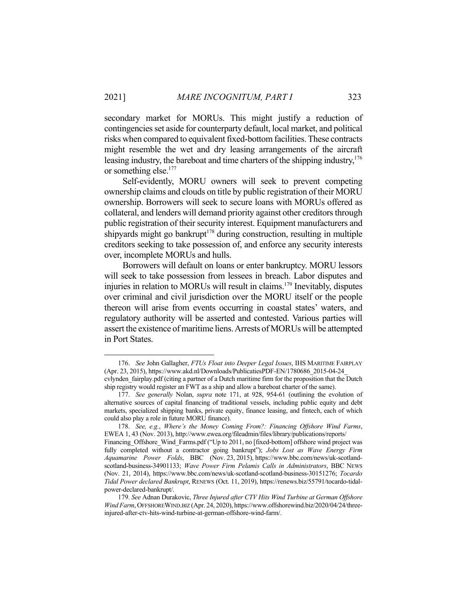secondary market for MORUs. This might justify a reduction of contingencies set aside for counterparty default, local market, and political risks when compared to equivalent fixed-bottom facilities. These contracts might resemble the wet and dry leasing arrangements of the aircraft leasing industry, the bareboat and time charters of the shipping industry,<sup>176</sup> or something else.177

 Self-evidently, MORU owners will seek to prevent competing ownership claims and clouds on title by public registration of their MORU ownership. Borrowers will seek to secure loans with MORUs offered as collateral, and lenders will demand priority against other creditors through public registration of their security interest. Equipment manufacturers and shipyards might go bankrupt $178$  during construction, resulting in multiple creditors seeking to take possession of, and enforce any security interests over, incomplete MORUs and hulls.

 Borrowers will default on loans or enter bankruptcy. MORU lessors will seek to take possession from lessees in breach. Labor disputes and injuries in relation to MORUs will result in claims.179 Inevitably, disputes over criminal and civil jurisdiction over the MORU itself or the people thereon will arise from events occurring in coastal states' waters, and regulatory authority will be asserted and contested. Various parties will assert the existence of maritime liens. Arrests of MORUs will be attempted in Port States.

<u>.</u>

 <sup>176.</sup> *See* John Gallagher, *FTUs Float into Deeper Legal Issues*, IHS MARITIME FAIRPLAY (Apr. 23, 2015), https://www.akd.nl/Downloads/PublicatiesPDF-EN/1780686\_2015-04-24\_ cvlynden\_fairplay.pdf (citing a partner of a Dutch maritime firm for the proposition that the Dutch ship registry would register an FWT as a ship and allow a bareboat charter of the same).

 <sup>177.</sup> *See generally* Nolan, *supra* note 171, at 928, 954-61 (outlining the evolution of alternative sources of capital financing of traditional vessels, including public equity and debt markets, specialized shipping banks, private equity, finance leasing, and fintech, each of which could also play a role in future MORU finance).

 <sup>178.</sup> *See, e.g.*, *Where's the Money Coming From?: Financing Offshore Wind Farms*, EWEA 1, 43 (Nov. 2013), http://www.ewea.org/fileadmin/files/library/publications/reports/ Financing Offshore Wind Farms.pdf ("Up to 2011, no [fixed-bottom] offshore wind project was fully completed without a contractor going bankrupt"); *Jobs Lost as Wave Energy Firm Aquamarine Power Folds*, BBC (Nov. 23, 2015), https://www.bbc.com/news/uk-scotlandscotland-business-34901133; *Wave Power Firm Pelamis Calls in Administrators*, BBC NEWS (Nov. 21, 2014), https://www.bbc.com/news/uk-scotland-scotland-business-30151276; *Tocardo Tidal Power declared Bankrupt*, RENEWS (Oct. 11, 2019), https://renews.biz/55791/tocardo-tidalpower-declared-bankrupt/.

 <sup>179.</sup> *See* Adnan Durakovic, *Three Injured after CTV Hits Wind Turbine at German Offshore Wind Farm*, OFFSHOREWIND.BIZ (Apr. 24, 2020), https://www.offshorewind.biz/2020/04/24/threeinjured-after-ctv-hits-wind-turbine-at-german-offshore-wind-farm/.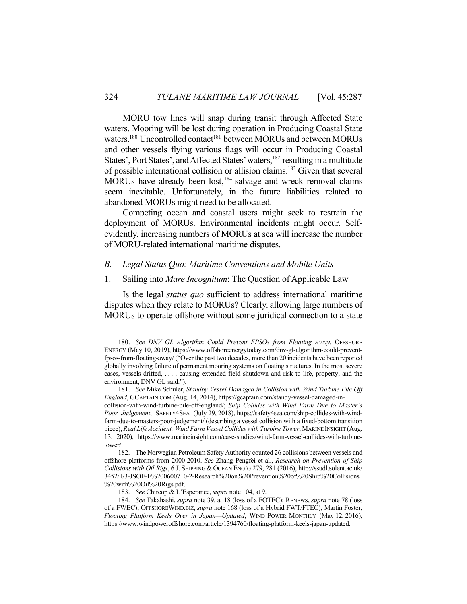MORU tow lines will snap during transit through Affected State waters. Mooring will be lost during operation in Producing Coastal State waters.<sup>180</sup> Uncontrolled contact<sup>181</sup> between MORUs and between MORUs and other vessels flying various flags will occur in Producing Coastal States', Port States', and Affected States' waters,<sup>182</sup> resulting in a multitude of possible international collision or allision claims.183 Given that several MORUs have already been lost,<sup>184</sup> salvage and wreck removal claims seem inevitable. Unfortunately, in the future liabilities related to abandoned MORUs might need to be allocated.

 Competing ocean and coastal users might seek to restrain the deployment of MORUs. Environmental incidents might occur. Selfevidently, increasing numbers of MORUs at sea will increase the number of MORU-related international maritime disputes.

## *B. Legal Status Quo: Maritime Conventions and Mobile Units*

#### 1. Sailing into *Mare Incognitum*: The Question of Applicable Law

 Is the legal *status quo* sufficient to address international maritime disputes when they relate to MORUs? Clearly, allowing large numbers of MORUs to operate offshore without some juridical connection to a state

 <sup>180.</sup> *See DNV GL Algorithm Could Prevent FPSOs from Floating Away*, OFFSHORE ENERGY (May 10, 2019), https://www.offshoreenergytoday.com/dnv-gl-algorithm-could-preventfpsos-from-floating-away/ ("Over the past two decades, more than 20 incidents have been reported globally involving failure of permanent mooring systems on floating structures. In the most severe cases, vessels drifted, . . . . causing extended field shutdown and risk to life, property, and the environment, DNV GL said.").

 <sup>181.</sup> *See* Mike Schuler, *Standby Vessel Damaged in Collision with Wind Turbine Pile Off England*, GCAPTAIN.COM (Aug. 14, 2014), https://gcaptain.com/standy-vessel-damaged-incollision-with-wind-turbine-pile-off-england/; *Ship Collides with Wind Farm Due to Master's Poor Judgement*, SAFETY4SEA (July 29, 2018), https://safety4sea.com/ship-collides-with-windfarm-due-to-masters-poor-judgement/ (describing a vessel collision with a fixed-bottom transition piece); *Real Life Accident: Wind Farm Vessel Collides with Turbine Tower*, MARINE INSIGHT (Aug. 13, 2020), https://www.marineinsight.com/case-studies/wind-farm-vessel-collides-with-turbinetower/.

 <sup>182.</sup> The Norwegian Petroleum Safety Authority counted 26 collisions between vessels and offshore platforms from 2000-2010. *See* Zhang Pengfei et al., *Research on Prevention of Ship Collisions with Oil Rigs*, 6 J. SHIPPING & OCEAN ENG'G 279, 281 (2016), http://ssudl.solent.ac.uk/ 3452/1/3-JSOE-E%200600710-2-Research%20on%20Prevention%20of%20Ship%20Collisions %20with%20Oil%20Rigs.pdf.

 <sup>183.</sup> *See* Chircop & L'Esperance, *supra* note 104, at 9.

 <sup>184.</sup> *See* Takahashi, *supra* note 39, at 18 (loss of a FOTEC); RENEWS, *supra* note 78 (loss of a FWEC); OFFSHOREWIND.BIZ, *supra* note 168 (loss of a Hybrid FWT/FTEC); Martin Foster, *Floating Platform Keels Over in Japan—Updated*, WIND POWER MONTHLY (May 12, 2016), https://www.windpoweroffshore.com/article/1394760/floating-platform-keels-japan-updated.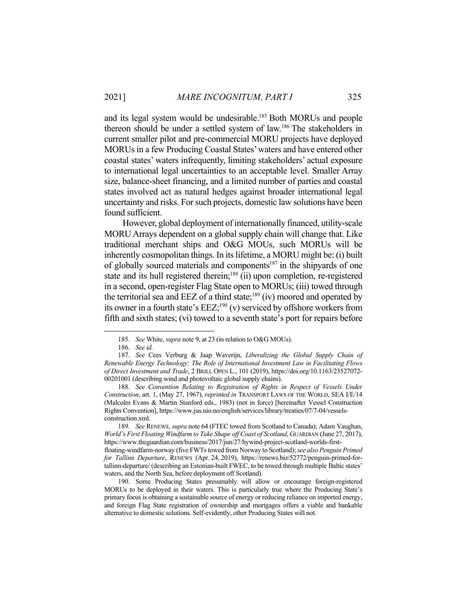and its legal system would be undesirable.<sup>185</sup> Both MORUs and people thereon should be under a settled system of law.186 The stakeholders in current smaller pilot and pre-commercial MORU projects have deployed MORUs in a few Producing Coastal States' waters and have entered other coastal states' waters infrequently, limiting stakeholders' actual exposure to international legal uncertainties to an acceptable level. Smaller Array size, balance-sheet financing, and a limited number of parties and coastal states involved act as natural hedges against broader international legal uncertainty and risks. For such projects, domestic law solutions have been found sufficient.

 However, global deployment of internationally financed, utility-scale MORU Arrays dependent on a global supply chain will change that. Like traditional merchant ships and O&G MOUs, such MORUs will be inherently cosmopolitan things. In its lifetime, a MORU might be: (i) built of globally sourced materials and components<sup>187</sup> in the shipyards of one state and its hull registered therein;<sup>188</sup> (ii) upon completion, re-registered in a second, open-register Flag State open to MORUs; (iii) towed through the territorial sea and EEZ of a third state;<sup>189</sup> (iv) moored and operated by its owner in a fourth state's  $EEZ<sub>i</sub><sup>190</sup>$  (v) serviced by offshore workers from fifth and sixth states; (vi) towed to a seventh state's port for repairs before

 <sup>185.</sup> *See* White, *supra* note 9, at 23 (in relation to O&G MOUs).

 <sup>186.</sup> *See id.*

 <sup>187.</sup> *See* Cees Verburg & Jaap Waverijn, *Liberalizing the Global Supply Chain of Renewable Energy Technology: The Role of International Investment Law in Facilitating Flows of Direct Investment and Trade*, 2 BRILL OPEN L., 101 (2019), https://doi.org/10.1163/23527072- 00201001 (describing wind and photovoltaic global supply chains).

 <sup>188.</sup> *See Convention Relating to Registration of Rights in Respect of Vessels Under Construction*, art. 1, (May 27, 1967), *reprinted in* TRANSPORT LAWS OF THE WORLD, SEA I/E/14 (Malcolm Evans & Martin Stanford eds., 1983) (not in force) [hereinafter Vessel Construction Rights Convention], https://www.jus.uio.no/english/services/library/treaties/07/7-04/vesselsconstruction.xml.

 <sup>189.</sup> *See* RENEWS, *supra* note 64 (FTEC towed from Scotland to Canada); Adam Vaughan, *World's First Floating Windfarm to Take Shape off Coast of Scotland*, GUARDIAN (June 27, 2017), https://www.theguardian.com/business/2017/jun/27/hywind-project-scotland-worlds-first-

floating-windfarm-norway (five FWTs towed from Norway to Scotland); *see also Penguin Primed for Tallinn Departure*, RENEWS (Apr. 24, 2019), https://renews.biz/52772/penguin-primed-fortallinn-departure/ (describing an Estonian-built FWEC, to be towed through multiple Baltic states' waters, and the North Sea, before deployment off Scotland).

 <sup>190.</sup> Some Producing States presumably will allow or encourage foreign-registered MORUs to be deployed in their waters. This is particularly true where the Producing State's primary focus is obtaining a sustainable source of energy or reducing reliance on imported energy, and foreign Flag State registration of ownership and mortgages offers a viable and bankable alternative to domestic solutions. Self-evidently, other Producing States will not.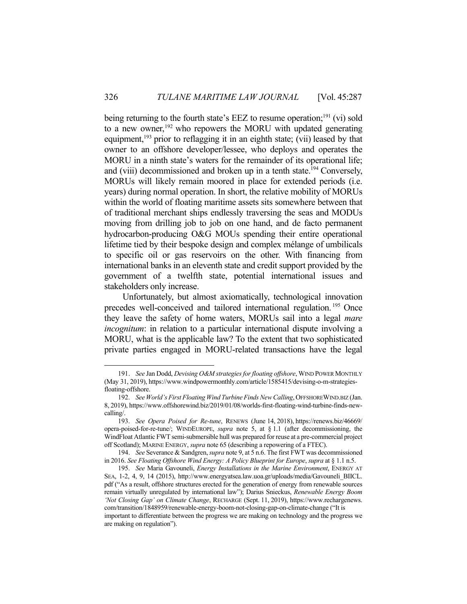being returning to the fourth state's EEZ to resume operation;<sup>191</sup> (vi) sold to a new owner,<sup>192</sup> who repowers the MORU with updated generating equipment, $193$  prior to reflagging it in an eighth state; (vii) leased by that owner to an offshore developer/lessee, who deploys and operates the MORU in a ninth state's waters for the remainder of its operational life; and (viii) decommissioned and broken up in a tenth state.<sup>194</sup> Conversely, MORUs will likely remain moored in place for extended periods (i.e. years) during normal operation. In short, the relative mobility of MORUs within the world of floating maritime assets sits somewhere between that of traditional merchant ships endlessly traversing the seas and MODUs moving from drilling job to job on one hand, and de facto permanent hydrocarbon-producing O&G MOUs spending their entire operational lifetime tied by their bespoke design and complex mélange of umbilicals to specific oil or gas reservoirs on the other. With financing from international banks in an eleventh state and credit support provided by the government of a twelfth state, potential international issues and stakeholders only increase.

 Unfortunately, but almost axiomatically, technological innovation precedes well-conceived and tailored international regulation.<sup>195</sup> Once they leave the safety of home waters, MORUs sail into a legal *mare incognitum*: in relation to a particular international dispute involving a MORU, what is the applicable law? To the extent that two sophisticated private parties engaged in MORU-related transactions have the legal

 <sup>191.</sup> *See* Jan Dodd, *Devising O&M strategies for floating offshore*, WIND POWER MONTHLY (May 31, 2019), https://www.windpowermonthly.com/article/1585415/devising-o-m-strategiesfloating-offshore.

 <sup>192.</sup> *See World's First Floating Wind Turbine Finds New Calling*, OFFSHOREWIND.BIZ (Jan. 8, 2019), https://www.offshorewind.biz/2019/01/08/worlds-first-floating-wind-turbine-finds-newcalling/.

 <sup>193.</sup> *See Opera Poised for Re-tune*, RENEWS (June 14, 2018), https://renews.biz/46669/ opera-poised-for-re-tune/; WINDEUROPE, *supra* note 5, at § 1.1 (after decommissioning, the WindFloat Atlantic FWT semi-submersible hull was prepared for reuse at a pre-commercial project off Scotland); MARINE ENERGY, *supra* note 65 (describing a repowering of a FTEC).

 <sup>194.</sup> *See* Severance & Sandgren, *supra* note 9, at 5 n.6. The first FWT was decommissioned in 2016. *See Floating Offshore Wind Energy: A Policy Blueprint for Europe*, *supra* at § 1.1 n.5.

 <sup>195.</sup> *See* Maria Gavouneli, *Energy Installations in the Marine Environment*, ENERGY AT SEA, 1-2, 4, 9, 14 (2015), http://www.energyatsea.law.uoa.gr/uploads/media/Gavouneli\_BIICL. pdf ("As a result, offshore structures erected for the generation of energy from renewable sources remain virtually unregulated by international law"); Darius Snieckus, *Renewable Energy Boom 'Not Closing Gap' on Climate Change*, RECHARGE (Sept. 11, 2019), https://www.rechargenews. com/transition/1848959/renewable-energy-boom-not-closing-gap-on-climate-change ("It is important to differentiate between the progress we are making on technology and the progress we are making on regulation").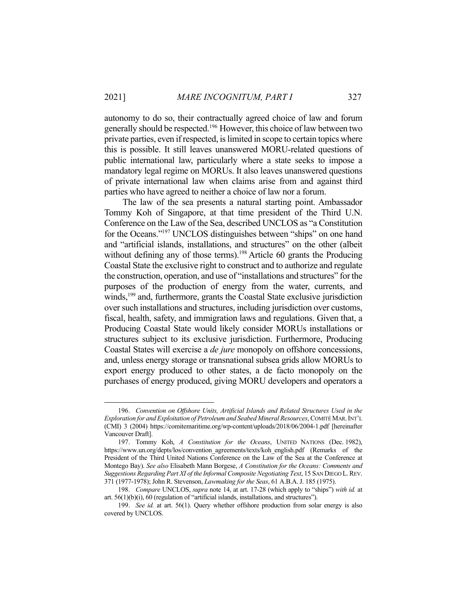autonomy to do so, their contractually agreed choice of law and forum generally should be respected.<sup>196</sup> However, this choice of law between two private parties, even if respected, is limited in scope to certain topics where this is possible. It still leaves unanswered MORU-related questions of public international law, particularly where a state seeks to impose a mandatory legal regime on MORUs. It also leaves unanswered questions of private international law when claims arise from and against third parties who have agreed to neither a choice of law nor a forum.

 The law of the sea presents a natural starting point. Ambassador Tommy Koh of Singapore, at that time president of the Third U.N. Conference on the Law of the Sea, described UNCLOS as "a Constitution for the Oceans."197 UNCLOS distinguishes between "ships" on one hand and "artificial islands, installations, and structures" on the other (albeit without defining any of those terms).<sup>198</sup> Article 60 grants the Producing Coastal State the exclusive right to construct and to authorize and regulate the construction, operation, and use of "installations and structures" for the purposes of the production of energy from the water, currents, and winds,<sup>199</sup> and, furthermore, grants the Coastal State exclusive jurisdiction over such installations and structures, including jurisdiction over customs, fiscal, health, safety, and immigration laws and regulations. Given that, a Producing Coastal State would likely consider MORUs installations or structures subject to its exclusive jurisdiction. Furthermore, Producing Coastal States will exercise a *de jure* monopoly on offshore concessions, and, unless energy storage or transnational subsea grids allow MORUs to export energy produced to other states, a de facto monopoly on the purchases of energy produced, giving MORU developers and operators a

 <sup>196.</sup> *Convention on Offshore Units, Artificial Islands and Related Structures Used in the Exploration for and Exploitation of Petroleum and Seabed Mineral Resources*, COMITÉ MAR.INT'L (CMI) 3 (2004) https://comitemaritime.org/wp-content/uploads/2018/06/2004-1.pdf [hereinafter Vancouver Draft].

 <sup>197.</sup> Tommy Koh, *A Constitution for the Oceans*, UNITED NATIONS (Dec. 1982), https://www.un.org/depts/los/convention\_agreements/texts/koh\_english.pdf (Remarks of the President of the Third United Nations Conference on the Law of the Sea at the Conference at Montego Bay). *See also* Elisabeth Mann Borgese, *A Constitution for the Oceans: Comments and Suggestions Regarding Part XI of the Informal Composite Negotiating Text*, 15 SAN DIEGO L.REV. 371 (1977-1978); John R. Stevenson, *Lawmaking for the Seas*, 61 A.B.A.J. 185 (1975).

 <sup>198.</sup> *Compare* UNCLOS, *supra* note 14, at art. 17-28 (which apply to "ships") *with id.* at art. 56(1)(b)(i), 60 (regulation of "artificial islands, installations, and structures").

 <sup>199.</sup> *See id.* at art. 56(1). Query whether offshore production from solar energy is also covered by UNCLOS.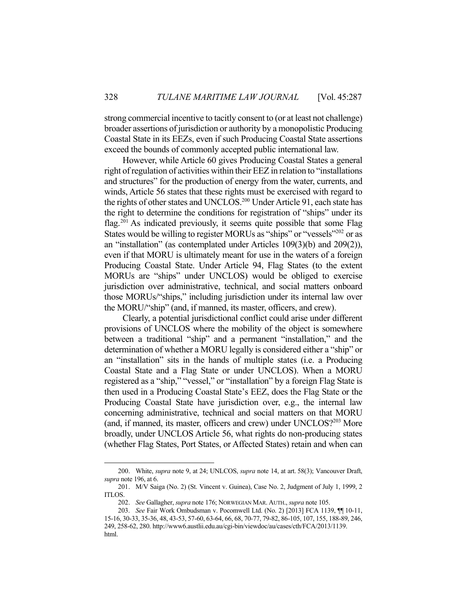strong commercial incentive to tacitly consent to (or at least not challenge) broader assertions of jurisdiction or authority by a monopolistic Producing Coastal State in its EEZs, even if such Producing Coastal State assertions exceed the bounds of commonly accepted public international law.

 However, while Article 60 gives Producing Coastal States a general right of regulation of activities within their EEZ in relation to "installations and structures" for the production of energy from the water, currents, and winds, Article 56 states that these rights must be exercised with regard to the rights of other states and UNCLOS.<sup>200</sup> Under Article 91, each state has the right to determine the conditions for registration of "ships" under its flag.<sup>201</sup> As indicated previously, it seems quite possible that some Flag States would be willing to register MORUs as "ships" or "vessels"<sup>202</sup> or as an "installation" (as contemplated under Articles 109(3)(b) and 209(2)), even if that MORU is ultimately meant for use in the waters of a foreign Producing Coastal State. Under Article 94, Flag States (to the extent MORUs are "ships" under UNCLOS) would be obliged to exercise jurisdiction over administrative, technical, and social matters onboard those MORUs/"ships," including jurisdiction under its internal law over the MORU/"ship" (and, if manned, its master, officers, and crew).

 Clearly, a potential jurisdictional conflict could arise under different provisions of UNCLOS where the mobility of the object is somewhere between a traditional "ship" and a permanent "installation," and the determination of whether a MORU legally is considered either a "ship" or an "installation" sits in the hands of multiple states (i.e. a Producing Coastal State and a Flag State or under UNCLOS). When a MORU registered as a "ship," "vessel," or "installation" by a foreign Flag State is then used in a Producing Coastal State's EEZ, does the Flag State or the Producing Coastal State have jurisdiction over, e.g., the internal law concerning administrative, technical and social matters on that MORU (and, if manned, its master, officers and crew) under UNCLOS?<sup>203</sup> More broadly, under UNCLOS Article 56, what rights do non-producing states (whether Flag States, Port States, or Affected States) retain and when can

 <sup>200.</sup> White, *supra* note 9, at 24; UNLCOS, *supra* note 14, at art. 58(3); Vancouver Draft, *supra* note 196, at 6.

 <sup>201.</sup> M/V Saiga (No. 2) (St. Vincent v. Guinea), Case No. 2, Judgment of July 1, 1999, 2 ITLOS.

 <sup>202.</sup> *See* Gallagher, *supra* note 176; NORWEGIAN MAR. AUTH., *supra* note 105.

 <sup>203.</sup> *See* Fair Work Ombudsman v. Pocomwell Ltd. (No. 2) [2013] FCA 1139, ¶¶ 10-11, 15-16, 30-33, 35-36, 48, 43-53, 57-60, 63-64, 66, 68, 70-77, 79-82, 86-105, 107, 155, 188-89, 246, 249, 258-62, 280. http://www6.austlii.edu.au/cgi-bin/viewdoc/au/cases/cth/FCA/2013/1139. html.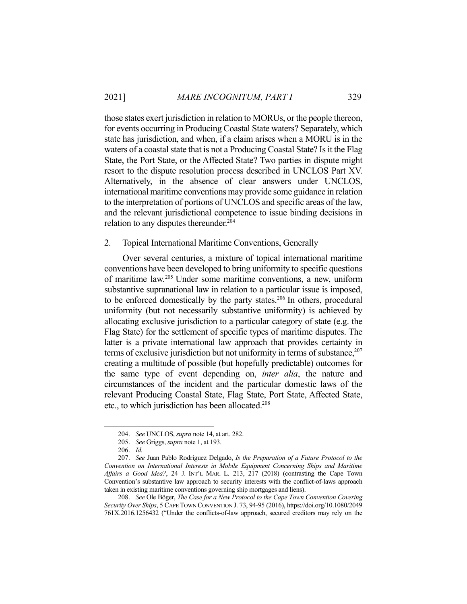those states exert jurisdiction in relation to MORUs, or the people thereon, for events occurring in Producing Coastal State waters? Separately, which state has jurisdiction, and when, if a claim arises when a MORU is in the waters of a coastal state that is not a Producing Coastal State? Is it the Flag State, the Port State, or the Affected State? Two parties in dispute might resort to the dispute resolution process described in UNCLOS Part XV. Alternatively, in the absence of clear answers under UNCLOS, international maritime conventions may provide some guidance in relation to the interpretation of portions of UNCLOS and specific areas of the law, and the relevant jurisdictional competence to issue binding decisions in relation to any disputes thereunder.<sup>204</sup>

### 2. Topical International Maritime Conventions, Generally

 Over several centuries, a mixture of topical international maritime conventions have been developed to bring uniformity to specific questions of maritime law.205 Under some maritime conventions, a new, uniform substantive supranational law in relation to a particular issue is imposed, to be enforced domestically by the party states.<sup>206</sup> In others, procedural uniformity (but not necessarily substantive uniformity) is achieved by allocating exclusive jurisdiction to a particular category of state (e.g. the Flag State) for the settlement of specific types of maritime disputes. The latter is a private international law approach that provides certainty in terms of exclusive jurisdiction but not uniformity in terms of substance,  $207$ creating a multitude of possible (but hopefully predictable) outcomes for the same type of event depending on, *inter alia*, the nature and circumstances of the incident and the particular domestic laws of the relevant Producing Coastal State, Flag State, Port State, Affected State, etc., to which jurisdiction has been allocated.<sup>208</sup>

 <sup>204.</sup> *See* UNCLOS, *supra* note 14, at art. 282.

 <sup>205.</sup> *See* Griggs, *supra* note 1, at 193.

 <sup>206.</sup> *Id.*

 <sup>207.</sup> *See* Juan Pablo Rodriguez Delgado, *Is the Preparation of a Future Protocol to the Convention on International Interests in Mobile Equipment Concerning Ships and Maritime Affairs a Good Idea?*, 24 J. INT'L MAR. L. 213, 217 (2018) (contrasting the Cape Town Convention's substantive law approach to security interests with the conflict-of-laws approach taken in existing maritime conventions governing ship mortgages and liens).

 <sup>208.</sup> *See* Ole Böger, *The Case for a New Protocol to the Cape Town Convention Covering Security Over Ships*, 5 CAPE TOWN CONVENTION J. 73, 94-95 (2016), https://doi.org/10.1080/2049 761X.2016.1256432 ("Under the conflicts-of-law approach, secured creditors may rely on the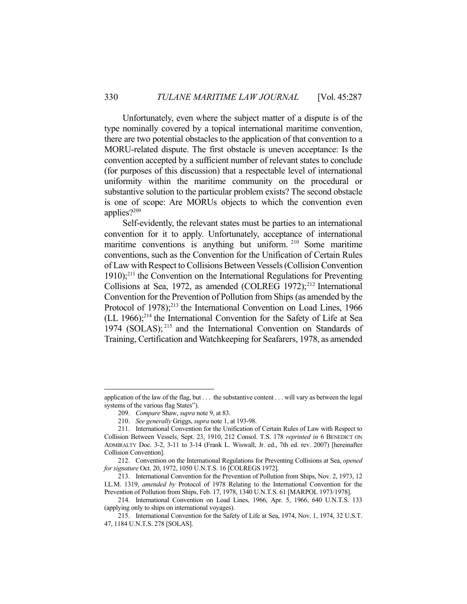Unfortunately, even where the subject matter of a dispute is of the type nominally covered by a topical international maritime convention, there are two potential obstacles to the application of that convention to a MORU-related dispute. The first obstacle is uneven acceptance: Is the convention accepted by a sufficient number of relevant states to conclude (for purposes of this discussion) that a respectable level of international uniformity within the maritime community on the procedural or substantive solution to the particular problem exists? The second obstacle is one of scope: Are MORUs objects to which the convention even applies?209

 Self-evidently, the relevant states must be parties to an international convention for it to apply. Unfortunately, acceptance of international maritime conventions is anything but uniform. <sup>210</sup> Some maritime conventions, such as the Convention for the Unification of Certain Rules of Law with Respect to Collisions Between Vessels (Collision Convention  $1910$ <sup>211</sup> the Convention on the International Regulations for Preventing Collisions at Sea, 1972, as amended  $(COLREG 1972);^{212}$  International Convention for the Prevention of Pollution from Ships (as amended by the Protocol of 1978);<sup>213</sup> the International Convention on Load Lines, 1966 (LL 1966); $^{214}$  the International Convention for the Safety of Life at Sea 1974 (SOLAS); 215 and the International Convention on Standards of Training, Certification and Watchkeeping for Seafarers, 1978, as amended

application of the law of the flag, but . . . the substantive content . . . will vary as between the legal systems of the various flag States").

 <sup>209.</sup> *Compare* Shaw, *supra* note 9, at 83.

 <sup>210.</sup> *See generally* Griggs, *supra* note 1, at 193-98.

 <sup>211.</sup> International Convention for the Unification of Certain Rules of Law with Respect to Collision Between Vessels, Sept. 23, 1910, 212 Consol. T.S. 178 *reprinted in* 6 BENEDICT ON ADMIRALTY Doc. 3-2, 3-11 to 3-14 (Frank L. Wiswall, Jr. ed., 7th ed. rev. 2007) [hereinafter Collision Convention].

 <sup>212.</sup> Convention on the International Regulations for Preventing Collisions at Sea, *opened for signature* Oct. 20, 1972, 1050 U.N.T.S. 16 [COLREGS 1972].

 <sup>213.</sup> International Convention for the Prevention of Pollution from Ships, Nov. 2, 1973, 12 I.L.M. 1319, *amended by* Protocol of 1978 Relating to the International Convention for the Prevention of Pollution from Ships, Feb. 17, 1978, 1340 U.N.T.S. 61 [MARPOL 1973/1978].

 <sup>214.</sup> International Convention on Load Lines, 1966, Apr. 5, 1966, 640 U.N.T.S. 133 (applying only to ships on international voyages).

 <sup>215.</sup> International Convention for the Safety of Life at Sea, 1974, Nov. 1, 1974, 32 U.S.T. 47, 1184 U.N.T.S. 278 [SOLAS].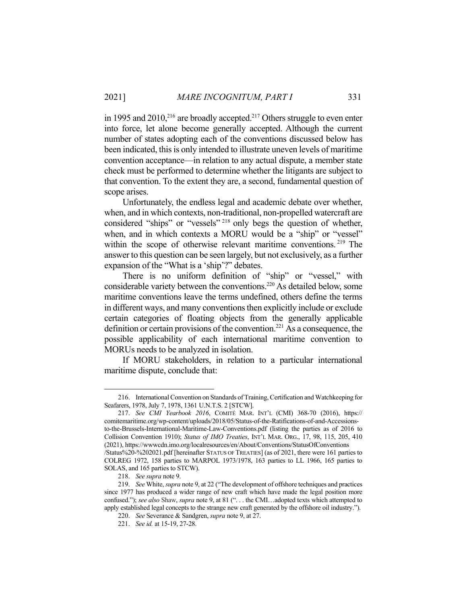in 1995 and  $2010$ <sup>216</sup> are broadly accepted.<sup>217</sup> Others struggle to even enter into force, let alone become generally accepted. Although the current number of states adopting each of the conventions discussed below has been indicated, this is only intended to illustrate uneven levels of maritime convention acceptance—in relation to any actual dispute, a member state check must be performed to determine whether the litigants are subject to that convention. To the extent they are, a second, fundamental question of scope arises.

 Unfortunately, the endless legal and academic debate over whether, when, and in which contexts, non-traditional, non-propelled watercraft are considered "ships" or "vessels" 218 only begs the question of whether, when, and in which contexts a MORU would be a "ship" or "vessel" within the scope of otherwise relevant maritime conventions.<sup>219</sup> The answer to this question can be seen largely, but not exclusively, as a further expansion of the "What is a 'ship'?" debates.

 There is no uniform definition of "ship" or "vessel," with considerable variety between the conventions.220 As detailed below, some maritime conventions leave the terms undefined, others define the terms in different ways, and many conventions then explicitly include or exclude certain categories of floating objects from the generally applicable definition or certain provisions of the convention.<sup>221</sup> As a consequence, the possible applicability of each international maritime convention to MORUs needs to be analyzed in isolation.

 If MORU stakeholders, in relation to a particular international maritime dispute, conclude that:

 <sup>216.</sup> International Convention on Standards of Training, Certification and Watchkeeping for Seafarers, 1978, July 7, 1978, 1361 U.N.T.S. 2 [STCW].

 <sup>217.</sup> *See CMI Yearbook 2016*, COMITÉ MAR. INT'L (CMI) 368-70 (2016), https:// comitemaritime.org/wp-content/uploads/2018/05/Status-of-the-Ratifications-of-and-Accessionsto-the-Brussels-International-Maritime-Law-Conventions.pdf (listing the parties as of 2016 to Collision Convention 1910); *Status of IMO Treaties*, INT'L MAR. ORG., 17, 98, 115, 205, 410 (2021), https://wwwcdn.imo.org/localresources/en/About/Conventions/StatusOfConventions /Status%20-%202021.pdf [hereinafter STATUS OF TREATIES] (as of 2021, there were 161 parties to

COLREG 1972, 158 parties to MARPOL 1973/1978, 163 parties to LL 1966, 165 parties to SOLAS, and 165 parties to STCW).

 <sup>218.</sup> *See supra* note 9.

 <sup>219.</sup> *See* White, *supra* note 9, at 22 ("The development of offshore techniques and practices since 1977 has produced a wider range of new craft which have made the legal position more confused."); *see also* Shaw, *supra* note 9, at 81 (". . . the CMI…adopted texts which attempted to apply established legal concepts to the strange new craft generated by the offshore oil industry.").

 <sup>220.</sup> *See* Severance & Sandgren, *supra* note 9, at 27.

 <sup>221.</sup> *See id.* at 15-19, 27-28.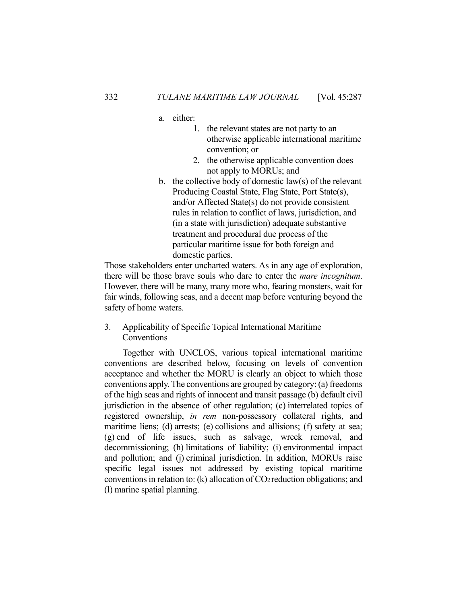- a. either:
	- 1. the relevant states are not party to an otherwise applicable international maritime convention; or
	- 2. the otherwise applicable convention does not apply to MORUs; and
- b. the collective body of domestic law(s) of the relevant Producing Coastal State, Flag State, Port State(s), and/or Affected State(s) do not provide consistent rules in relation to conflict of laws, jurisdiction, and (in a state with jurisdiction) adequate substantive treatment and procedural due process of the particular maritime issue for both foreign and domestic parties.

Those stakeholders enter uncharted waters. As in any age of exploration, there will be those brave souls who dare to enter the *mare incognitum*. However, there will be many, many more who, fearing monsters, wait for fair winds, following seas, and a decent map before venturing beyond the safety of home waters.

3. Applicability of Specific Topical International Maritime Conventions

 Together with UNCLOS, various topical international maritime conventions are described below, focusing on levels of convention acceptance and whether the MORU is clearly an object to which those conventions apply. The conventions are grouped by category: (a) freedoms of the high seas and rights of innocent and transit passage (b) default civil jurisdiction in the absence of other regulation; (c) interrelated topics of registered ownership, *in rem* non-possessory collateral rights, and maritime liens; (d) arrests; (e) collisions and allisions; (f) safety at sea; (g) end of life issues, such as salvage, wreck removal, and decommissioning; (h) limitations of liability; (i) environmental impact and pollution; and (j) criminal jurisdiction. In addition, MORUs raise specific legal issues not addressed by existing topical maritime conventions in relation to: (k) allocation of  $CO<sub>2</sub>$  reduction obligations; and (l) marine spatial planning.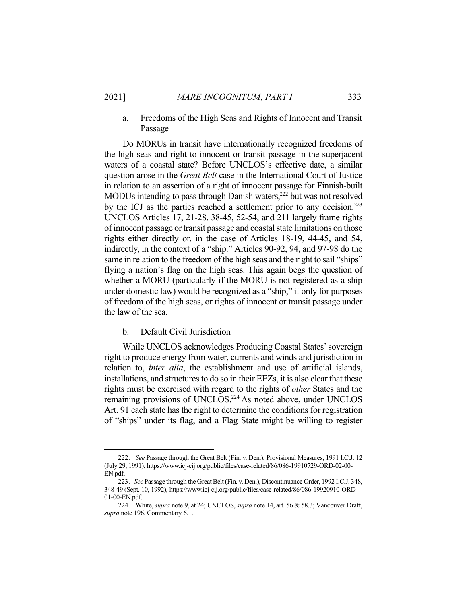# a. Freedoms of the High Seas and Rights of Innocent and Transit Passage

 Do MORUs in transit have internationally recognized freedoms of the high seas and right to innocent or transit passage in the superjacent waters of a coastal state? Before UNCLOS's effective date, a similar question arose in the *Great Belt* case in the International Court of Justice in relation to an assertion of a right of innocent passage for Finnish-built MODUs intending to pass through Danish waters,<sup>222</sup> but was not resolved by the ICJ as the parties reached a settlement prior to any decision.<sup>223</sup> UNCLOS Articles 17, 21-28, 38-45, 52-54, and 211 largely frame rights of innocent passage or transit passage and coastal state limitations on those rights either directly or, in the case of Articles 18-19, 44-45, and 54, indirectly, in the context of a "ship." Articles 90-92, 94, and 97-98 do the same in relation to the freedom of the high seas and the right to sail "ships" flying a nation's flag on the high seas. This again begs the question of whether a MORU (particularly if the MORU is not registered as a ship under domestic law) would be recognized as a "ship," if only for purposes of freedom of the high seas, or rights of innocent or transit passage under the law of the sea.

### b. Default Civil Jurisdiction

 While UNCLOS acknowledges Producing Coastal States' sovereign right to produce energy from water, currents and winds and jurisdiction in relation to, *inter alia*, the establishment and use of artificial islands, installations, and structures to do so in their EEZs, it is also clear that these rights must be exercised with regard to the rights of *other* States and the remaining provisions of UNCLOS.<sup>224</sup> As noted above, under UNCLOS Art. 91 each state has the right to determine the conditions for registration of "ships" under its flag, and a Flag State might be willing to register

 <sup>222.</sup> *See* Passage through the Great Belt (Fin. v. Den.), Provisional Measures, 1991 I.C.J. 12 (July 29, 1991), https://www.icj-cij.org/public/files/case-related/86/086-19910729-ORD-02-00- EN.pdf.

 <sup>223.</sup> *See* Passage through the Great Belt (Fin. v. Den.), Discontinuance Order, 1992 I.C.J. 348, 348-49 (Sept. 10, 1992), https://www.icj-cij.org/public/files/case-related/86/086-19920910-ORD-01-00-EN.pdf.

 <sup>224.</sup> White, *supra* note 9, at 24; UNCLOS, *supra* note 14, art. 56 & 58.3; Vancouver Draft, *supra* note 196, Commentary 6.1.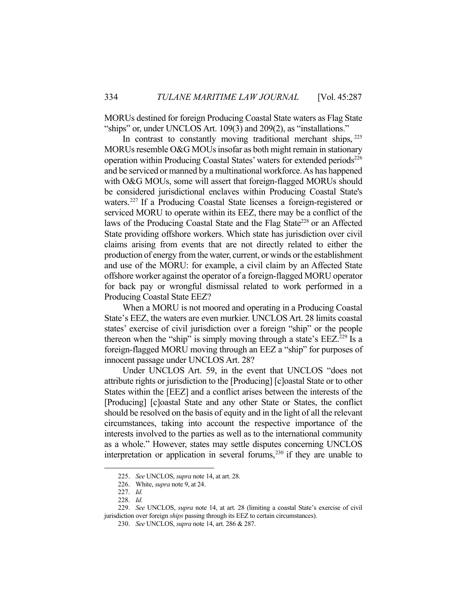MORUs destined for foreign Producing Coastal State waters as Flag State "ships" or, under UNCLOS Art. 109(3) and 209(2), as "installations."

In contrast to constantly moving traditional merchant ships, <sup>225</sup> MORUs resemble O&G MOUs insofar as both might remain in stationary operation within Producing Coastal States' waters for extended periods<sup>226</sup> and be serviced or manned by a multinational workforce. As has happened with O&G MOUs, some will assert that foreign-flagged MORUs should be considered jurisdictional enclaves within Producing Coastal State's waters.227 If a Producing Coastal State licenses a foreign-registered or serviced MORU to operate within its EEZ, there may be a conflict of the laws of the Producing Coastal State and the Flag State<sup>228</sup> or an Affected State providing offshore workers. Which state has jurisdiction over civil claims arising from events that are not directly related to either the production of energy from the water, current, or winds or the establishment and use of the MORU: for example, a civil claim by an Affected State offshore worker against the operator of a foreign-flagged MORU operator for back pay or wrongful dismissal related to work performed in a Producing Coastal State EEZ?

 When a MORU is not moored and operating in a Producing Coastal State's EEZ, the waters are even murkier. UNCLOS Art. 28 limits coastal states' exercise of civil jurisdiction over a foreign "ship" or the people thereon when the "ship" is simply moving through a state's  $EEZ^{229}$  Is a foreign-flagged MORU moving through an EEZ a "ship" for purposes of innocent passage under UNCLOS Art. 28?

 Under UNCLOS Art. 59, in the event that UNCLOS "does not attribute rights or jurisdiction to the [Producing] [c]oastal State or to other States within the [EEZ] and a conflict arises between the interests of the [Producing] [c]oastal State and any other State or States, the conflict should be resolved on the basis of equity and in the light of all the relevant circumstances, taking into account the respective importance of the interests involved to the parties as well as to the international community as a whole." However, states may settle disputes concerning UNCLOS interpretation or application in several forums,  $230$  if they are unable to

 <sup>225.</sup> *See* UNCLOS, *supra* note 14, at art. 28.

 <sup>226.</sup> White, *supra* note 9, at 24.

 <sup>227.</sup> *Id.*

 <sup>228.</sup> *Id.* 

 <sup>229.</sup> *See* UNCLOS, *supra* note 14, at art. 28 (limiting a coastal State's exercise of civil jurisdiction over foreign *ships* passing through its EEZ to certain circumstances).

 <sup>230.</sup> *See* UNCLOS, *supra* note 14, art. 286 & 287.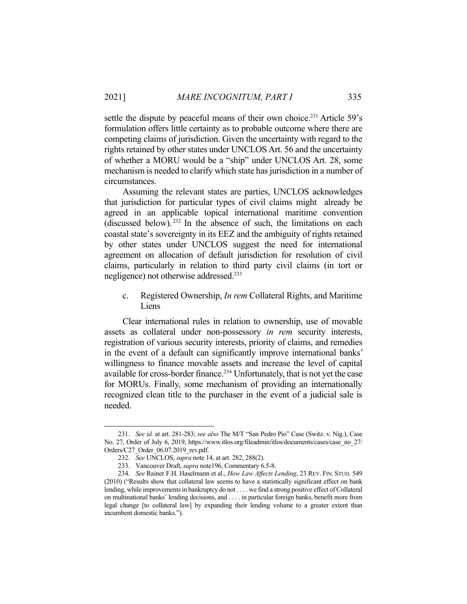settle the dispute by peaceful means of their own choice.<sup>231</sup> Article 59's formulation offers little certainty as to probable outcome where there are competing claims of jurisdiction. Given the uncertainty with regard to the rights retained by other states under UNCLOS Art. 56 and the uncertainty of whether a MORU would be a "ship" under UNCLOS Art. 28, some mechanism is needed to clarify which state has jurisdiction in a number of circumstances.

 Assuming the relevant states are parties, UNCLOS acknowledges that jurisdiction for particular types of civil claims might already be agreed in an applicable topical international maritime convention (discussed below).  $232$  In the absence of such, the limitations on each coastal state's sovereignty in its EEZ and the ambiguity of rights retained by other states under UNCLOS suggest the need for international agreement on allocation of default jurisdiction for resolution of civil claims, particularly in relation to third party civil claims (in tort or negligence) not otherwise addressed.<sup>233</sup>

c. Registered Ownership, *In rem* Collateral Rights, and Maritime Liens

 Clear international rules in relation to ownership, use of movable assets as collateral under non-possessory *in rem* security interests, registration of various security interests, priority of claims, and remedies in the event of a default can significantly improve international banks' willingness to finance movable assets and increase the level of capital available for cross-border finance.<sup>234</sup> Unfortunately, that is not yet the case for MORUs. Finally, some mechanism of providing an internationally recognized clean title to the purchaser in the event of a judicial sale is needed.

 <sup>231.</sup> *See id.* at art. 281-283; *see also* The M/T "San Pedro Pio" Case (Switz. v. Nig.), Case No. 27, Order of July 6, 2019, https://www.itlos.org/fileadmin/itlos/documents/cases/case\_no\_27/ Orders/C27\_Order\_06.07.2019\_rev.pdf.

 <sup>232.</sup> *See* UNCLOS, *supra* note 14, at art. 282, 288(2).

 <sup>233.</sup> Vancouver Draft, *supra* note196, Commentary 6.5-8.

 <sup>234.</sup> *See* Rainer F.H. Haselmann et al., *How Law Affects Lending*, 23 REV. FIN. STUD. 549 (2010) ("Results show that collateral law seems to have a statistically significant effect on bank lending, while improvements in bankruptcy do not . . . . we find a strong positive effect of Collateral on multinational banks' lending decisions, and . . . . in particular foreign banks, benefit more from legal change [to collateral law] by expanding their lending volume to a greater extent than incumbent domestic banks.").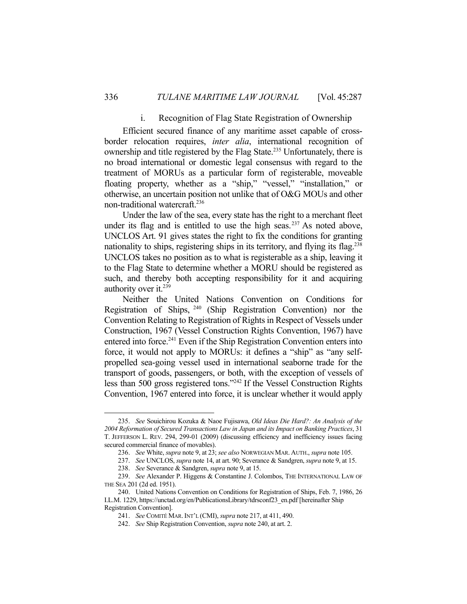### i. Recognition of Flag State Registration of Ownership

 Efficient secured finance of any maritime asset capable of crossborder relocation requires, *inter alia*, international recognition of ownership and title registered by the Flag State.<sup>235</sup> Unfortunately, there is no broad international or domestic legal consensus with regard to the treatment of MORUs as a particular form of registerable, moveable floating property, whether as a "ship," "vessel," "installation," or otherwise, an uncertain position not unlike that of O&G MOUs and other non-traditional watercraft.236

 Under the law of the sea, every state has the right to a merchant fleet under its flag and is entitled to use the high seas.<sup>237</sup> As noted above, UNCLOS Art. 91 gives states the right to fix the conditions for granting nationality to ships, registering ships in its territory, and flying its flag.<sup>238</sup> UNCLOS takes no position as to what is registerable as a ship, leaving it to the Flag State to determine whether a MORU should be registered as such, and thereby both accepting responsibility for it and acquiring authority over it.<sup>239</sup>

 Neither the United Nations Convention on Conditions for Registration of Ships, 240 (Ship Registration Convention) nor the Convention Relating to Registration of Rights in Respect of Vessels under Construction, 1967 (Vessel Construction Rights Convention, 1967) have entered into force.<sup>241</sup> Even if the Ship Registration Convention enters into force, it would not apply to MORUs: it defines a "ship" as "any selfpropelled sea-going vessel used in international seaborne trade for the transport of goods, passengers, or both, with the exception of vessels of less than 500 gross registered tons."242 If the Vessel Construction Rights Convention, 1967 entered into force, it is unclear whether it would apply

 <sup>235.</sup> *See* Souichirou Kozuka & Naoe Fujisawa, *Old Ideas Die Hard?: An Analysis of the 2004 Reformation of Secured Transactions Law in Japan and its Impact on Banking Practices*, 31 T. JEFFERSON L. REV. 294, 299-01 (2009) (discussing efficiency and inefficiency issues facing secured commercial finance of movables).

 <sup>236.</sup> *See* White, *supra* note 9, at 23; *see also* NORWEGIAN MAR. AUTH., *supra* note 105.

 <sup>237.</sup> *See* UNCLOS, *supra* note 14, at art. 90; Severance & Sandgren, *supra* note 9, at 15.

 <sup>238.</sup> *See* Severance & Sandgren, *supra* note 9, at 15.

 <sup>239.</sup> *See* Alexander P. Higgens & Constantine J. Colombos, THE INTERNATIONAL LAW OF THE SEA 201 (2d ed. 1951).

 <sup>240.</sup> United Nations Convention on Conditions for Registration of Ships, Feb. 7, 1986, 26 I.L.M. 1229, https://unctad.org/en/PublicationsLibrary/tdrsconf23\_en.pdf [hereinafter Ship Registration Convention].

 <sup>241.</sup> *See* COMITÉ MAR.INT'L (CMI), *supra* note 217, at 411, 490.

 <sup>242.</sup> *See* Ship Registration Convention, *supra* note 240, at art. 2.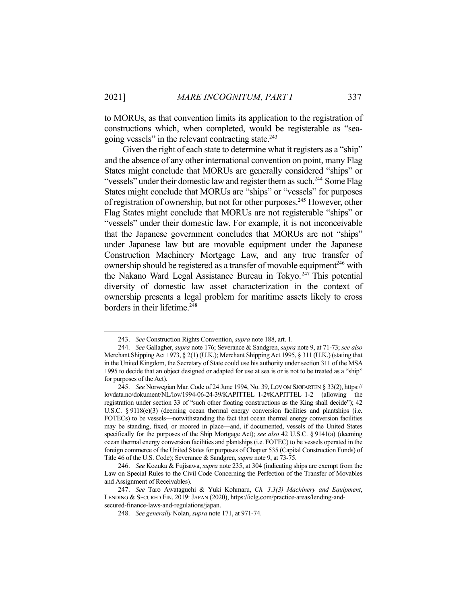to MORUs, as that convention limits its application to the registration of constructions which, when completed, would be registerable as "seagoing vessels" in the relevant contracting state.<sup>243</sup>

Given the right of each state to determine what it registers as a "ship" and the absence of any other international convention on point, many Flag States might conclude that MORUs are generally considered "ships" or "vessels" under their domestic law and register them as such.<sup>244</sup> Some Flag States might conclude that MORUs are "ships" or "vessels" for purposes of registration of ownership, but not for other purposes.<sup>245</sup> However, other Flag States might conclude that MORUs are not registerable "ships" or "vessels" under their domestic law. For example, it is not inconceivable that the Japanese government concludes that MORUs are not "ships" under Japanese law but are movable equipment under the Japanese Construction Machinery Mortgage Law, and any true transfer of ownership should be registered as a transfer of movable equipment<sup>246</sup> with the Nakano Ward Legal Assistance Bureau in Tokyo.<sup>247</sup> This potential diversity of domestic law asset characterization in the context of ownership presents a legal problem for maritime assets likely to cross borders in their lifetime.<sup>248</sup>

 <sup>243.</sup> *See* Construction Rights Convention, *supra* note 188, art. 1.

 <sup>244.</sup> *See* Gallagher, *supra* note 176; Severance & Sandgren, *supra* note 9, at 71-73; *see also* Merchant Shipping Act 1973, § 2(1) (U.K.); Merchant Shipping Act 1995, § 311 (U.K.) (stating that in the United Kingdom, the Secretary of State could use his authority under section 311 of the MSA 1995 to decide that an object designed or adapted for use at sea is or is not to be treated as a "ship" for purposes of the Act).

 <sup>245.</sup> *See* Norwegian Mar. Code of 24 June 1994, No. 39, LOV OM SJØFARTEN § 33(2), https:// lovdata.no/dokument/NL/lov/1994-06-24-39/KAPITTEL\_1-2#KAPITTEL\_1-2 (allowing the registration under section 33 of "such other floating constructions as the King shall decide"); 42 U.S.C. § 9118(e)(3) (deeming ocean thermal energy conversion facilities and plantships (i.e. FOTECs) to be vessels—notwithstanding the fact that ocean thermal energy conversion facilities may be standing, fixed, or moored in place—and, if documented, vessels of the United States specifically for the purposes of the Ship Mortgage Act); *see also* 42 U.S.C. § 9141(a) (deeming ocean thermal energy conversion facilities and plantships (i.e. FOTEC) to be vessels operated in the foreign commerce of the United States for purposes of Chapter 535 (Capital Construction Funds) of Title 46 of the U.S. Code); Severance & Sandgren, *supra* note 9, at 73-75.

 <sup>246.</sup> *See* Kozuka & Fujisawa, *supra* note 235, at 304 (indicating ships are exempt from the Law on Special Rules to the Civil Code Concerning the Perfection of the Transfer of Movables and Assignment of Receivables).

 <sup>247.</sup> *See* Taro Awataguchi & Yuki Kohmaru, *Ch. 3.3(3) Machinery and Equipment*, LENDING & SECURED FIN. 2019: JAPAN (2020), https://iclg.com/practice-areas/lending-andsecured-finance-laws-and-regulations/japan.

 <sup>248.</sup> *See generally* Nolan, *supra* note 171, at 971-74.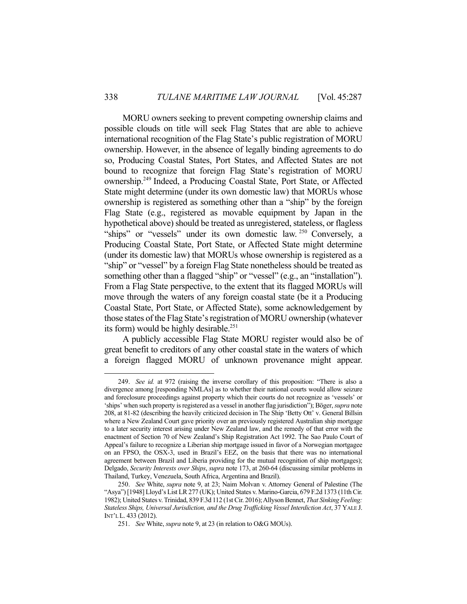MORU owners seeking to prevent competing ownership claims and possible clouds on title will seek Flag States that are able to achieve international recognition of the Flag State's public registration of MORU ownership. However, in the absence of legally binding agreements to do so, Producing Coastal States, Port States, and Affected States are not bound to recognize that foreign Flag State's registration of MORU ownership.249 Indeed, a Producing Coastal State, Port State, or Affected State might determine (under its own domestic law) that MORUs whose ownership is registered as something other than a "ship" by the foreign Flag State (e.g., registered as movable equipment by Japan in the hypothetical above) should be treated as unregistered, stateless, or flagless "ships" or "vessels" under its own domestic law. <sup>250</sup> Conversely, a Producing Coastal State, Port State, or Affected State might determine (under its domestic law) that MORUs whose ownership is registered as a "ship" or "vessel" by a foreign Flag State nonetheless should be treated as something other than a flagged "ship" or "vessel" (e.g., an "installation"). From a Flag State perspective, to the extent that its flagged MORUs will move through the waters of any foreign coastal state (be it a Producing Coastal State, Port State, or Affected State), some acknowledgement by those states of the Flag State's registration of MORU ownership (whatever its form) would be highly desirable.<sup>251</sup>

 A publicly accessible Flag State MORU register would also be of great benefit to creditors of any other coastal state in the waters of which a foreign flagged MORU of unknown provenance might appear.

 <sup>249.</sup> *See id.* at 972 (raising the inverse corollary of this proposition: "There is also a divergence among [responding NMLAs] as to whether their national courts would allow seizure and foreclosure proceedings against property which their courts do not recognize as 'vessels' or 'ships' when such property is registered as a vessel in another flag jurisdiction"); Böger, *supra* note 208, at 81-82 (describing the heavily criticized decision in The Ship 'Betty Ott' v. General Billsin where a New Zealand Court gave priority over an previously registered Australian ship mortgage to a later security interest arising under New Zealand law, and the remedy of that error with the enactment of Section 70 of New Zealand's Ship Registration Act 1992. The Sao Paulo Court of Appeal's failure to recognize a Liberian ship mortgage issued in favor of a Norwegian mortgagee on an FPSO, the OSX-3, used in Brazil's EEZ, on the basis that there was no international agreement between Brazil and Liberia providing for the mutual recognition of ship mortgages); Delgado, *Security Interests over Ships*, *supra* note 173, at 260-64 (discussing similar problems in Thailand, Turkey, Venezuela, South Africa, Argentina and Brazil).

 <sup>250.</sup> *See* White, *supra* note 9, at 23; Naim Molvan v. Attorney General of Palestine (The "Asya") [1948] Lloyd's List LR 277 (UK); United States v. Marino-Garcia, 679 F.2d 1373 (11th Cir. 1982); United States v. Trinidad, 839 F.3d 112 (1st Cir. 2016);Allyson Bennet, *That Sinking Feeling: Stateless Ships, Universal Jurisdiction, and the Drug Trafficking Vessel Interdiction Act*, 37 YALE J. INT'L L. 433 (2012).

 <sup>251.</sup> *See* White, *supra* note 9, at 23 (in relation to O&G MOUs).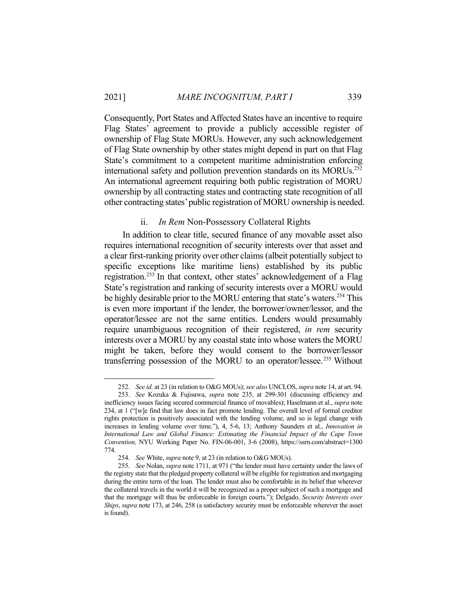Consequently, Port States and Affected States have an incentive to require Flag States' agreement to provide a publicly accessible register of ownership of Flag State MORUs. However, any such acknowledgement of Flag State ownership by other states might depend in part on that Flag State's commitment to a competent maritime administration enforcing international safety and pollution prevention standards on its MORUs.<sup>252</sup> An international agreement requiring both public registration of MORU ownership by all contracting states and contracting state recognition of all other contracting states' public registration of MORU ownership is needed.

### ii. *In Rem* Non-Possessory Collateral Rights

 In addition to clear title, secured finance of any movable asset also requires international recognition of security interests over that asset and a clear first-ranking priority over other claims (albeit potentially subject to specific exceptions like maritime liens) established by its public registration.<sup>253</sup> In that context, other states' acknowledgement of a Flag State's registration and ranking of security interests over a MORU would be highly desirable prior to the MORU entering that state's waters.<sup>254</sup> This is even more important if the lender, the borrower/owner/lessor, and the operator/lessee are not the same entities. Lenders would presumably require unambiguous recognition of their registered, *in rem* security interests over a MORU by any coastal state into whose waters the MORU might be taken, before they would consent to the borrower/lessor transferring possession of the MORU to an operator/lessee.<sup>255</sup> Without

 <sup>252.</sup> *See id.* at 23 (in relation to O&G MOUs); *see also* UNCLOS, *supra* note 14, at art. 94.

 <sup>253.</sup> *See* Kozuka & Fujisawa, *supra* note 235, at 299-301 (discussing efficiency and inefficiency issues facing secured commercial finance of movables); Haselmann et al., *supra* note 234, at 1 ("[w]e find that law does in fact promote lending. The overall level of formal creditor rights protection is positively associated with the lending volume, and so is legal change with increases in lending volume over time."), 4, 5-6, 13; Anthony Saunders et al., *Innovation in International Law and Global Finance: Estimating the Financial Impact of the Cape Town Convention,* NYU Working Paper No. FIN-06-001, 3-6 (2008), https://ssrn.com/abstract=1300 774.

 <sup>254.</sup> *See* White, *supra* note 9, at 23 (in relation to O&G MOUs).

 <sup>255.</sup> *See* Nolan, *supra* note 1711, at 971 ("the lender must have certainty under the laws of the registry state that the pledged property collateral will be eligible for registration and mortgaging during the entire term of the loan. The lender must also be comfortable in its belief that wherever the collateral travels in the world it will be recognized as a proper subject of such a mortgage and that the mortgage will thus be enforceable in foreign courts."); Delgado, *Security Interests over Ships*, *supra* note 173, at 246, 258 (a satisfactory security must be enforceable wherever the asset is found).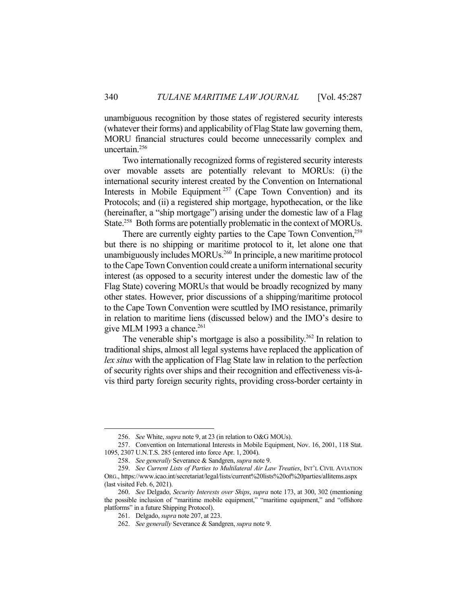unambiguous recognition by those states of registered security interests (whatever their forms) and applicability of Flag State law governing them, MORU financial structures could become unnecessarily complex and uncertain.256

 Two internationally recognized forms of registered security interests over movable assets are potentially relevant to MORUs: (i) the international security interest created by the Convention on International Interests in Mobile Equipment<sup>257</sup> (Cape Town Convention) and its Protocols; and (ii) a registered ship mortgage, hypothecation, or the like (hereinafter, a "ship mortgage") arising under the domestic law of a Flag State.<sup>258</sup> Both forms are potentially problematic in the context of MORUs.

There are currently eighty parties to the Cape Town Convention,<sup>259</sup> but there is no shipping or maritime protocol to it, let alone one that unambiguously includes MORUs.<sup>260</sup> In principle, a new maritime protocol to the Cape Town Convention could create a uniform international security interest (as opposed to a security interest under the domestic law of the Flag State) covering MORUs that would be broadly recognized by many other states. However, prior discussions of a shipping/maritime protocol to the Cape Town Convention were scuttled by IMO resistance, primarily in relation to maritime liens (discussed below) and the IMO's desire to give MLM 1993 a chance.<sup>261</sup>

The venerable ship's mortgage is also a possibility.<sup>262</sup> In relation to traditional ships, almost all legal systems have replaced the application of *lex situs* with the application of Flag State law in relation to the perfection of security rights over ships and their recognition and effectiveness vis-àvis third party foreign security rights, providing cross-border certainty in

 <sup>256.</sup> *See* White, *supra* note 9, at 23 (in relation to O&G MOUs).

 <sup>257.</sup> Convention on International Interests in Mobile Equipment, Nov. 16, 2001, 118 Stat. 1095, 2307 U.N.T.S. 285 (entered into force Apr. 1, 2004).

 <sup>258.</sup> *See generally* Severance & Sandgren, *supra* note 9.

 <sup>259.</sup> *See Current Lists of Parties to Multilateral Air Law Treaties*, INT'L CIVIL AVIATION ORG., https://www.icao.int/secretariat/legal/lists/current%20lists%20of%20parties/allitems.aspx (last visited Feb. 6, 2021).

 <sup>260.</sup> *See* Delgado, *Security Interests over Ships*, *supra* note 173, at 300, 302 (mentioning the possible inclusion of "maritime mobile equipment," "maritime equipment," and "offshore platforms" in a future Shipping Protocol).

 <sup>261.</sup> Delgado, *supra* note 207, at 223.

 <sup>262.</sup> *See generally* Severance & Sandgren, *supra* note 9.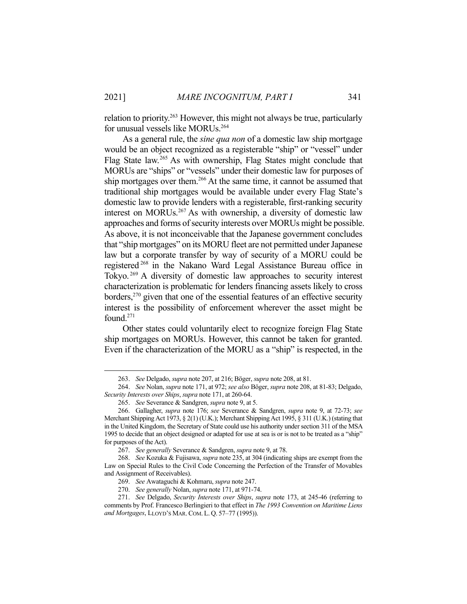relation to priority.<sup>263</sup> However, this might not always be true, particularly for unusual vessels like MORUs.264

 As a general rule, the *sine qua non* of a domestic law ship mortgage would be an object recognized as a registerable "ship" or "vessel" under Flag State law.<sup>265</sup> As with ownership, Flag States might conclude that MORUs are "ships" or "vessels" under their domestic law for purposes of ship mortgages over them.<sup>266</sup> At the same time, it cannot be assumed that traditional ship mortgages would be available under every Flag State's domestic law to provide lenders with a registerable, first-ranking security interest on MORUs.267 As with ownership, a diversity of domestic law approaches and forms of security interests over MORUs might be possible. As above, it is not inconceivable that the Japanese government concludes that "ship mortgages" on its MORU fleet are not permitted under Japanese law but a corporate transfer by way of security of a MORU could be registered 268 in the Nakano Ward Legal Assistance Bureau office in Tokyo. 269 A diversity of domestic law approaches to security interest characterization is problematic for lenders financing assets likely to cross borders, $270$  given that one of the essential features of an effective security interest is the possibility of enforcement wherever the asset might be found.271

 Other states could voluntarily elect to recognize foreign Flag State ship mortgages on MORUs. However, this cannot be taken for granted. Even if the characterization of the MORU as a "ship" is respected, in the

<u>.</u>

 <sup>263.</sup> *See* Delgado, *supra* note 207, at 216; Böger, *supra* note 208, at 81.

 <sup>264.</sup> *See* Nolan, *supra* note 171, at 972; *see also* Böger, *supra* note 208, at 81-83; Delgado, *Security Interests over Ships*, *supra* note 171, at 260-64.

 <sup>265.</sup> *See* Severance & Sandgren, *supra* note 9, at 5.

 <sup>266.</sup> Gallagher, *supra* note 176; *see* Severance & Sandgren, *supra* note 9, at 72-73; *see* Merchant Shipping Act 1973, § 2(1) (U.K.); Merchant Shipping Act 1995, § 311 (U.K.) (stating that in the United Kingdom, the Secretary of State could use his authority under section 311 of the MSA 1995 to decide that an object designed or adapted for use at sea is or is not to be treated as a "ship" for purposes of the Act).

 <sup>267.</sup> *See generally* Severance & Sandgren, *supra* note 9, at 78.

 <sup>268.</sup> *See* Kozuka & Fujisawa, *supra* note 235, at 304 (indicating ships are exempt from the Law on Special Rules to the Civil Code Concerning the Perfection of the Transfer of Movables and Assignment of Receivables).

 <sup>269.</sup> *See* Awataguchi & Kohmaru, *supra* note 247.

 <sup>270.</sup> *See generally* Nolan, *supra* note 171, at 971-74.

 <sup>271.</sup> *See* Delgado, *Security Interests over Ships*, *supra* note 173, at 245-46 (referring to comments by Prof. Francesco Berlingieri to that effect in *The 1993 Convention on Maritime Liens and Mortgages*, LLOYD'S MAR.COM. L. Q. 57–77 (1995)).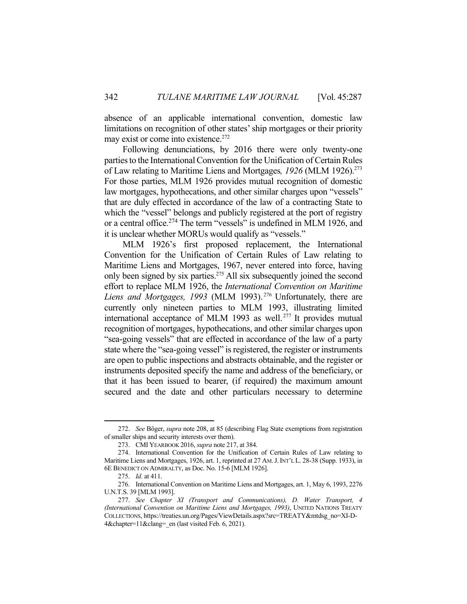absence of an applicable international convention, domestic law limitations on recognition of other states' ship mortgages or their priority may exist or come into existence.<sup>272</sup>

 Following denunciations, by 2016 there were only twenty-one parties to the International Convention for the Unification of Certain Rules of Law relating to Maritime Liens and Mortgages*, 1926* (MLM 1926).273 For those parties, MLM 1926 provides mutual recognition of domestic law mortgages, hypothecations, and other similar charges upon "vessels" that are duly effected in accordance of the law of a contracting State to which the "vessel" belongs and publicly registered at the port of registry or a central office.<sup>274</sup> The term "vessels" is undefined in MLM 1926, and it is unclear whether MORUs would qualify as "vessels."

 MLM 1926's first proposed replacement, the International Convention for the Unification of Certain Rules of Law relating to Maritime Liens and Mortgages, 1967, never entered into force, having only been signed by six parties.<sup>275</sup> All six subsequently joined the second effort to replace MLM 1926, the *International Convention on Maritime*  Liens and Mortgages, 1993 (MLM 1993).<sup>276</sup> Unfortunately, there are currently only nineteen parties to MLM 1993, illustrating limited international acceptance of MLM 1993 as well. 277 It provides mutual recognition of mortgages, hypothecations, and other similar charges upon "sea-going vessels" that are effected in accordance of the law of a party state where the "sea-going vessel" is registered, the register or instruments are open to public inspections and abstracts obtainable, and the register or instruments deposited specify the name and address of the beneficiary, or that it has been issued to bearer, (if required) the maximum amount secured and the date and other particulars necessary to determine

<u>.</u>

 <sup>272.</sup> *See* Böger, *supra* note 208, at 85 (describing Flag State exemptions from registration of smaller ships and security interests over them).

 <sup>273.</sup> CMI YEARBOOK 2016, *supra* note 217, at 384.

 <sup>274.</sup> International Convention for the Unification of Certain Rules of Law relating to Maritime Liens and Mortgages, 1926, art. 1, reprinted at 27 AM.J.INT'L L. 28-38 (Supp. 1933), in 6E BENEDICT ON ADMIRALTY, as Doc. No. 15-6 [MLM 1926].

 <sup>275.</sup> *Id.* at 411.

 <sup>276.</sup> International Convention on Maritime Liens and Mortgages, art. 1, May 6, 1993, 2276 U.N.T.S. 39 [MLM 1993].

 <sup>277.</sup> *See Chapter XI (Transport and Communications), D. Water Transport, 4 (International Convention on Maritime Liens and Mortgages, 1993)*, UNITED NATIONS TREATY COLLECTIONS, https://treaties.un.org/Pages/ViewDetails.aspx?src=TREATY&mtdsg\_no=XI-D-4&chapter=11&clang=\_en (last visited Feb. 6, 2021).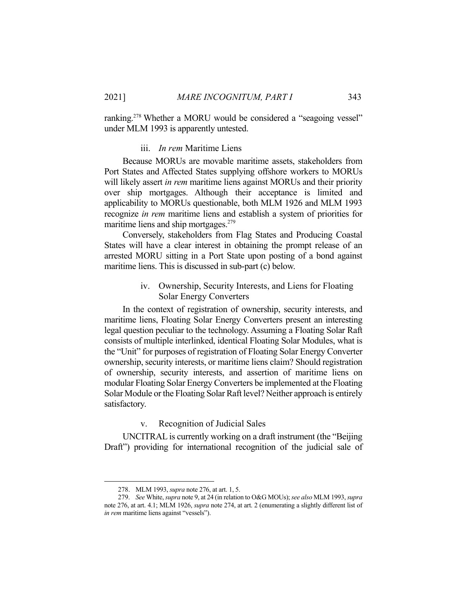ranking.<sup>278</sup> Whether a MORU would be considered a "seagoing vessel" under MLM 1993 is apparently untested.

#### iii. *In rem* Maritime Liens

 Because MORUs are movable maritime assets, stakeholders from Port States and Affected States supplying offshore workers to MORUs will likely assert *in rem* maritime liens against MORUs and their priority over ship mortgages. Although their acceptance is limited and applicability to MORUs questionable, both MLM 1926 and MLM 1993 recognize *in rem* maritime liens and establish a system of priorities for maritime liens and ship mortgages.<sup>279</sup>

 Conversely, stakeholders from Flag States and Producing Coastal States will have a clear interest in obtaining the prompt release of an arrested MORU sitting in a Port State upon posting of a bond against maritime liens. This is discussed in sub-part (c) below.

# iv. Ownership, Security Interests, and Liens for Floating Solar Energy Converters

 In the context of registration of ownership, security interests, and maritime liens, Floating Solar Energy Converters present an interesting legal question peculiar to the technology. Assuming a Floating Solar Raft consists of multiple interlinked, identical Floating Solar Modules, what is the "Unit" for purposes of registration of Floating Solar Energy Converter ownership, security interests, or maritime liens claim? Should registration of ownership, security interests, and assertion of maritime liens on modular Floating Solar Energy Converters be implemented at the Floating Solar Module or the Floating Solar Raft level? Neither approach is entirely satisfactory.

## v. Recognition of Judicial Sales

 UNCITRAL is currently working on a draft instrument (the "Beijing Draft") providing for international recognition of the judicial sale of

 <sup>278.</sup> MLM 1993, *supra* note 276, at art. 1, 5.

 <sup>279.</sup> *See* White, *supra* note 9, at 24 (in relation to O&G MOUs); *see also* MLM 1993, *supra* note 276, at art. 4.1; MLM 1926, *supra* note 274, at art. 2 (enumerating a slightly different list of *in rem* maritime liens against "vessels").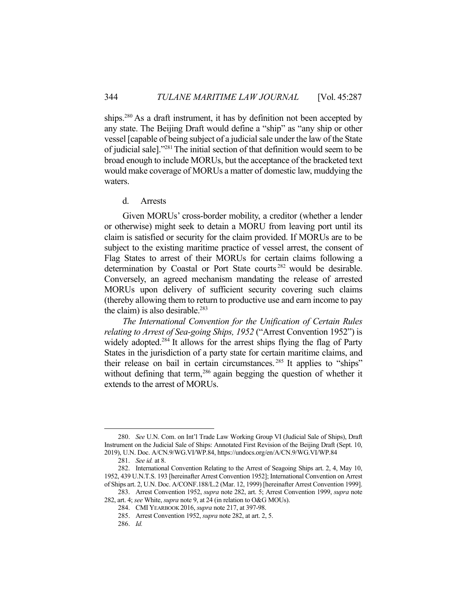ships.<sup>280</sup> As a draft instrument, it has by definition not been accepted by any state. The Beijing Draft would define a "ship" as "any ship or other vessel [capable of being subject of a judicial sale under the law of the State of judicial sale]."281 The initial section of that definition would seem to be broad enough to include MORUs, but the acceptance of the bracketed text would make coverage of MORUs a matter of domestic law, muddying the waters.

## d. Arrests

 Given MORUs' cross-border mobility, a creditor (whether a lender or otherwise) might seek to detain a MORU from leaving port until its claim is satisfied or security for the claim provided. If MORUs are to be subject to the existing maritime practice of vessel arrest, the consent of Flag States to arrest of their MORUs for certain claims following a determination by Coastal or Port State courts<sup>282</sup> would be desirable. Conversely, an agreed mechanism mandating the release of arrested MORUs upon delivery of sufficient security covering such claims (thereby allowing them to return to productive use and earn income to pay the claim) is also desirable. $283$ 

*The International Convention for the Unification of Certain Rules relating to Arrest of Sea-going Ships, 1952* ("Arrest Convention 1952") is widely adopted.<sup>284</sup> It allows for the arrest ships flying the flag of Party States in the jurisdiction of a party state for certain maritime claims, and their release on bail in certain circumstances. 285 It applies to "ships" without defining that term,<sup>286</sup> again begging the question of whether it extends to the arrest of MORUs.

 <sup>280.</sup> *See* U.N. Com. on Int'l Trade Law Working Group VI (Judicial Sale of Ships), Draft Instrument on the Judicial Sale of Ships: Annotated First Revision of the Beijing Draft (Sept. 10, 2019), U.N. Doc. A/CN.9/WG.VI/WP.84, https://undocs.org/en/A/CN.9/WG.VI/WP.84

 <sup>281.</sup> *See id.* at 8.

 <sup>282.</sup> International Convention Relating to the Arrest of Seagoing Ships art. 2, 4, May 10, 1952, 439 U.N.T.S. 193 [hereinafter Arrest Convention 1952]; International Convention on Arrest of Ships art. 2, U.N. Doc. A/CONF.188/L.2 (Mar. 12, 1999) [hereinafter Arrest Convention 1999].

 <sup>283.</sup> Arrest Convention 1952, *supra* note 282, art. 5; Arrest Convention 1999, *supra* note 282, art. 4; *see* White, *supra* note 9, at 24 (in relation to O&G MOUs).

 <sup>284.</sup> CMI YEARBOOK 2016, *supra* note 217, at 397-98.

 <sup>285.</sup> Arrest Convention 1952, *supra* note 282, at art. 2, 5.

 <sup>286.</sup> *Id.*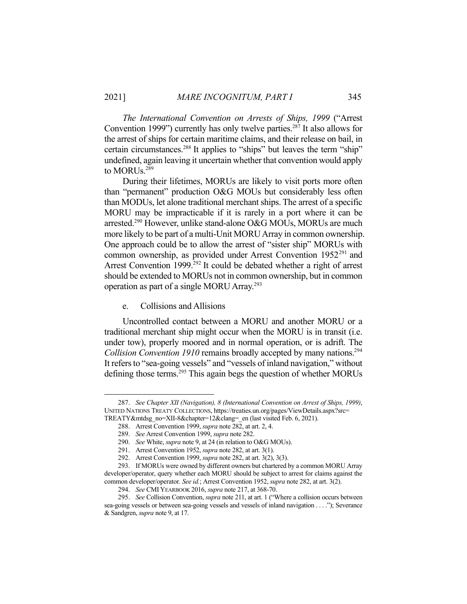<u>.</u>

*The International Convention on Arrests of Ships, 1999* ("Arrest Convention 1999") currently has only twelve parties.<sup>287</sup> It also allows for the arrest of ships for certain maritime claims, and their release on bail, in certain circumstances.<sup>288</sup> It applies to "ships" but leaves the term "ship" undefined, again leaving it uncertain whether that convention would apply to MORUs.<sup>289</sup>

 During their lifetimes, MORUs are likely to visit ports more often than "permanent" production O&G MOUs but considerably less often than MODUs, let alone traditional merchant ships. The arrest of a specific MORU may be impracticable if it is rarely in a port where it can be arrested.<sup>290</sup> However, unlike stand-alone O&G MOUs, MORUs are much more likely to be part of a multi-Unit MORU Array in common ownership. One approach could be to allow the arrest of "sister ship" MORUs with common ownership, as provided under Arrest Convention 1952<sup>291</sup> and Arrest Convention  $1999$ <sup>292</sup> It could be debated whether a right of arrest should be extended to MORUs not in common ownership, but in common operation as part of a single MORU Array.<sup>293</sup>

# e. Collisions and Allisions

 Uncontrolled contact between a MORU and another MORU or a traditional merchant ship might occur when the MORU is in transit (i.e. under tow), properly moored and in normal operation, or is adrift. The *Collision Convention 1910* remains broadly accepted by many nations.<sup>294</sup> It refers to "sea-going vessels" and "vessels of inland navigation," without defining those terms.<sup>295</sup> This again begs the question of whether MORUs

 <sup>287.</sup> *See Chapter XII (Navigation), 8 (International Convention on Arrest of Ships, 1999)*, UNITED NATIONS TREATY COLLECTIONS, https://treaties.un.org/pages/ViewDetails.aspx?src=

TREATY&mtdsg\_no=XII-8&chapter=12&clang=\_en (last visited Feb. 6, 2021).

 <sup>288.</sup> Arrest Convention 1999, *supra* note 282, at art. 2, 4.

 <sup>289.</sup> *See* Arrest Convention 1999, *supra* note 282.

 <sup>290.</sup> *See* White, *supra* note 9, at 24 (in relation to O&G MOUs).

 <sup>291.</sup> Arrest Convention 1952, *supra* note 282, at art. 3(1).

 <sup>292.</sup> Arrest Convention 1999, *supra* note 282, at art. 3(2), 3(3).

 <sup>293.</sup> If MORUs were owned by different owners but chartered by a common MORU Array developer/operator, query whether each MORU should be subject to arrest for claims against the common developer/operator. *See id.*; Arrest Convention 1952, *supra* note 282, at art. 3(2).

 <sup>294.</sup> *See* CMI YEARBOOK 2016, *supra* note 217, at 368-70.

 <sup>295.</sup> *See* Collision Convention, *supra* note 211, at art. 1 ("Where a collision occurs between sea-going vessels or between sea-going vessels and vessels of inland navigation . . . ."); Severance & Sandgren, *supra* note 9, at 17.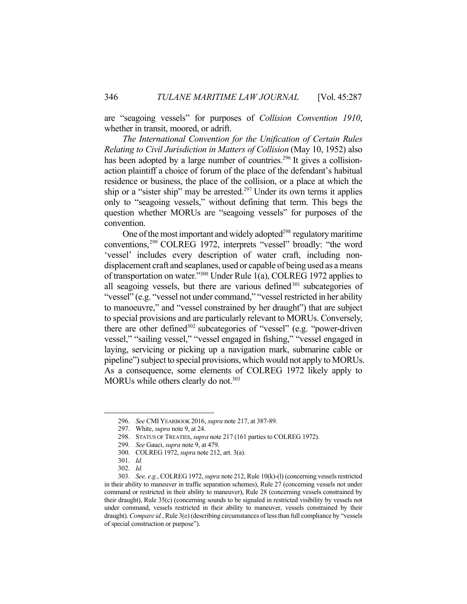are "seagoing vessels" for purposes of *Collision Convention 1910*, whether in transit, moored, or adrift.

*The International Convention for the Unification of Certain Rules Relating to Civil Jurisdiction in Matters of Collision* (May 10, 1952) also has been adopted by a large number of countries.<sup>296</sup> It gives a collisionaction plaintiff a choice of forum of the place of the defendant's habitual residence or business, the place of the collision, or a place at which the ship or a "sister ship" may be arrested.<sup>297</sup> Under its own terms it applies only to "seagoing vessels," without defining that term. This begs the question whether MORUs are "seagoing vessels" for purposes of the convention.

One of the most important and widely adopted<sup>298</sup> regulatory maritime conventions,299 COLREG 1972, interprets "vessel" broadly: "the word 'vessel' includes every description of water craft, including nondisplacement craft and seaplanes, used or capable of being used as a means of transportation on water."300 Under Rule 1(a), COLREG 1972 applies to all seagoing vessels, but there are various defined $301$  subcategories of "vessel" (e.g. "vessel not under command," "vessel restricted in her ability to manoeuvre," and "vessel constrained by her draught") that are subject to special provisions and are particularly relevant to MORUs. Conversely, there are other defined<sup>302</sup> subcategories of "vessel" (e.g. "power-driven") vessel," "sailing vessel," "vessel engaged in fishing," "vessel engaged in laying, servicing or picking up a navigation mark, submarine cable or pipeline") subject to special provisions, which would not apply to MORUs. As a consequence, some elements of COLREG 1972 likely apply to MORUs while others clearly do not.<sup>303</sup>

 <sup>296.</sup> *See* CMI YEARBOOK 2016, *supra* note 217, at 387-89.

 <sup>297.</sup> White, *supra* note 9, at 24.

 <sup>298.</sup> STATUS OF TREATIES, *supra* note 217 (161 parties to COLREG 1972).

 <sup>299.</sup> *See* Gauci, *supra* note 9, at 479.

 <sup>300.</sup> COLREG 1972, *supra* note 212, art. 3(a).

 <sup>301.</sup> *Id.* 

 <sup>302.</sup> *Id.* 

 <sup>303.</sup> *See, e.g.*, COLREG 1972, *supra* note 212, Rule 10(k)-(l) (concerning vessels restricted in their ability to maneuver in traffic separation schemes), Rule 27 (concerning vessels not under command or restricted in their ability to maneuver), Rule 28 (concerning vessels constrained by their draught), Rule 35(c) (concerning sounds to be signaled in restricted visibility by vessels not under command, vessels restricted in their ability to maneuver, vessels constrained by their draught). *Compare id.*, Rule 3(e) (describing circumstances of less than full compliance by "vessels of special construction or purpose").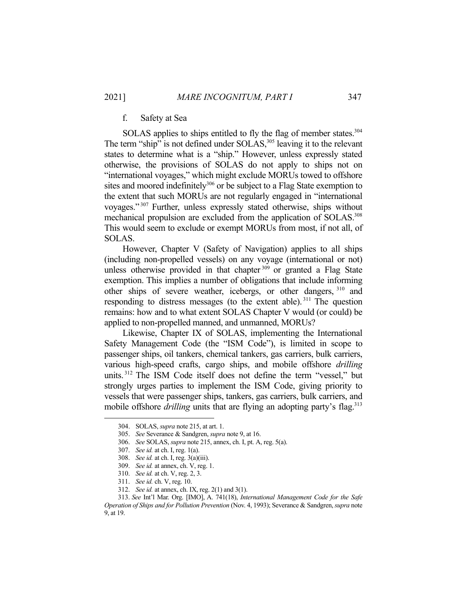# f. Safety at Sea

SOLAS applies to ships entitled to fly the flag of member states.<sup>304</sup> The term "ship" is not defined under SOLAS,<sup>305</sup> leaving it to the relevant states to determine what is a "ship." However, unless expressly stated otherwise, the provisions of SOLAS do not apply to ships not on "international voyages," which might exclude MORUs towed to offshore sites and moored indefinitely<sup>306</sup> or be subject to a Flag State exemption to the extent that such MORUs are not regularly engaged in "international voyages." 307 Further, unless expressly stated otherwise, ships without mechanical propulsion are excluded from the application of SOLAS.<sup>308</sup> This would seem to exclude or exempt MORUs from most, if not all, of SOLAS.

 However, Chapter V (Safety of Navigation) applies to all ships (including non-propelled vessels) on any voyage (international or not) unless otherwise provided in that chapter<sup>309</sup> or granted a Flag State exemption. This implies a number of obligations that include informing other ships of severe weather, icebergs, or other dangers, 310 and responding to distress messages (to the extent able). 311 The question remains: how and to what extent SOLAS Chapter V would (or could) be applied to non-propelled manned, and unmanned, MORUs?

 Likewise, Chapter IX of SOLAS, implementing the International Safety Management Code (the "ISM Code"), is limited in scope to passenger ships, oil tankers, chemical tankers, gas carriers, bulk carriers, various high-speed crafts, cargo ships, and mobile offshore *drilling* units. 312 The ISM Code itself does not define the term "vessel," but strongly urges parties to implement the ISM Code, giving priority to vessels that were passenger ships, tankers, gas carriers, bulk carriers, and mobile offshore *drilling* units that are flying an adopting party's flag.<sup>313</sup>

 <sup>304.</sup> SOLAS, *supra* note 215, at art. 1.

 <sup>305.</sup> *See* Severance & Sandgren, *supra* note 9, at 16.

 <sup>306.</sup> *See* SOLAS, *supra* note 215, annex, ch. I, pt. A, reg. 5(a).

 <sup>307.</sup> *See id.* at ch. I, reg. 1(a).

 <sup>308.</sup> *See id.* at ch. I, reg. 3(a)(iii).

 <sup>309.</sup> *See id.* at annex, ch. V, reg. 1.

 <sup>310.</sup> *See id.* at ch. V, reg. 2, 3.

 <sup>311.</sup> *See id.* ch. V, reg. 10.

 <sup>312.</sup> *See id.* at annex, ch. IX, reg. 2(1) and 3(1).

 <sup>313.</sup> *See* Int'l Mar. Org. [IMO], A. 741(18), *International Management Code for the Safe Operation of Ships and for Pollution Prevention* (Nov. 4, 1993); Severance & Sandgren, *supra* note 9, at 19.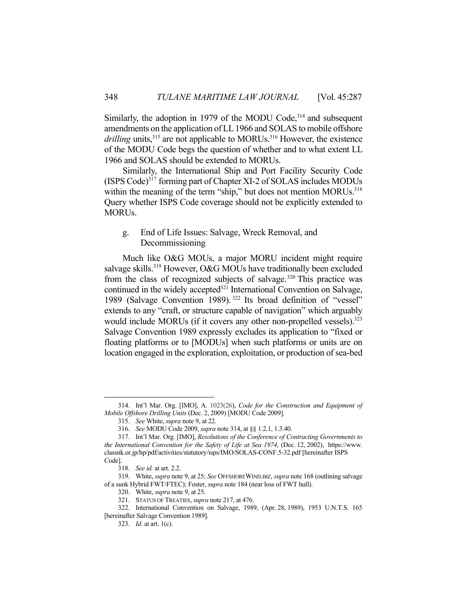Similarly, the adoption in 1979 of the MODU Code, $314$  and subsequent amendments on the application of LL 1966 and SOLAS to mobile offshore *drilling* units,<sup>315</sup> are not applicable to MORUs.<sup>316</sup> However, the existence of the MODU Code begs the question of whether and to what extent LL 1966 and SOLAS should be extended to MORUs.

 Similarly, the International Ship and Port Facility Security Code (ISPS Code)<sup>317</sup> forming part of Chapter XI-2 of SOLAS includes MODUs within the meaning of the term "ship," but does not mention MORUs.<sup>318</sup> Query whether ISPS Code coverage should not be explicitly extended to MORUs.

# g. End of Life Issues: Salvage, Wreck Removal, and Decommissioning

 Much like O&G MOUs, a major MORU incident might require salvage skills.<sup>319</sup> However, O&G MOUs have traditionally been excluded from the class of recognized subjects of salvage.<sup>320</sup> This practice was continued in the widely accepted<sup>321</sup> International Convention on Salvage, 1989 (Salvage Convention 1989). 322 Its broad definition of "vessel" extends to any "craft, or structure capable of navigation" which arguably would include MORUs (if it covers any other non-propelled vessels).<sup>323</sup> Salvage Convention 1989 expressly excludes its application to "fixed or floating platforms or to [MODUs] when such platforms or units are on location engaged in the exploration, exploitation, or production of sea-bed

<u>.</u>

 <sup>314.</sup> Int'l Mar. Org. [IMO], A. 1023(26), *Code for the Construction and Equipment of Mobile Offshore Drilling Units* (Dec. 2, 2009) [MODU Code 2009].

 <sup>315.</sup> *See* White, *supra* note 9, at 22.

 <sup>316.</sup> *See* MODU Code 2009, *supra* note 314, at §§ 1.2.1, 1.3.40.

 <sup>317.</sup> Int'l Mar. Org. [IMO], *Resolutions of the Conference of Contracting Governments to the International Convention for the Safety of Life at Sea 1974*, (Dec. 12, 2002), https://www. classnk.or.jp/hp/pdf/activities/statutory/isps/IMO/SOLAS-CONF.5-32.pdf [hereinafter ISPS Code].

 <sup>318.</sup> *See id.* at art. 2.2.

 <sup>319.</sup> White, *supra* note 9, at 25; *See* OFFSHOREWIND.BIZ, *supra* note 168 (outlining salvage of a sunk Hybrid FWT/FTEC); Foster, *supra* note 184 (near loss of FWT hull).

 <sup>320.</sup> White, *supra* note 9, at 25.

 <sup>321.</sup> STATUS OF TREATIES, *supra* note 217, at 476.

 <sup>322.</sup> International Convention on Salvage, 1989, (Apr. 28, 1989), 1953 U.N.T.S. 165 [hereinafter Salvage Convention 1989].

 <sup>323.</sup> *Id.* at art. 1(c).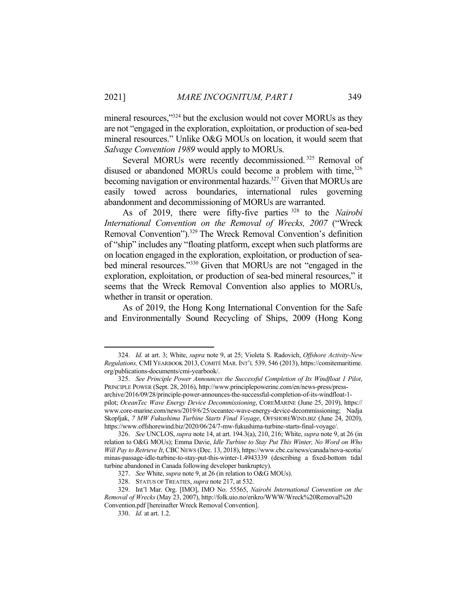mineral resources,"<sup>324</sup> but the exclusion would not cover MORUs as they are not "engaged in the exploration, exploitation, or production of sea-bed mineral resources." Unlike O&G MOUs on location, it would seem that *Salvage Convention 1989* would apply to MORUs.

Several MORUs were recently decommissioned.<sup>325</sup> Removal of disused or abandoned MORUs could become a problem with time,<sup>326</sup> becoming navigation or environmental hazards.<sup>327</sup> Given that MORUs are easily towed across boundaries, international rules governing abandonment and decommissioning of MORUs are warranted.

 As of 2019, there were fifty-five parties 328 to the *Nairobi International Convention on the Removal of Wrecks, 2007* ("Wreck Removal Convention").<sup>329</sup> The Wreck Removal Convention's definition of "ship" includes any "floating platform, except when such platforms are on location engaged in the exploration, exploitation, or production of seabed mineral resources."330 Given that MORUs are not "engaged in the exploration, exploitation, or production of sea-bed mineral resources," it seems that the Wreck Removal Convention also applies to MORUs, whether in transit or operation.

 As of 2019, the Hong Kong International Convention for the Safe and Environmentally Sound Recycling of Ships, 2009 (Hong Kong

 <sup>324.</sup> *Id.* at art. 3; White, *supra* note 9, at 25; Violeta S. Radovich, *Offshore Activity-New Regulations,* CMI YEARBOOK 2013, COMITÉ MAR. INT'L 539, 546 (2013), https://comitemaritime. org/publications-documents/cmi-yearbook/.

 <sup>325.</sup> *See Principle Power Announces the Successful Completion of Its Windfloat 1 Pilot*, PRINCIPLE POWER (Sept. 28, 2016), http://www.principlepowerinc.com/en/news-press/pressarchive/2016/09/28/principle-power-announces-the-successful-completion-of-its-windfloat-1 pilot; *OceanTec Wave Energy Device Decommissioning*, COREMARINE (June 25, 2019), https:// www.core-marine.com/news/2019/6/25/oceantec-wave-energy-device-decommissioning; Nadja Skopljak, *7 MW Fukushima Turbine Starts Final Voyage*, OFFSHOREWIND.BIZ (June 24, 2020), https://www.offshorewind.biz/2020/06/24/7-mw-fukushima-turbine-starts-final-voyage/.

 <sup>326.</sup> *See* UNCLOS, *supra* note 14, at art. 194.3(a), 210, 216; White, *supra* note 9, at 26 (in relation to O&G MOUs); Emma Davie, *Idle Turbine to Stay Put This Winter, No Word on Who Will Pay to Retrieve It*, CBC NEWS (Dec. 13, 2018), https://www.cbc.ca/news/canada/nova-scotia/ minas-passage-idle-turbine-to-stay-put-this-winter-1.4943339 (describing a fixed-bottom tidal turbine abandoned in Canada following developer bankruptcy).

 <sup>327.</sup> *See* White, *supra* note 9, at 26 (in relation to O&G MOUs).

 <sup>328.</sup> STATUS OF TREATIES, *supra* note 217, at 532.

 <sup>329.</sup> Int'l Mar. Org. [IMO], IMO No. 55565, *Nairobi International Convention on the Removal of Wrecks* (May 23, 2007), http://folk.uio.no/erikro/WWW/Wreck%20Removal%20 Convention.pdf [hereinafter Wreck Removal Convention].

 <sup>330.</sup> *Id.* at art. 1.2.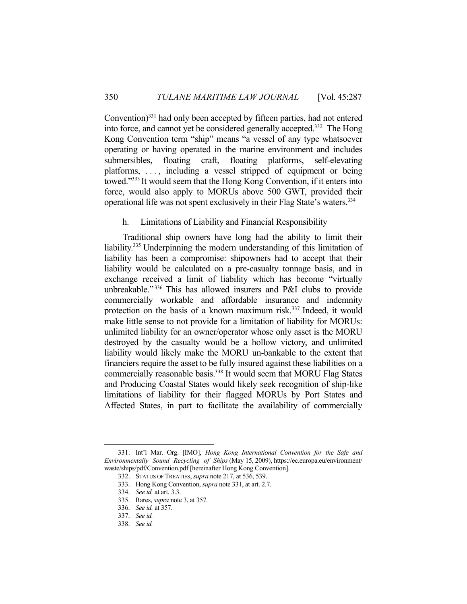Convention)331 had only been accepted by fifteen parties, had not entered into force, and cannot yet be considered generally accepted.332 The Hong Kong Convention term "ship" means "a vessel of any type whatsoever operating or having operated in the marine environment and includes submersibles, floating craft, floating platforms, self-elevating platforms, ..., including a vessel stripped of equipment or being towed."333 It would seem that the Hong Kong Convention, if it enters into force, would also apply to MORUs above 500 GWT, provided their operational life was not spent exclusively in their Flag State's waters.334

### h. Limitations of Liability and Financial Responsibility

 Traditional ship owners have long had the ability to limit their liability.335 Underpinning the modern understanding of this limitation of liability has been a compromise: shipowners had to accept that their liability would be calculated on a pre-casualty tonnage basis, and in exchange received a limit of liability which has become "virtually unbreakable."<sup>336</sup> This has allowed insurers and P&I clubs to provide commercially workable and affordable insurance and indemnity protection on the basis of a known maximum risk.<sup>337</sup> Indeed, it would make little sense to not provide for a limitation of liability for MORUs: unlimited liability for an owner/operator whose only asset is the MORU destroyed by the casualty would be a hollow victory, and unlimited liability would likely make the MORU un-bankable to the extent that financiers require the asset to be fully insured against these liabilities on a commercially reasonable basis.<sup>338</sup> It would seem that MORU Flag States and Producing Coastal States would likely seek recognition of ship-like limitations of liability for their flagged MORUs by Port States and Affected States, in part to facilitate the availability of commercially

 <sup>331.</sup> Int'l Mar. Org. [IMO], *Hong Kong International Convention for the Safe and Environmentally Sound Recycling of Ships* (May 15, 2009), https://ec.europa.eu/environment/ waste/ships/pdf/Convention.pdf [hereinafter Hong Kong Convention].

 <sup>332.</sup> STATUS OF TREATIES, *supra* note 217, at 536, 539.

 <sup>333.</sup> Hong Kong Convention, *supra* note 331, at art. 2.7.

 <sup>334.</sup> *See id.* at art. 3.3.

 <sup>335.</sup> Rares, *supra* note 3, at 357.

 <sup>336.</sup> *See id.* at 357.

 <sup>337.</sup> *See id.*

 <sup>338.</sup> *See id.*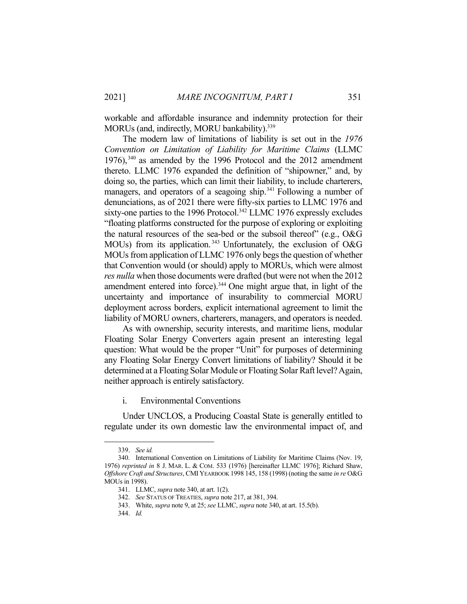workable and affordable insurance and indemnity protection for their MORUs (and, indirectly, MORU bankability).<sup>339</sup>

 The modern law of limitations of liability is set out in the *1976 Convention on Limitation of Liability for Maritime Claims* (LLMC 1976), $340$  as amended by the 1996 Protocol and the 2012 amendment thereto. LLMC 1976 expanded the definition of "shipowner," and, by doing so, the parties, which can limit their liability, to include charterers, managers, and operators of a seagoing ship.<sup>341</sup> Following a number of denunciations, as of 2021 there were fifty-six parties to LLMC 1976 and sixty-one parties to the 1996 Protocol.<sup>342</sup> LLMC 1976 expressly excludes "floating platforms constructed for the purpose of exploring or exploiting the natural resources of the sea-bed or the subsoil thereof" (e.g., O&G MOUs) from its application. 343 Unfortunately, the exclusion of O&G MOUs from application of LLMC 1976 only begs the question of whether that Convention would (or should) apply to MORUs, which were almost *res nulla* when those documents were drafted (but were not when the 2012 amendment entered into force).<sup>344</sup> One might argue that, in light of the uncertainty and importance of insurability to commercial MORU deployment across borders, explicit international agreement to limit the liability of MORU owners, charterers, managers, and operators is needed.

 As with ownership, security interests, and maritime liens, modular Floating Solar Energy Converters again present an interesting legal question: What would be the proper "Unit" for purposes of determining any Floating Solar Energy Convert limitations of liability? Should it be determined at a Floating Solar Module or Floating Solar Raft level? Again, neither approach is entirely satisfactory.

i. Environmental Conventions

 Under UNCLOS, a Producing Coastal State is generally entitled to regulate under its own domestic law the environmental impact of, and

 <sup>339.</sup> *See id.*

 <sup>340.</sup> International Convention on Limitations of Liability for Maritime Claims (Nov. 19, 1976) *reprinted in* 8 J. MAR. L. & COM. 533 (1976) [hereinafter LLMC 1976]; Richard Shaw, *Offshore Craft and Structures*, CMI YEARBOOK 1998 145, 158 (1998) (noting the same *in re* O&G MOUs in 1998).

 <sup>341.</sup> LLMC, *supra* note 340, at art. 1(2).

 <sup>342.</sup> *See* STATUS OF TREATIES, *supra* note 217, at 381, 394.

 <sup>343.</sup> White, *supra* note 9, at 25; *see* LLMC, *supra* note 340, at art. 15.5(b).

 <sup>344.</sup> *Id.*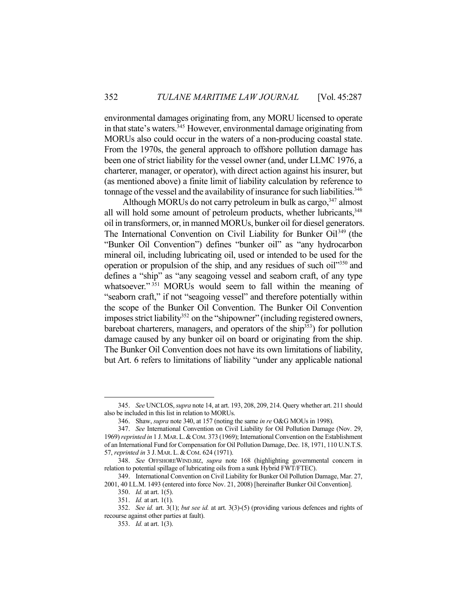environmental damages originating from, any MORU licensed to operate in that state's waters.345 However, environmental damage originating from MORUs also could occur in the waters of a non-producing coastal state. From the 1970s, the general approach to offshore pollution damage has been one of strict liability for the vessel owner (and, under LLMC 1976, a charterer, manager, or operator), with direct action against his insurer, but (as mentioned above) a finite limit of liability calculation by reference to tonnage of the vessel and the availability of insurance for such liabilities.<sup>346</sup>

Although MORUs do not carry petroleum in bulk as cargo,  $347$  almost all will hold some amount of petroleum products, whether lubricants,  $348$ oil in transformers, or, in manned MORUs, bunker oil for diesel generators. The International Convention on Civil Liability for Bunker Oil<sup>349</sup> (the "Bunker Oil Convention") defines "bunker oil" as "any hydrocarbon mineral oil, including lubricating oil, used or intended to be used for the operation or propulsion of the ship, and any residues of such oil"350 and defines a "ship" as "any seagoing vessel and seaborn craft, of any type whatsoever."<sup>351</sup> MORUs would seem to fall within the meaning of "seaborn craft," if not "seagoing vessel" and therefore potentially within the scope of the Bunker Oil Convention. The Bunker Oil Convention imposes strict liability<sup>352</sup> on the "shipowner" (including registered owners, bareboat charterers, managers, and operators of the ship<sup>353</sup>) for pollution damage caused by any bunker oil on board or originating from the ship. The Bunker Oil Convention does not have its own limitations of liability, but Art. 6 refers to limitations of liability "under any applicable national

<u>.</u>

 <sup>345.</sup> *See* UNCLOS, *supra* note 14, at art. 193, 208, 209, 214. Query whether art. 211 should also be included in this list in relation to MORUs.

 <sup>346.</sup> Shaw, *supra* note 340, at 157 (noting the same *in re* O&G MOUs in 1998).

 <sup>347.</sup> *See* International Convention on Civil Liability for Oil Pollution Damage (Nov. 29, 1969) *reprinted in* 1 J.MAR.L.&COM. 373 (1969); International Convention on the Establishment of an International Fund for Compensation for Oil Pollution Damage, Dec. 18, 1971, 110 U.N.T.S. 57, *reprinted in* 3 J. MAR. L. & COM. 624 (1971).

 <sup>348.</sup> *See* OFFSHOREWIND.BIZ, *supra* note 168 (highlighting governmental concern in relation to potential spillage of lubricating oils from a sunk Hybrid FWT/FTEC).

 <sup>349.</sup> International Convention on Civil Liability for Bunker Oil Pollution Damage, Mar. 27, 2001, 40 I.L.M. 1493 (entered into force Nov. 21, 2008) [hereinafter Bunker Oil Convention].

 <sup>350.</sup> *Id.* at art. 1(5).

 <sup>351.</sup> *Id.* at art. 1(1).

 <sup>352.</sup> *See id.* art. 3(1); *but see id.* at art. 3(3)-(5) (providing various defences and rights of recourse against other parties at fault).

 <sup>353.</sup> *Id.* at art. 1(3).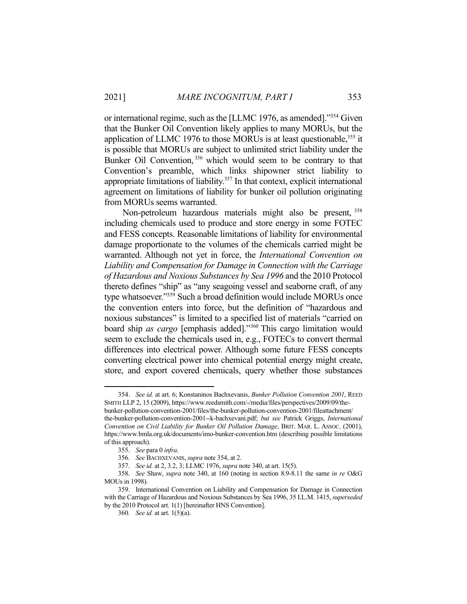or international regime, such as the [LLMC 1976, as amended]."354 Given that the Bunker Oil Convention likely applies to many MORUs, but the application of LLMC 1976 to those MORUs is at least questionable,<sup>355</sup> it is possible that MORUs are subject to unlimited strict liability under the Bunker Oil Convention, 356 which would seem to be contrary to that Convention's preamble, which links shipowner strict liability to appropriate limitations of liability.357 In that context, explicit international agreement on limitations of liability for bunker oil pollution originating from MORUs seems warranted.

Non-petroleum hazardous materials might also be present, 358 including chemicals used to produce and store energy in some FOTEC and FESS concepts. Reasonable limitations of liability for environmental damage proportionate to the volumes of the chemicals carried might be warranted. Although not yet in force, the *International Convention on Liability and Compensation for Damage in Connection with the Carriage of Hazardous and Noxious Substances by Sea 1996* and the 2010 Protocol thereto defines "ship" as "any seagoing vessel and seaborne craft, of any type whatsoever."359 Such a broad definition would include MORUs once the convention enters into force, but the definition of "hazardous and noxious substances" is limited to a specified list of materials "carried on board ship *as cargo* [emphasis added]."360 This cargo limitation would seem to exclude the chemicals used in, e.g., FOTECs to convert thermal differences into electrical power. Although some future FESS concepts converting electrical power into chemical potential energy might create, store, and export covered chemicals, query whether those substances

 <sup>354.</sup> *See id.* at art. 6; Konstaninos Bachxevanis, *Bunker Pollution Convention 2001*, REED SMITH LLP 2, 15 (2009), https://www.reedsmith.com/-/media/files/perspectives/2009/09/thebunker-pollution-convention-2001/files/the-bunker-pollution-convention-2001/fileattachment/ the-bunker-pollution-convention-2001--k-bachxevani.pdf; *but see* Patrick Griggs, *International Convention on Civil Liability for Bunker Oil Pollution Damage*, BRIT. MAR. L. ASSOC. (2001), https://www.bmla.org.uk/documents/imo-bunker-convention.htm (describing possible limitations of this approach).

 <sup>355.</sup> *See* para 0 *infra*.

 <sup>356.</sup> *See* BACHXEVANIS, *supra* note 354, at 2.

 <sup>357.</sup> *See id.* at 2, 3.2, 3; LLMC 1976, *supra* note 340, at art. 15(5).

 <sup>358.</sup> *See* Shaw, *supra* note 340, at 160 (noting in section 8.9-8.11 the same *in re* O&G MOUs in 1998).

 <sup>359.</sup> International Convention on Liability and Compensation for Damage in Connection with the Carriage of Hazardous and Noxious Substances by Sea 1996, 35 I.L.M. 1415, *superseded* by the 2010 Protocol art. 1(1) [hereinafter HNS Convention].

 <sup>360.</sup> *See id.* at art. 1(5)(a).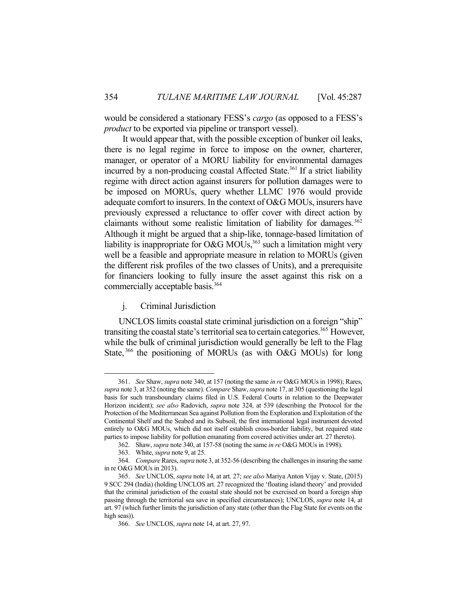would be considered a stationary FESS's *cargo* (as opposed to a FESS's *product* to be exported via pipeline or transport vessel).

 It would appear that, with the possible exception of bunker oil leaks, there is no legal regime in force to impose on the owner, charterer, manager, or operator of a MORU liability for environmental damages incurred by a non-producing coastal Affected State.<sup>361</sup> If a strict liability regime with direct action against insurers for pollution damages were to be imposed on MORUs, query whether LLMC 1976 would provide adequate comfort to insurers. In the context of O&G MOUs, insurers have previously expressed a reluctance to offer cover with direct action by claimants without some realistic limitation of liability for damages.<sup>362</sup> Although it might be argued that a ship-like, tonnage-based limitation of liability is inappropriate for O&G MOUs,  $363$  such a limitation might very well be a feasible and appropriate measure in relation to MORUs (given the different risk profiles of the two classes of Units), and a prerequisite for financiers looking to fully insure the asset against this risk on a commercially acceptable basis.<sup>364</sup>

j. Criminal Jurisdiction

 UNCLOS limits coastal state criminal jurisdiction on a foreign "ship" transiting the coastal state's territorial sea to certain categories.<sup>365</sup> However, while the bulk of criminal jurisdiction would generally be left to the Flag State,<sup>366</sup> the positioning of MORUs (as with O&G MOUs) for long

 <sup>361.</sup> *See* Shaw, *supra* note 340, at 157 (noting the same *in re* O&G MOUs in 1998); Rares, *supra* note 3, at 352 (noting the same). *Compare* Shaw, *supra* note 17, at 305 (questioning the legal basis for such transboundary claims filed in U.S. Federal Courts in relation to the Deepwater Horizon incident); *see also* Radovich, *supra* note 324, at 539 (describing the Protocol for the Protection of the Mediterranean Sea against Pollution from the Exploration and Exploitation of the Continental Shelf and the Seabed and its Subsoil, the first international legal instrument devoted entirely to O&G MOUs, which did not itself establish cross-border liability, but required state parties to impose liability for pollution emanating from covered activities under art. 27 thereto).

 <sup>362.</sup> Shaw, *supra* note 340, at 157-58 (noting the same *in re* O&G MOUs in 1998).

 <sup>363.</sup> White, *supra* note 9, at 25.

 <sup>364.</sup> *Compare* Rares, *supra* note 3, at 352-56 (describing the challenges in insuring the same in re O&G MOUs in 2013).

 <sup>365.</sup> *See* UNCLOS, *supra* note 14, at art. 27; *see also* Mariya Anton Vijay v. State, (2015) 9 SCC 294 (India) (holding UNCLOS art. 27 recognized the 'floating island theory' and provided that the criminal jurisdiction of the coastal state should not be exercised on board a foreign ship passing through the territorial sea save in specified circumstances); UNCLOS, *supra* note 14, at art. 97 (which further limits the jurisdiction of any state (other than the Flag State for events on the high seas)).

 <sup>366.</sup> *See* UNCLOS, *supra* note 14, at art. 27, 97.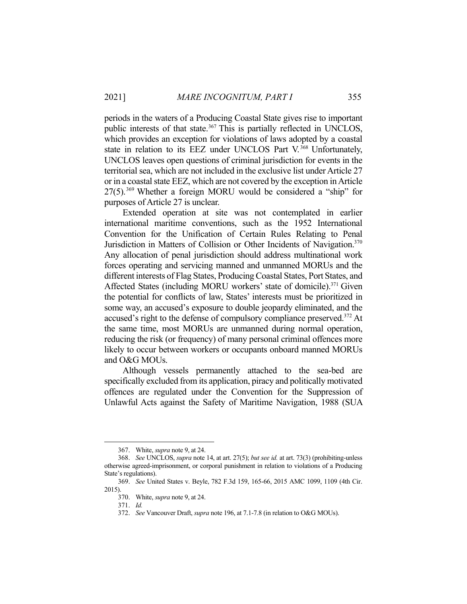periods in the waters of a Producing Coastal State gives rise to important public interests of that state.<sup>367</sup> This is partially reflected in UNCLOS, which provides an exception for violations of laws adopted by a coastal state in relation to its EEZ under UNCLOS Part V.<sup>368</sup> Unfortunately, UNCLOS leaves open questions of criminal jurisdiction for events in the territorial sea, which are not included in the exclusive list under Article 27 or in a coastal state EEZ, which are not covered by the exception in Article  $27(5)$ .<sup>369</sup> Whether a foreign MORU would be considered a "ship" for purposes of Article 27 is unclear.

 Extended operation at site was not contemplated in earlier international maritime conventions, such as the 1952 International Convention for the Unification of Certain Rules Relating to Penal Jurisdiction in Matters of Collision or Other Incidents of Navigation.<sup>370</sup> Any allocation of penal jurisdiction should address multinational work forces operating and servicing manned and unmanned MORUs and the different interests of Flag States, Producing Coastal States, Port States, and Affected States (including MORU workers' state of domicile).<sup>371</sup> Given the potential for conflicts of law, States' interests must be prioritized in some way, an accused's exposure to double jeopardy eliminated, and the accused's right to the defense of compulsory compliance preserved.372 At the same time, most MORUs are unmanned during normal operation, reducing the risk (or frequency) of many personal criminal offences more likely to occur between workers or occupants onboard manned MORUs and O&G MOUs.

 Although vessels permanently attached to the sea-bed are specifically excluded from its application, piracy and politically motivated offences are regulated under the Convention for the Suppression of Unlawful Acts against the Safety of Maritime Navigation, 1988 (SUA

 <sup>367.</sup> White, *supra* note 9, at 24.

 <sup>368.</sup> *See* UNCLOS, *supra* note 14, at art. 27(5); *but see id.* at art. 73(3) (prohibiting-unless otherwise agreed-imprisonment, or corporal punishment in relation to violations of a Producing State's regulations).

 <sup>369.</sup> *See* United States v. Beyle, 782 F.3d 159, 165-66, 2015 AMC 1099, 1109 (4th Cir. 2015).

 <sup>370.</sup> White, *supra* note 9, at 24.

 <sup>371.</sup> *Id.*

 <sup>372.</sup> *See* Vancouver Draft, *supra* note 196, at 7.1-7.8 (in relation to O&G MOUs).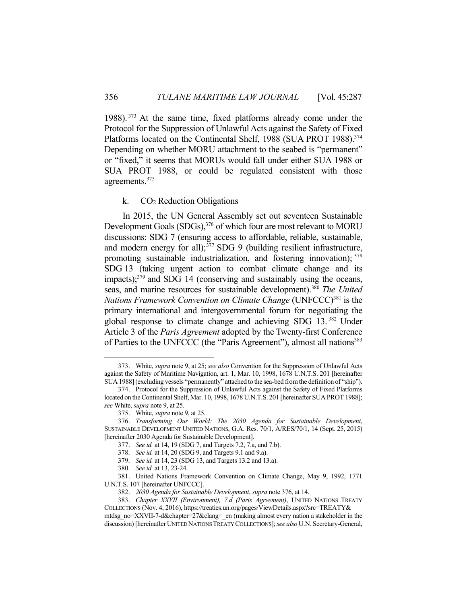1988). 373 At the same time, fixed platforms already come under the Protocol for the Suppression of Unlawful Acts against the Safety of Fixed Platforms located on the Continental Shelf, 1988 (SUA PROT 1988).<sup>374</sup> Depending on whether MORU attachment to the seabed is "permanent" or "fixed," it seems that MORUs would fall under either SUA 1988 or SUA PROT 1988, or could be regulated consistent with those agreements.375

### k. CO2 Reduction Obligations

 In 2015, the UN General Assembly set out seventeen Sustainable Development Goals (SDGs),<sup>376</sup> of which four are most relevant to MORU discussions: SDG 7 (ensuring access to affordable, reliable, sustainable, and modern energy for all); $377$  SDG 9 (building resilient infrastructure, promoting sustainable industrialization, and fostering innovation); 378 SDG 13 (taking urgent action to combat climate change and its impacts); $379$  and SDG 14 (conserving and sustainably using the oceans, seas, and marine resources for sustainable development).380 *The United Nations Framework Convention on Climate Change* (UNFCCC)<sup>381</sup> is the primary international and intergovernmental forum for negotiating the global response to climate change and achieving SDG 13. 382 Under Article 3 of the *Paris Agreement* adopted by the Twenty-first Conference of Parties to the UNFCCC (the "Paris Agreement"), almost all nations<sup>383</sup>

 <sup>373.</sup> White, *supra* note 9, at 25; *see also* Convention for the Suppression of Unlawful Acts against the Safety of Maritime Navigation, art. 1, Mar. 10, 1998, 1678 U.N.T.S. 201 [hereinafter SUA 1988] (excluding vessels "permanently" attached to the sea-bed from the definition of "ship").

 <sup>374.</sup> Protocol for the Suppression of Unlawful Acts against the Safety of Fixed Platforms located on the Continental Shelf, Mar. 10, 1998, 1678 U.N.T.S. 201 [hereinafter SUA PROT 1988]; *see* White, *supra* note 9, at 25.

 <sup>375.</sup> White, *supra* note 9, at 25.

 <sup>376.</sup> *Transforming Our World: The 2030 Agenda for Sustainable Development*, SUSTAINABLE DEVELOPMENT UNITED NATIONS, G.A. Res. 70/1, A/RES/70/1, 14 (Sept. 25, 2015) [hereinafter 2030 Agenda for Sustainable Development].

 <sup>377.</sup> *See id.* at 14, 19 (SDG 7, and Targets 7.2, 7.a, and 7.b).

 <sup>378.</sup> *See id.* at 14, 20 (SDG 9, and Targets 9.1 and 9.a).

 <sup>379.</sup> *See id.* at 14, 23 (SDG 13, and Targets 13.2 and 13.a).

 <sup>380.</sup> *See id.* at 13, 23-24.

 <sup>381.</sup> United Nations Framework Convention on Climate Change, May 9, 1992, 1771 U.N.T.S. 107 [hereinafter UNFCCC].

 <sup>382.</sup> *2030 Agenda for Sustainable Development*, *supra* note 376, at 14.

 <sup>383.</sup> *Chapter XXVII (Environment), 7.d (Paris Agreement)*, UNITED NATIONS TREATY COLLECTIONS (Nov. 4, 2016), https://treaties.un.org/pages/ViewDetails.aspx?src=TREATY& mtdsg\_no=XXVII-7-d&chapter=27&clang=\_en (making almost every nation a stakeholder in the

discussion) [hereinafter UNITED NATIONS TREATY COLLECTIONS]; *see also* U.N. Secretary-General,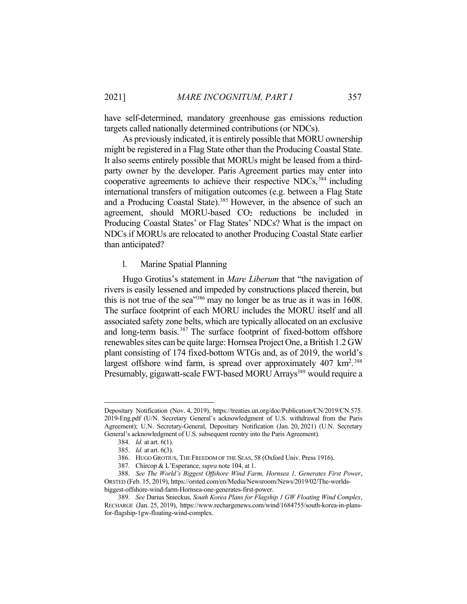have self-determined, mandatory greenhouse gas emissions reduction targets called nationally determined contributions (or NDCs).

 As previously indicated, it is entirely possible that MORU ownership might be registered in a Flag State other than the Producing Coastal State. It also seems entirely possible that MORUs might be leased from a thirdparty owner by the developer. Paris Agreement parties may enter into cooperative agreements to achieve their respective NDCs,  $384$  including international transfers of mitigation outcomes (e.g. between a Flag State and a Producing Coastal State).<sup>385</sup> However, in the absence of such an agreement, should MORU-based  $CO<sub>2</sub>$  reductions be included in Producing Coastal States' or Flag States' NDCs? What is the impact on NDCs if MORUs are relocated to another Producing Coastal State earlier than anticipated?

l. Marine Spatial Planning

 Hugo Grotius's statement in *Mare Liberum* that "the navigation of rivers is easily lessened and impeded by constructions placed therein, but this is not true of the sea<sup>1386</sup> may no longer be as true as it was in 1608. The surface footprint of each MORU includes the MORU itself and all associated safety zone belts, which are typically allocated on an exclusive and long-term basis.<sup>387</sup> The surface footprint of fixed-bottom offshore renewables sites can be quite large: Hornsea Project One, a British 1.2 GW plant consisting of 174 fixed-bottom WTGs and, as of 2019, the world's largest offshore wind farm, is spread over approximately  $407 \text{ km}^2$ . 388 Presumably, gigawatt-scale FWT-based MORU Arrays<sup>389</sup> would require a

Depositary Notification (Nov. 4, 2019), https://treaties.un.org/doc/Publication/CN/2019/CN.575. 2019-Eng.pdf (U/N. Secretary General's acknowledgment of U.S. withdrawal from the Paris Agreement); U.N. Secretary-General, Depositary Notification (Jan. 20, 2021) (U.N. Secretary General's acknowledgment of U.S. subsequent reentry into the Paris Agreement).

 <sup>384.</sup> *Id.* at art. 6(1).

 <sup>385.</sup> *Id.* at art. 6(3).

 <sup>386.</sup> HUGO GROTIUS, THE FREEDOM OF THE SEAS, 58 (Oxford Univ. Press 1916).

 <sup>387.</sup> Chircop & L'Esperance, *supra* note 104, at 1.

 <sup>388.</sup> *See The World's Biggest Offshore Wind Farm, Hornsea 1, Generates First Power*, ORSTED (Feb. 15, 2019), https://orsted.com/en/Media/Newsroom/News/2019/02/The-worldsbiggest-offshore-wind-farm-Hornsea-one-generates-first-power.

 <sup>389.</sup> *See* Darius Snieckus, *South Korea Plans for Flagship 1 GW Floating Wind Complex*, RECHARGE (Jan. 25, 2019), https://www.rechargenews.com/wind/1684755/south-korea-in-plansfor-flagship-1gw-floating-wind-complex.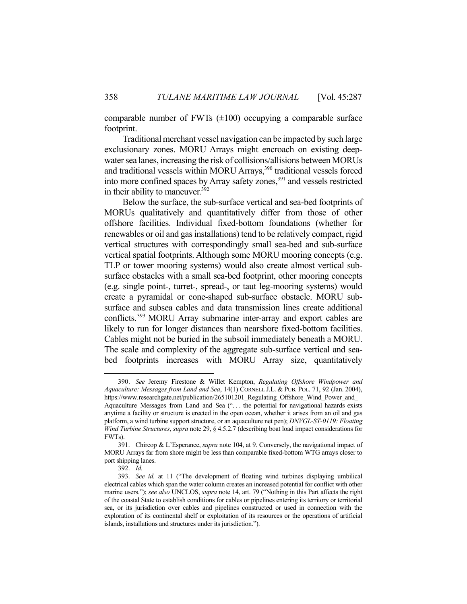comparable number of FWTs  $(\pm 100)$  occupying a comparable surface footprint.

 Traditional merchant vessel navigation can be impacted by such large exclusionary zones. MORU Arrays might encroach on existing deepwater sea lanes, increasing the risk of collisions/allisions between MORUs and traditional vessels within MORU Arrays,<sup>390</sup> traditional vessels forced into more confined spaces by Array safety zones,<sup>391</sup> and vessels restricted in their ability to maneuver.<sup>392</sup>

 Below the surface, the sub-surface vertical and sea-bed footprints of MORUs qualitatively and quantitatively differ from those of other offshore facilities. Individual fixed-bottom foundations (whether for renewables or oil and gas installations) tend to be relatively compact, rigid vertical structures with correspondingly small sea-bed and sub-surface vertical spatial footprints. Although some MORU mooring concepts (e.g. TLP or tower mooring systems) would also create almost vertical subsurface obstacles with a small sea-bed footprint, other mooring concepts (e.g. single point-, turret-, spread-, or taut leg-mooring systems) would create a pyramidal or cone-shaped sub-surface obstacle. MORU subsurface and subsea cables and data transmission lines create additional conflicts.<sup>393</sup> MORU Array submarine inter-array and export cables are likely to run for longer distances than nearshore fixed-bottom facilities. Cables might not be buried in the subsoil immediately beneath a MORU. The scale and complexity of the aggregate sub-surface vertical and seabed footprints increases with MORU Array size, quantitatively

 <sup>390.</sup> *See* Jeremy Firestone & Willet Kempton, *Regulating Offshore Windpower and Aquaculture: Messages from Land and Sea*, 14(1) CORNELL J.L. & PUB. POL. 71, 92 (Jan. 2004), https://www.researchgate.net/publication/265101201\_Regulating\_Offshore\_Wind\_Power\_and\_ Aquaculture\_Messages\_from\_Land\_and\_Sea (". . . the potential for navigational hazards exists anytime a facility or structure is erected in the open ocean, whether it arises from an oil and gas platform, a wind turbine support structure, or an aquaculture net pen); *DNVGL-ST-0119: Floating Wind Turbine Structures*, *supra* note 29, § 4.5.2.7 (describing boat load impact considerations for FWTs).

 <sup>391.</sup> Chircop & L'Esperance, *supra* note 104, at 9. Conversely, the navigational impact of MORU Arrays far from shore might be less than comparable fixed-bottom WTG arrays closer to port shipping lanes.

 <sup>392.</sup> *Id.*

 <sup>393.</sup> *See id.* at 11 ("The development of floating wind turbines displaying umbilical electrical cables which span the water column creates an increased potential for conflict with other marine users."); *see also* UNCLOS, *supra* note 14, art. 79 ("Nothing in this Part affects the right of the coastal State to establish conditions for cables or pipelines entering its territory or territorial sea, or its jurisdiction over cables and pipelines constructed or used in connection with the exploration of its continental shelf or exploitation of its resources or the operations of artificial islands, installations and structures under its jurisdiction.").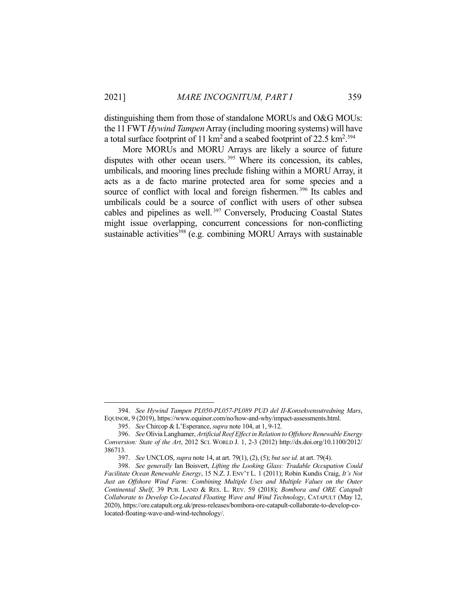distinguishing them from those of standalone MORUs and O&G MOUs: the 11 FWT *Hywind Tampen* Array (including mooring systems) will have a total surface footprint of 11 km<sup>2</sup> and a seabed footprint of 22.5 km<sup>2</sup>.<sup>394</sup>

 More MORUs and MORU Arrays are likely a source of future disputes with other ocean users.<sup>395</sup> Where its concession, its cables, umbilicals, and mooring lines preclude fishing within a MORU Array, it acts as a de facto marine protected area for some species and a source of conflict with local and foreign fishermen.<sup>396</sup> Its cables and umbilicals could be a source of conflict with users of other subsea cables and pipelines as well.<sup>397</sup> Conversely, Producing Coastal States might issue overlapping, concurrent concessions for non-conflicting sustainable activities<sup>398</sup> (e.g. combining MORU Arrays with sustainable

 <sup>394.</sup> *See Hywind Tampen PL050-PL057-PL089 PUD del II-Konsekvensutredning Mars*, EQUINOR, 9 (2019), https://www.equinor.com/no/how-and-why/impact-assessments.html.

 <sup>395.</sup> *See* Chircop & L'Esperance, *supra* note 104, at 1, 9-12.

 <sup>396.</sup> *See* Olivia Langhamer, *Artificial Reef Effect in Relation to Offshore Renewable Energy Conversion: State of the Art*, 2012 SCI. WORLD J. 1, 2-3 (2012) http://dx.doi.org/10.1100/2012/ 386713.

 <sup>397.</sup> *See* UNCLOS, *supra* note 14, at art. 79(1), (2), (5); *but see id.* at art. 79(4).

 <sup>398.</sup> *See generally* Ian Boisvert, *Lifting the Looking Glass: Tradable Occupation Could Facilitate Ocean Renewable Energy*, 15 N.Z. J. ENV'T L. 1 (2011); Robin Kundis Craig, *It's Not*  Just an Offshore Wind Farm: Combining Multiple Uses and Multiple Values on the Outer *Continental Shelf*, 39 PUB. LAND & RES. L. REV. 59 (2018); *Bombora and ORE Catapult Collaborate to Develop Co-Located Floating Wave and Wind Technology*, CATAPULT (May 12, 2020), https://ore.catapult.org.uk/press-releases/bombora-ore-catapult-collaborate-to-develop-colocated-floating-wave-and-wind-technology/.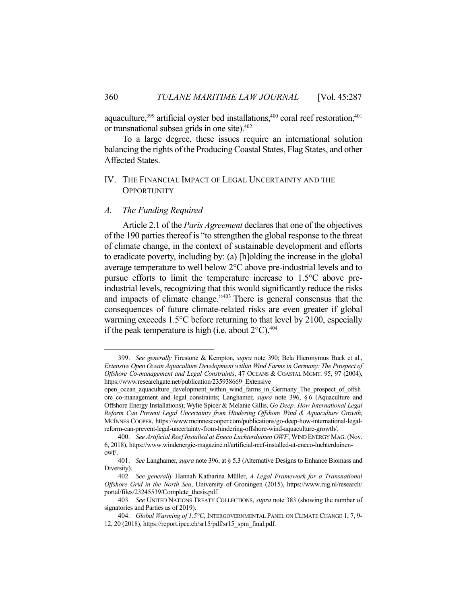aquaculture, $399$  artificial oyster bed installations, $400$  coral reef restoration, $401$ or transnational subsea grids in one site).402

 To a large degree, these issues require an international solution balancing the rights of the Producing Coastal States, Flag States, and other Affected States.

## IV. THE FINANCIAL IMPACT OF LEGAL UNCERTAINTY AND THE **OPPORTUNITY**

#### *A. The Funding Required*

 Article 2.1 of the *Paris Agreement* declares that one of the objectives of the 190 parties thereof is "to strengthen the global response to the threat of climate change, in the context of sustainable development and efforts to eradicate poverty, including by: (a) [h]olding the increase in the global average temperature to well below 2°C above pre-industrial levels and to pursue efforts to limit the temperature increase to 1.5°C above preindustrial levels, recognizing that this would significantly reduce the risks and impacts of climate change."403 There is general consensus that the consequences of future climate-related risks are even greater if global warming exceeds 1.5°C before returning to that level by 2100, especially if the peak temperature is high (i.e. about  $2^{\circ}$ C).<sup>404</sup>

 <sup>399.</sup> *See generally* Firestone & Kempton, *supra* note 390; Bela Hieronymus Buck et al., *Extensive Open Ocean Aquaculture Development within Wind Farms in Germany: The Prospect of Offshore Co-management and Legal Constraints*, 47 OCEANS & COASTAL MGMT. 95, 97 (2004), https://www.researchgate.net/publication/235938669\_Extensive

open\_ocean\_aquaculture\_development\_within\_wind\_farms\_in\_Germany\_The\_prospect\_of\_offsh ore\_co-management\_and\_legal\_constraints; Langhamer, *supra* note 396, § 6 (Aquaculture and Offshore Energy Installations); Wylie Spicer & Melanie Gillis, *Go Deep: How International Legal Reform Can Prevent Legal Uncertainty from Hindering Offshore Wind & Aquaculture Growth*, MCINNES COOPER, https://www.mcinnescooper.com/publications/go-deep-how-international-legalreform-can-prevent-legal-uncertainty-from-hindering-offshore-wind-aquaculture-growth/.

 <sup>400.</sup> *See Artificial Reef Installed at Eneco Luchterduinen OWF*, WIND ENERGY MAG. (Nov. 6, 2018), https://www.windenergie-magazine.nl/artificial-reef-installed-at-eneco-luchterduinenowf/.

 <sup>401.</sup> *See* Langhamer, *supra* note 396, at § 5.3 (Alternative Designs to Enhance Biomass and Diversity).

 <sup>402.</sup> *See generally* Hannah Katharina Müller, *A Legal Framework for a Transnational Offshore Grid in the North Sea*, University of Groningen (2015), https://www.rug.nl/research/ portal/files/23245539/Complete\_thesis.pdf.

 <sup>403.</sup> *See* UNITED NATIONS TREATY COLLECTIONS, *supra* note 383 (showing the number of signatories and Parties as of 2019).

 <sup>404.</sup> *Global Warming of 1.5°C*, INTERGOVERNMENTAL PANEL ON CLIMATE CHANGE 1, 7, 9- 12, 20 (2018), https://report.ipcc.ch/sr15/pdf/sr15\_spm\_final.pdf.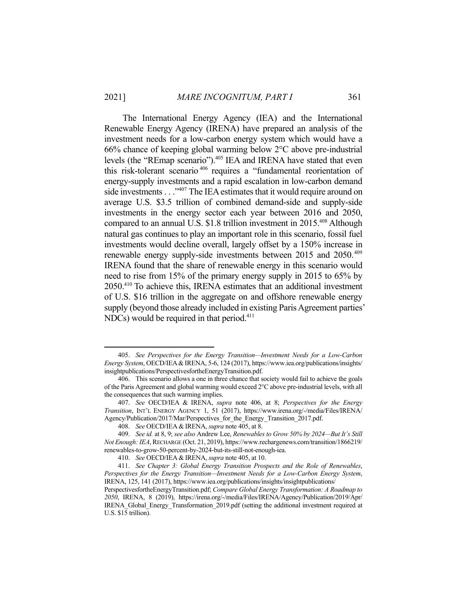1

 The International Energy Agency (IEA) and the International Renewable Energy Agency (IRENA) have prepared an analysis of the investment needs for a low-carbon energy system which would have a 66% chance of keeping global warming below 2°C above pre-industrial levels (the "REmap scenario").<sup>405</sup> IEA and IRENA have stated that even this risk-tolerant scenario 406 requires a "fundamental reorientation of energy-supply investments and a rapid escalation in low-carbon demand side investments . . . "<sup>407</sup> The IEA estimates that it would require around on average U.S. \$3.5 trillion of combined demand-side and supply-side investments in the energy sector each year between 2016 and 2050, compared to an annual U.S. \$1.8 trillion investment in 2015.<sup>408</sup> Although natural gas continues to play an important role in this scenario, fossil fuel investments would decline overall, largely offset by a 150% increase in renewable energy supply-side investments between 2015 and 2050.<sup>409</sup> IRENA found that the share of renewable energy in this scenario would need to rise from 15% of the primary energy supply in 2015 to 65% by 2050.410 To achieve this, IRENA estimates that an additional investment of U.S. \$16 trillion in the aggregate on and offshore renewable energy supply (beyond those already included in existing Paris Agreement parties' NDCs) would be required in that period.<sup>411</sup>

 <sup>405.</sup> *See Perspectives for the Energy Transition—Investment Needs for a Low-Carbon Energy System*, OECD/IEA&IRENA, 5-6, 124 (2017), https://www.iea.org/publications/insights/ insightpublications/PerspectivesfortheEnergyTransition.pdf.

 <sup>406.</sup> This scenario allows a one in three chance that society would fail to achieve the goals of the Paris Agreement and global warming would exceed 2°C above pre-industrial levels, with all the consequences that such warming implies.

 <sup>407.</sup> *See* OECD/IEA & IRENA, *supra* note 406, at 8; *Perspectives for the Energy Transition*, INT'L ENERGY AGENCY 1, 51 (2017), https://www.irena.org/-/media/Files/IRENA/ Agency/Publication/2017/Mar/Perspectives\_for\_the\_Energy\_Transition\_2017.pdf.

 <sup>408.</sup> *See* OECD/IEA &IRENA, *supra* note 405, at 8.

 <sup>409.</sup> *See id.* at 8, 9; *see also* Andrew Lee, *Renewables to Grow 50% by 2024—But It's Still Not Enough: IEA*, RECHARGE (Oct. 21, 2019), https://www.rechargenews.com/transition/1866219/ renewables-to-grow-50-percent-by-2024-but-its-still-not-enough-iea.

 <sup>410.</sup> *See* OECD/IEA &IRENA, *supra* note 405, at 10.

 <sup>411.</sup> *See Chapter 3: Global Energy Transition Prospects and the Role of Renewables*, *Perspectives for the Energy Transition—Investment Needs for a Low-Carbon Energy System*, IRENA, 125, 141 (2017), https://www.iea.org/publications/insights/insightpublications/

PerspectivesfortheEnergyTransition.pdf; *Compare Global Energy Transformation: A Roadmap to 2050*, IRENA, 8 (2019), https://irena.org/-/media/Files/IRENA/Agency/Publication/2019/Apr/ IRENA\_Global\_Energy\_Transformation\_2019.pdf (setting the additional investment required at U.S. \$15 trillion).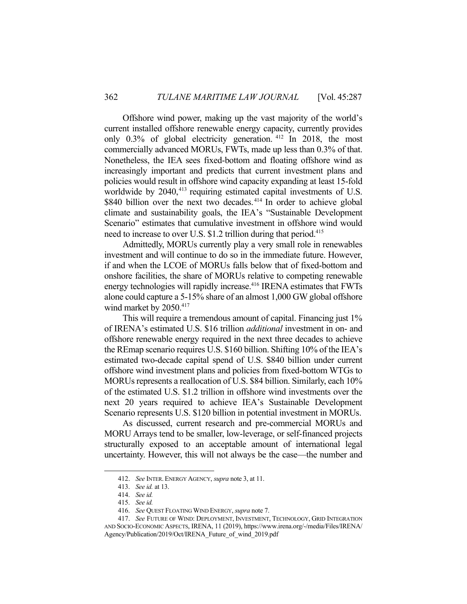Offshore wind power, making up the vast majority of the world's current installed offshore renewable energy capacity, currently provides only 0.3% of global electricity generation. 412 In 2018, the most commercially advanced MORUs, FWTs, made up less than 0.3% of that. Nonetheless, the IEA sees fixed-bottom and floating offshore wind as increasingly important and predicts that current investment plans and policies would result in offshore wind capacity expanding at least 15-fold worldwide by 2040,<sup>413</sup> requiring estimated capital investments of U.S. \$840 billion over the next two decades.<sup>414</sup> In order to achieve global climate and sustainability goals, the IEA's "Sustainable Development Scenario" estimates that cumulative investment in offshore wind would need to increase to over U.S. \$1.2 trillion during that period.<sup>415</sup>

 Admittedly, MORUs currently play a very small role in renewables investment and will continue to do so in the immediate future. However, if and when the LCOE of MORUs falls below that of fixed-bottom and onshore facilities, the share of MORUs relative to competing renewable energy technologies will rapidly increase.<sup>416</sup> IRENA estimates that FWTs alone could capture a 5-15% share of an almost 1,000 GW global offshore wind market by 2050.<sup>417</sup>

 This will require a tremendous amount of capital. Financing just 1% of IRENA's estimated U.S. \$16 trillion *additional* investment in on- and offshore renewable energy required in the next three decades to achieve the REmap scenario requires U.S. \$160 billion. Shifting 10% of the IEA's estimated two-decade capital spend of U.S. \$840 billion under current offshore wind investment plans and policies from fixed-bottom WTGs to MORUs represents a reallocation of U.S. \$84 billion. Similarly, each 10% of the estimated U.S. \$1.2 trillion in offshore wind investments over the next 20 years required to achieve IEA's Sustainable Development Scenario represents U.S. \$120 billion in potential investment in MORUs.

 As discussed, current research and pre-commercial MORUs and MORU Arrays tend to be smaller, low-leverage, or self-financed projects structurally exposed to an acceptable amount of international legal uncertainty. However, this will not always be the case—the number and

 <sup>412.</sup> *See* INTER. ENERGY AGENCY, *supra* note 3, at 11.

 <sup>413.</sup> *See id.* at 13.

 <sup>414.</sup> *See id.*

 <sup>415.</sup> *See id.*

 <sup>416.</sup> *See* QUEST FLOATING WIND ENERGY, *supra* note 7.

 <sup>417.</sup> *See* FUTURE OF WIND: DEPLOYMENT, INVESTMENT, TECHNOLOGY, GRID INTEGRATION AND SOCIO-ECONOMIC ASPECTS, IRENA, 11 (2019), https://www.irena.org/-/media/Files/IRENA/ Agency/Publication/2019/Oct/IRENA\_Future\_of\_wind\_2019.pdf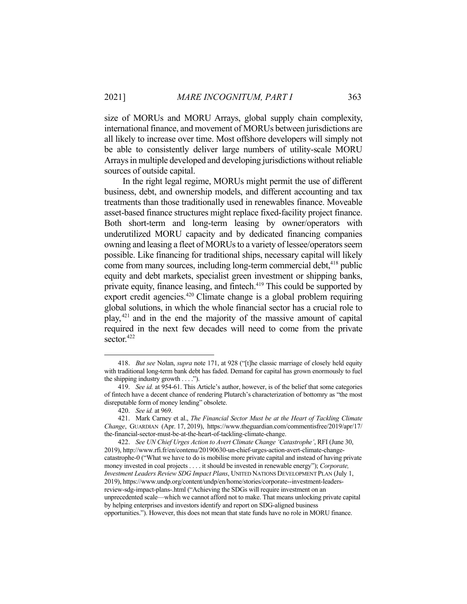size of MORUs and MORU Arrays, global supply chain complexity, international finance, and movement of MORUs between jurisdictions are all likely to increase over time. Most offshore developers will simply not be able to consistently deliver large numbers of utility-scale MORU Arrays in multiple developed and developing jurisdictions without reliable sources of outside capital.

 In the right legal regime, MORUs might permit the use of different business, debt, and ownership models, and different accounting and tax treatments than those traditionally used in renewables finance. Moveable asset-based finance structures might replace fixed-facility project finance. Both short-term and long-term leasing by owner/operators with underutilized MORU capacity and by dedicated financing companies owning and leasing a fleet of MORUs to a variety of lessee/operators seem possible. Like financing for traditional ships, necessary capital will likely come from many sources, including long-term commercial debt,<sup>418</sup> public equity and debt markets, specialist green investment or shipping banks, private equity, finance leasing, and fintech.<sup>419</sup> This could be supported by export credit agencies.<sup>420</sup> Climate change is a global problem requiring global solutions, in which the whole financial sector has a crucial role to play,421 and in the end the majority of the massive amount of capital required in the next few decades will need to come from the private sector.<sup>422</sup>

<u>.</u>

 <sup>418.</sup> *But see* Nolan, *supra* note 171, at 928 ("[t]he classic marriage of closely held equity with traditional long-term bank debt has faded. Demand for capital has grown enormously to fuel the shipping industry growth  $\dots$ .").

 <sup>419.</sup> *See id.* at 954-61. This Article's author, however, is of the belief that some categories of fintech have a decent chance of rendering Plutarch's characterization of bottomry as "the most disreputable form of money lending" obsolete.

 <sup>420.</sup> *See id.* at 969.

 <sup>421.</sup> Mark Carney et al., *The Financial Sector Must be at the Heart of Tackling Climate Change*, GUARDIAN (Apr. 17, 2019), https://www.theguardian.com/commentisfree/2019/apr/17/ the-financial-sector-must-be-at-the-heart-of-tackling-climate-change.

 <sup>422.</sup> *See UN Chief Urges Action to Avert Climate Change 'Catastrophe'*, RFI (June 30, 2019), http://www.rfi.fr/en/contenu/20190630-un-chief-urges-action-avert-climate-changecatastrophe-0 ("What we have to do is mobilise more private capital and instead of having private money invested in coal projects . . . . it should be invested in renewable energy"); *Corporate, Investment Leaders Review SDG Impact Plans*, UNITED NATIONS DEVELOPMENT PLAN (July 1, 2019), https://www.undp.org/content/undp/en/home/stories/corporate--investment-leadersreview-sdg-impact-plans-.html ("Achieving the SDGs will require investment on an unprecedented scale—which we cannot afford not to make. That means unlocking private capital by helping enterprises and investors identify and report on SDG-aligned business opportunities."). However, this does not mean that state funds have no role in MORU finance.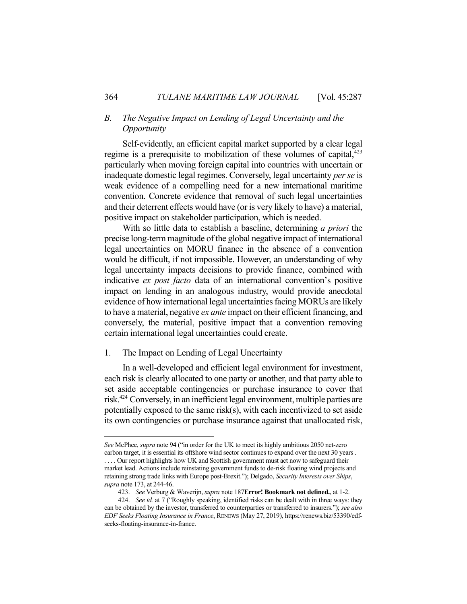# *B. The Negative Impact on Lending of Legal Uncertainty and the Opportunity*

 Self-evidently, an efficient capital market supported by a clear legal regime is a prerequisite to mobilization of these volumes of capital, $423$ particularly when moving foreign capital into countries with uncertain or inadequate domestic legal regimes. Conversely, legal uncertainty *per se* is weak evidence of a compelling need for a new international maritime convention. Concrete evidence that removal of such legal uncertainties and their deterrent effects would have (or is very likely to have) a material, positive impact on stakeholder participation, which is needed.

 With so little data to establish a baseline, determining *a priori* the precise long-term magnitude of the global negative impact of international legal uncertainties on MORU finance in the absence of a convention would be difficult, if not impossible. However, an understanding of why legal uncertainty impacts decisions to provide finance, combined with indicative *ex post facto* data of an international convention's positive impact on lending in an analogous industry, would provide anecdotal evidence of how international legal uncertainties facing MORUs are likely to have a material, negative *ex ante* impact on their efficient financing, and conversely, the material, positive impact that a convention removing certain international legal uncertainties could create.

#### 1. The Impact on Lending of Legal Uncertainty

 In a well-developed and efficient legal environment for investment, each risk is clearly allocated to one party or another, and that party able to set aside acceptable contingencies or purchase insurance to cover that risk.424 Conversely, in an inefficient legal environment, multiple parties are potentially exposed to the same risk(s), with each incentivized to set aside its own contingencies or purchase insurance against that unallocated risk,

*See* McPhee, *supra* note 94 ("in order for the UK to meet its highly ambitious 2050 net-zero carbon target, it is essential its offshore wind sector continues to expand over the next 30 years . .... Our report highlights how UK and Scottish government must act now to safeguard their market lead. Actions include reinstating government funds to de-risk floating wind projects and retaining strong trade links with Europe post-Brexit."); Delgado, *Security Interests over Ships*, *supra* note 173, at 244-46.

 <sup>423.</sup> *See* Verburg & Waverijn, *supra* note 187**Error! Bookmark not defined.**, at 1-2.

 <sup>424.</sup> *See id.* at 7 ("Roughly speaking, identified risks can be dealt with in three ways: they can be obtained by the investor, transferred to counterparties or transferred to insurers."); *see also EDF Seeks Floating Insurance in France*, RENEWS (May 27, 2019), https://renews.biz/53390/edfseeks-floating-insurance-in-france.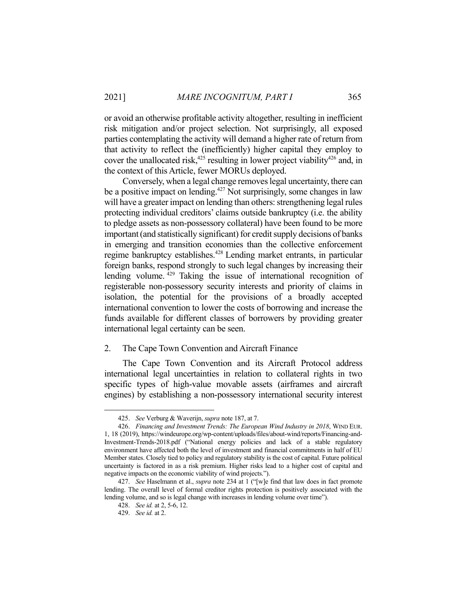or avoid an otherwise profitable activity altogether, resulting in inefficient risk mitigation and/or project selection. Not surprisingly, all exposed parties contemplating the activity will demand a higher rate of return from that activity to reflect the (inefficiently) higher capital they employ to cover the unallocated risk,<sup>425</sup> resulting in lower project viability<sup>426</sup> and, in the context of this Article, fewer MORUs deployed.

 Conversely, when a legal change removes legal uncertainty, there can be a positive impact on lending.<sup>427</sup> Not surprisingly, some changes in law will have a greater impact on lending than others: strengthening legal rules protecting individual creditors' claims outside bankruptcy (i.e. the ability to pledge assets as non-possessory collateral) have been found to be more important (and statistically significant) for credit supply decisions of banks in emerging and transition economies than the collective enforcement regime bankruptcy establishes.<sup>428</sup> Lending market entrants, in particular foreign banks, respond strongly to such legal changes by increasing their lending volume. <sup>429</sup> Taking the issue of international recognition of registerable non-possessory security interests and priority of claims in isolation, the potential for the provisions of a broadly accepted international convention to lower the costs of borrowing and increase the funds available for different classes of borrowers by providing greater international legal certainty can be seen.

### 2. The Cape Town Convention and Aircraft Finance

 The Cape Town Convention and its Aircraft Protocol address international legal uncertainties in relation to collateral rights in two specific types of high-value movable assets (airframes and aircraft engines) by establishing a non-possessory international security interest

 <sup>425.</sup> *See* Verburg & Waverijn, *supra* note 187, at 7.

 <sup>426.</sup> *Financing and Investment Trends: The European Wind Industry in 2018*, WIND EUR. 1, 18 (2019), https://windeurope.org/wp-content/uploads/files/about-wind/reports/Financing-and-Investment-Trends-2018.pdf ("National energy policies and lack of a stable regulatory environment have affected both the level of investment and financial commitments in half of EU Member states. Closely tied to policy and regulatory stability is the cost of capital. Future political uncertainty is factored in as a risk premium. Higher risks lead to a higher cost of capital and negative impacts on the economic viability of wind projects.").

 <sup>427.</sup> *See* Haselmann et al., *supra* note 234 at 1 ("[w]e find that law does in fact promote lending. The overall level of formal creditor rights protection is positively associated with the lending volume, and so is legal change with increases in lending volume over time").

 <sup>428.</sup> *See id.* at 2, 5-6, 12.

 <sup>429.</sup> *See id.* at 2.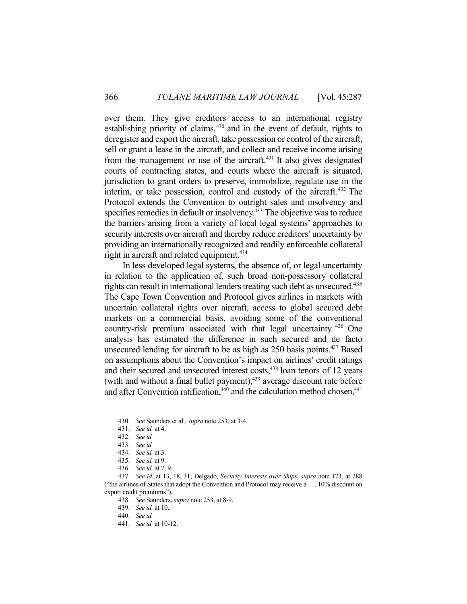over them. They give creditors access to an international registry establishing priority of claims, $430$  and in the event of default, rights to deregister and export the aircraft, take possession or control of the aircraft, sell or grant a lease in the aircraft, and collect and receive income arising from the management or use of the aircraft. $431$  It also gives designated courts of contracting states, and courts where the aircraft is situated, jurisdiction to grant orders to preserve, immobilize, regulate use in the interim, or take possession, control and custody of the aircraft.432 The Protocol extends the Convention to outright sales and insolvency and specifies remedies in default or insolvency.<sup>433</sup> The objective was to reduce the barriers arising from a variety of local legal systems' approaches to security interests over aircraft and thereby reduce creditors' uncertainty by providing an internationally recognized and readily enforceable collateral right in aircraft and related equipment.<sup>434</sup>

 In less developed legal systems, the absence of, or legal uncertainty in relation to the application of, such broad non-possessory collateral rights can result in international lenders treating such debt as unsecured.<sup>435</sup> The Cape Town Convention and Protocol gives airlines in markets with uncertain collateral rights over aircraft, access to global secured debt markets on a commercial basis, avoiding some of the conventional country-risk premium associated with that legal uncertainty. 436 One analysis has estimated the difference in such secured and de facto unsecured lending for aircraft to be as high as 250 basis points.<sup>437</sup> Based on assumptions about the Convention's impact on airlines' credit ratings and their secured and unsecured interest costs,<sup>438</sup> loan tenors of 12 years (with and without a final bullet payment), $439$  average discount rate before and after Convention ratification, $440$  and the calculation method chosen, $441$ 

 <sup>430.</sup> *See* Saunders et al., *supra* note 253, at 3-4.

 <sup>431.</sup> *See id.* at 4.

 <sup>432.</sup> *See id.*

 <sup>433.</sup> *See id.*

 <sup>434.</sup> *See id.* at 3.

 <sup>435.</sup> *See id.* at 9.

 <sup>436.</sup> *See id.* at 7, 9.

 <sup>437.</sup> *See id.* at 13, 18, 31; Delgado, *Security Interests over Ships*, *supra* note 173, at 288 ("the airlines of States that adopt the Convention and Protocol may receive a . . . 10% discount on export credit premiums").

 <sup>438.</sup> *See* Saunders, *supra* note 253, at 8-9.

 <sup>439.</sup> *See id.* at 10.

 <sup>440.</sup> *See id.*

 <sup>441.</sup> *See id.* at 10-12.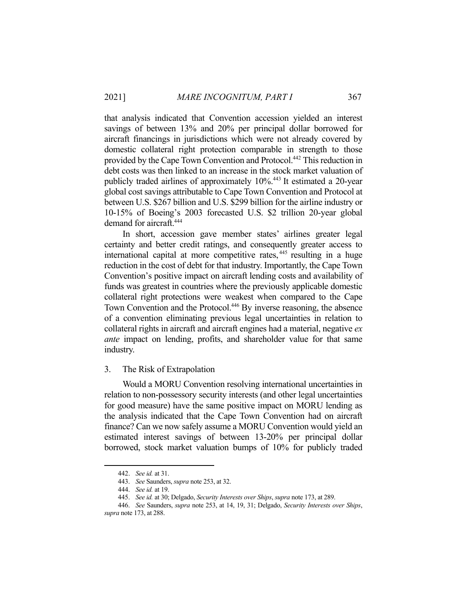that analysis indicated that Convention accession yielded an interest savings of between 13% and 20% per principal dollar borrowed for aircraft financings in jurisdictions which were not already covered by domestic collateral right protection comparable in strength to those provided by the Cape Town Convention and Protocol.442 This reduction in debt costs was then linked to an increase in the stock market valuation of publicly traded airlines of approximately 10%.443 It estimated a 20-year global cost savings attributable to Cape Town Convention and Protocol at between U.S. \$267 billion and U.S. \$299 billion for the airline industry or 10-15% of Boeing's 2003 forecasted U.S. \$2 trillion 20-year global demand for aircraft.<sup>444</sup>

 In short, accession gave member states' airlines greater legal certainty and better credit ratings, and consequently greater access to international capital at more competitive rates, 445 resulting in a huge reduction in the cost of debt for that industry. Importantly, the Cape Town Convention's positive impact on aircraft lending costs and availability of funds was greatest in countries where the previously applicable domestic collateral right protections were weakest when compared to the Cape Town Convention and the Protocol.<sup>446</sup> By inverse reasoning, the absence of a convention eliminating previous legal uncertainties in relation to collateral rights in aircraft and aircraft engines had a material, negative *ex ante* impact on lending, profits, and shareholder value for that same industry.

### 3. The Risk of Extrapolation

 Would a MORU Convention resolving international uncertainties in relation to non-possessory security interests (and other legal uncertainties for good measure) have the same positive impact on MORU lending as the analysis indicated that the Cape Town Convention had on aircraft finance? Can we now safely assume a MORU Convention would yield an estimated interest savings of between 13-20% per principal dollar borrowed, stock market valuation bumps of 10% for publicly traded

 <sup>442.</sup> *See id.* at 31.

 <sup>443.</sup> *See* Saunders, *supra* note 253, at 32.

 <sup>444.</sup> *See id.* at 19.

 <sup>445.</sup> *See id.* at 30; Delgado, *Security Interests over Ships*, *supra* note 173, at 289.

 <sup>446.</sup> *See* Saunders, *supra* note 253, at 14, 19, 31; Delgado, *Security Interests over Ships*, *supra* note 173, at 288.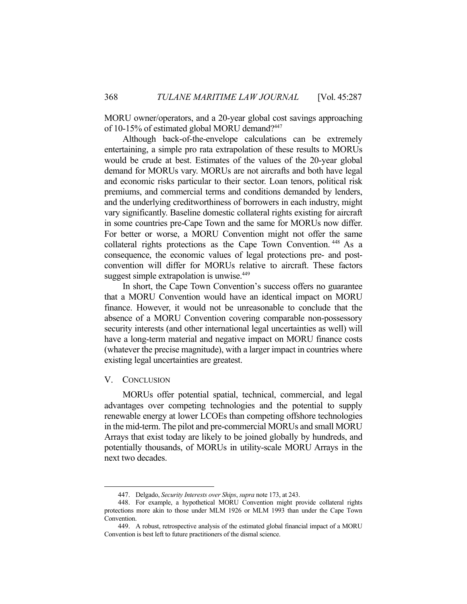MORU owner/operators, and a 20-year global cost savings approaching of 10-15% of estimated global MORU demand?447

 Although back-of-the-envelope calculations can be extremely entertaining, a simple pro rata extrapolation of these results to MORUs would be crude at best. Estimates of the values of the 20-year global demand for MORUs vary. MORUs are not aircrafts and both have legal and economic risks particular to their sector. Loan tenors, political risk premiums, and commercial terms and conditions demanded by lenders, and the underlying creditworthiness of borrowers in each industry, might vary significantly. Baseline domestic collateral rights existing for aircraft in some countries pre-Cape Town and the same for MORUs now differ. For better or worse, a MORU Convention might not offer the same collateral rights protections as the Cape Town Convention. 448 As a consequence, the economic values of legal protections pre- and postconvention will differ for MORUs relative to aircraft. These factors suggest simple extrapolation is unwise.<sup>449</sup>

 In short, the Cape Town Convention's success offers no guarantee that a MORU Convention would have an identical impact on MORU finance. However, it would not be unreasonable to conclude that the absence of a MORU Convention covering comparable non-possessory security interests (and other international legal uncertainties as well) will have a long-term material and negative impact on MORU finance costs (whatever the precise magnitude), with a larger impact in countries where existing legal uncertainties are greatest.

#### V. CONCLUSION

<u>.</u>

 MORUs offer potential spatial, technical, commercial, and legal advantages over competing technologies and the potential to supply renewable energy at lower LCOEs than competing offshore technologies in the mid-term. The pilot and pre-commercial MORUs and small MORU Arrays that exist today are likely to be joined globally by hundreds, and potentially thousands, of MORUs in utility-scale MORU Arrays in the next two decades.

 <sup>447.</sup> Delgado, *Security Interests over Ships*, *supra* note 173, at 243.

 <sup>448.</sup> For example, a hypothetical MORU Convention might provide collateral rights protections more akin to those under MLM 1926 or MLM 1993 than under the Cape Town Convention.

 <sup>449.</sup> A robust, retrospective analysis of the estimated global financial impact of a MORU Convention is best left to future practitioners of the dismal science.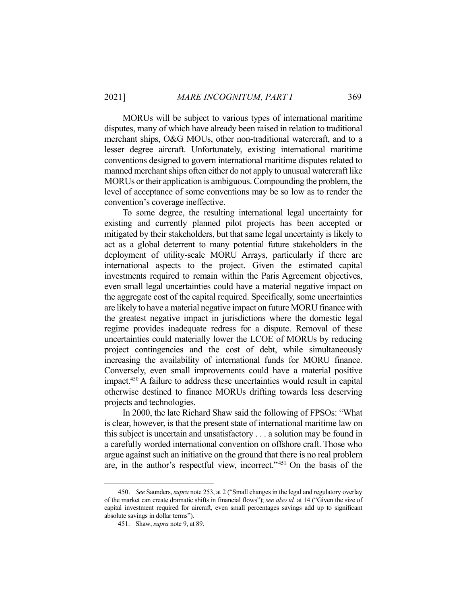MORUs will be subject to various types of international maritime disputes, many of which have already been raised in relation to traditional merchant ships, O&G MOUs, other non-traditional watercraft, and to a lesser degree aircraft. Unfortunately, existing international maritime conventions designed to govern international maritime disputes related to manned merchant ships often either do not apply to unusual watercraft like MORUs or their application is ambiguous. Compounding the problem, the level of acceptance of some conventions may be so low as to render the convention's coverage ineffective.

 To some degree, the resulting international legal uncertainty for existing and currently planned pilot projects has been accepted or mitigated by their stakeholders, but that same legal uncertainty is likely to act as a global deterrent to many potential future stakeholders in the deployment of utility-scale MORU Arrays, particularly if there are international aspects to the project. Given the estimated capital investments required to remain within the Paris Agreement objectives, even small legal uncertainties could have a material negative impact on the aggregate cost of the capital required. Specifically, some uncertainties are likely to have a material negative impact on future MORU finance with the greatest negative impact in jurisdictions where the domestic legal regime provides inadequate redress for a dispute. Removal of these uncertainties could materially lower the LCOE of MORUs by reducing project contingencies and the cost of debt, while simultaneously increasing the availability of international funds for MORU finance. Conversely, even small improvements could have a material positive impact.450 A failure to address these uncertainties would result in capital otherwise destined to finance MORUs drifting towards less deserving projects and technologies.

 In 2000, the late Richard Shaw said the following of FPSOs: "What is clear, however, is that the present state of international maritime law on this subject is uncertain and unsatisfactory . . . a solution may be found in a carefully worded international convention on offshore craft. Those who argue against such an initiative on the ground that there is no real problem are, in the author's respectful view, incorrect."451 On the basis of the

 <sup>450.</sup> *See* Saunders, *supra* note 253, at 2 ("Small changes in the legal and regulatory overlay of the market can create dramatic shifts in financial flows"); *see also id.* at 14 ("Given the size of capital investment required for aircraft, even small percentages savings add up to significant absolute savings in dollar terms").

 <sup>451.</sup> Shaw, *supra* note 9, at 89.